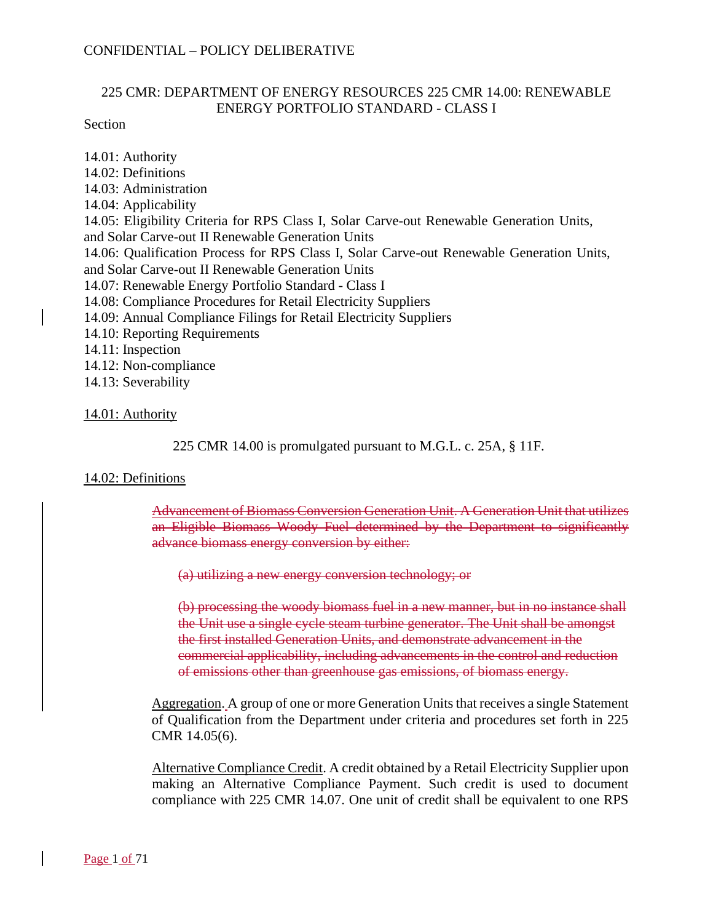### 225 CMR: DEPARTMENT OF ENERGY RESOURCES 225 CMR 14.00: RENEWABLE ENERGY PORTFOLIO STANDARD - CLASS I

Section

14.01: Authority 14.02: Definitions 14.03: Administration 14.04: Applicability 14.05: Eligibility Criteria for RPS Class I, Solar Carve-out Renewable Generation Units, and Solar Carve-out II Renewable Generation Units 14.06: Qualification Process for RPS Class I, Solar Carve-out Renewable Generation Units, and Solar Carve-out II Renewable Generation Units 14.07: Renewable Energy Portfolio Standard - Class I 14.08: Compliance Procedures for Retail Electricity Suppliers 14.09: Annual Compliance Filings for Retail Electricity Suppliers 14.10: Reporting Requirements 14.11: Inspection 14.12: Non-compliance 14.13: Severability

### 14.01: Authority

225 CMR 14.00 is promulgated pursuant to M.G.L. c. 25A, § 11F.

### 14.02: Definitions

Advancement of Biomass Conversion Generation Unit. A Generation Unit that utilizes an Eligible Biomass Woody Fuel determined by the Department to significantly advance biomass energy conversion by either:

(a) utilizing a new energy conversion technology; or

(b) processing the woody biomass fuel in a new manner, but in no instance shall the Unit use a single cycle steam turbine generator. The Unit shall be amongst the first installed Generation Units, and demonstrate advancement in the commercial applicability, including advancements in the control and reduction of emissions other than greenhouse gas emissions, of biomass energy.

Aggregation. A group of one or more Generation Units that receives a single Statement of Qualification from the Department under criteria and procedures set forth in 225 CMR 14.05(6).

Alternative Compliance Credit. A credit obtained by a Retail Electricity Supplier upon making an Alternative Compliance Payment. Such credit is used to document compliance with 225 CMR 14.07. One unit of credit shall be equivalent to one RPS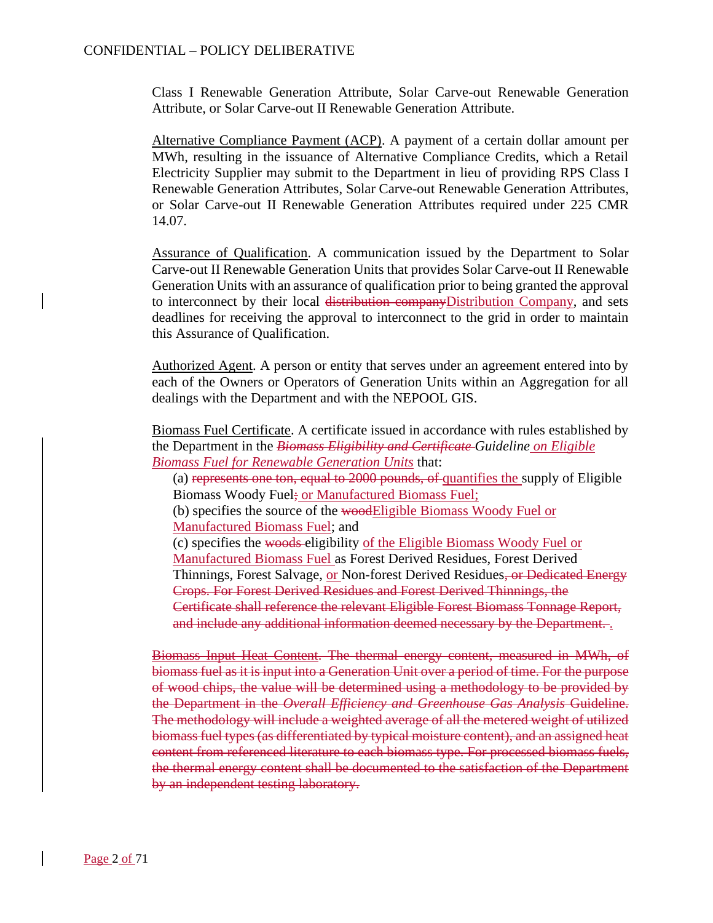Class I Renewable Generation Attribute, Solar Carve-out Renewable Generation Attribute, or Solar Carve-out II Renewable Generation Attribute.

Alternative Compliance Payment (ACP). A payment of a certain dollar amount per MWh, resulting in the issuance of Alternative Compliance Credits, which a Retail Electricity Supplier may submit to the Department in lieu of providing RPS Class I Renewable Generation Attributes, Solar Carve-out Renewable Generation Attributes, or Solar Carve-out II Renewable Generation Attributes required under 225 CMR 14.07.

Assurance of Qualification. A communication issued by the Department to Solar Carve-out II Renewable Generation Units that provides Solar Carve-out II Renewable Generation Units with an assurance of qualification prior to being granted the approval to interconnect by their local distribution companyDistribution Company, and sets deadlines for receiving the approval to interconnect to the grid in order to maintain this Assurance of Qualification.

Authorized Agent. A person or entity that serves under an agreement entered into by each of the Owners or Operators of Generation Units within an Aggregation for all dealings with the Department and with the NEPOOL GIS.

Biomass Fuel Certificate. A certificate issued in accordance with rules established by the Department in the *Biomass Eligibility and Certificate Guideline on Eligible Biomass Fuel for Renewable Generation Units* that:

(a) represents one ton, equal to 2000 pounds, of quantifies the supply of Eligible Biomass Woody Fuel; or Manufactured Biomass Fuel;

(b) specifies the source of the woodEligible Biomass Woody Fuel or Manufactured Biomass Fuel; and

(c) specifies the woods eligibility of the Eligible Biomass Woody Fuel or Manufactured Biomass Fuel as Forest Derived Residues, Forest Derived Thinnings, Forest Salvage, or Non-forest Derived Residues<del>, or Dedicated Energy</del> Crops. For Forest Derived Residues and Forest Derived Thinnings, the Certificate shall reference the relevant Eligible Forest Biomass Tonnage Report, and include any additional information deemed necessary by the Department. .

Biomass Input Heat Content. The thermal energy content, measured in MWh, of biomass fuel as it is input into a Generation Unit over a period of time. For the purpose of wood chips, the value will be determined using a methodology to be provided by the Department in the *Overall Efficiency and Greenhouse Gas Analysis* Guideline. The methodology will include a weighted average of all the metered weight of utilized biomass fuel types (as differentiated by typical moisture content), and an assigned heat content from referenced literature to each biomass type. For processed biomass fuels, the thermal energy content shall be documented to the satisfaction of the Department by an independent testing laboratory.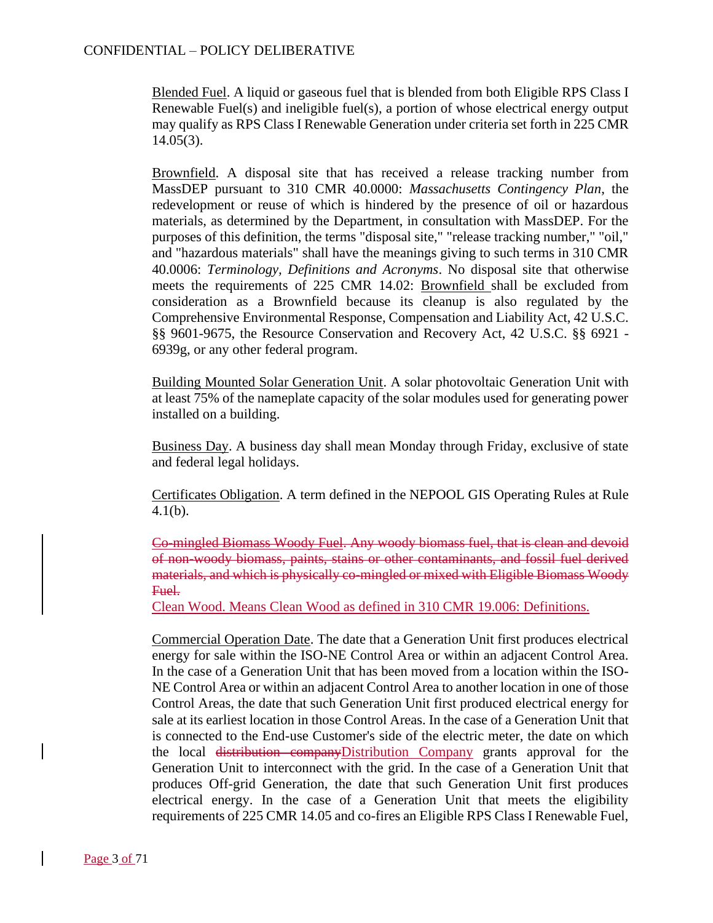Blended Fuel. A liquid or gaseous fuel that is blended from both Eligible RPS Class I Renewable Fuel(s) and ineligible fuel(s), a portion of whose electrical energy output may qualify as RPS Class I Renewable Generation under criteria set forth in 225 CMR 14.05(3).

Brownfield. A disposal site that has received a release tracking number from MassDEP pursuant to 310 CMR 40.0000: *Massachusetts Contingency Plan*, the redevelopment or reuse of which is hindered by the presence of oil or hazardous materials, as determined by the Department, in consultation with MassDEP. For the purposes of this definition, the terms "disposal site," "release tracking number," "oil," and "hazardous materials" shall have the meanings giving to such terms in 310 CMR 40.0006: *Terminology, Definitions and Acronyms*. No disposal site that otherwise meets the requirements of 225 CMR 14.02: Brownfield shall be excluded from consideration as a Brownfield because its cleanup is also regulated by the Comprehensive Environmental Response, Compensation and Liability Act, 42 U.S.C. §§ 9601-9675, the Resource Conservation and Recovery Act, 42 U.S.C. §§ 6921 - 6939g, or any other federal program.

Building Mounted Solar Generation Unit. A solar photovoltaic Generation Unit with at least 75% of the nameplate capacity of the solar modules used for generating power installed on a building.

Business Day. A business day shall mean Monday through Friday, exclusive of state and federal legal holidays.

Certificates Obligation. A term defined in the NEPOOL GIS Operating Rules at Rule 4.1(b).

Co-mingled Biomass Woody Fuel. Any woody biomass fuel, that is clean and devoid of non-woody biomass, paints, stains or other contaminants, and fossil fuel derived materials, and which is physically co-mingled or mixed with Eligible Biomass Woody Fuel.

Clean Wood. Means Clean Wood as defined in 310 CMR 19.006: Definitions.

Commercial Operation Date. The date that a Generation Unit first produces electrical energy for sale within the ISO-NE Control Area or within an adjacent Control Area. In the case of a Generation Unit that has been moved from a location within the ISO-NE Control Area or within an adjacent Control Area to another location in one of those Control Areas, the date that such Generation Unit first produced electrical energy for sale at its earliest location in those Control Areas. In the case of a Generation Unit that is connected to the End-use Customer's side of the electric meter, the date on which the local distribution companyDistribution Company grants approval for the Generation Unit to interconnect with the grid. In the case of a Generation Unit that produces Off-grid Generation, the date that such Generation Unit first produces electrical energy. In the case of a Generation Unit that meets the eligibility requirements of 225 CMR 14.05 and co-fires an Eligible RPS Class I Renewable Fuel,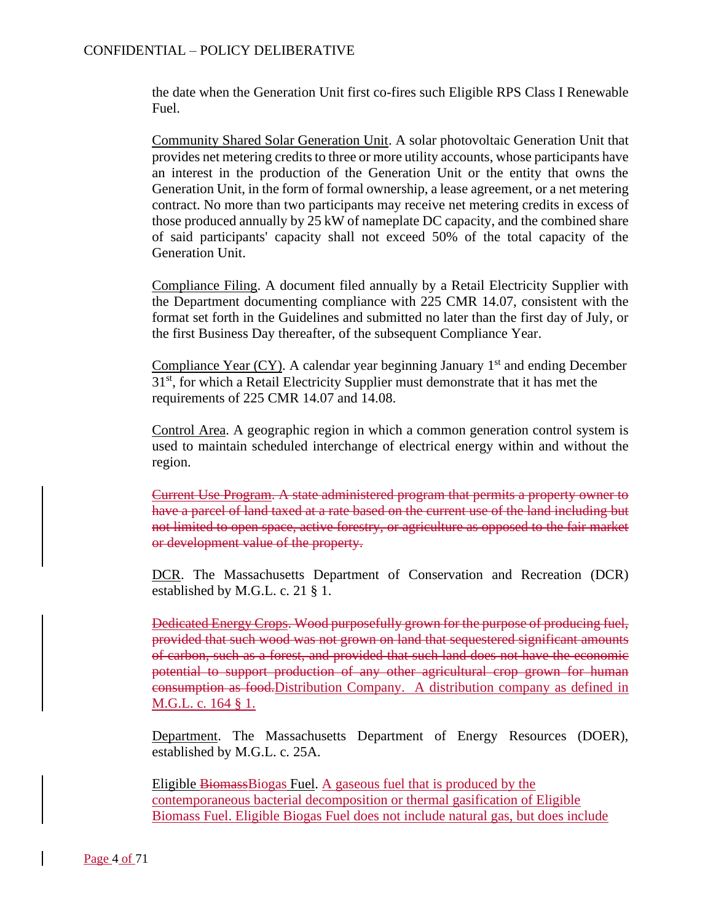the date when the Generation Unit first co-fires such Eligible RPS Class I Renewable Fuel.

Community Shared Solar Generation Unit. A solar photovoltaic Generation Unit that provides net metering credits to three or more utility accounts, whose participants have an interest in the production of the Generation Unit or the entity that owns the Generation Unit, in the form of formal ownership, a lease agreement, or a net metering contract. No more than two participants may receive net metering credits in excess of those produced annually by 25 kW of nameplate DC capacity, and the combined share of said participants' capacity shall not exceed 50% of the total capacity of the Generation Unit.

Compliance Filing. A document filed annually by a Retail Electricity Supplier with the Department documenting compliance with 225 CMR 14.07, consistent with the format set forth in the Guidelines and submitted no later than the first day of July, or the first Business Day thereafter, of the subsequent Compliance Year.

Compliance Year  $(CY)$ . A calendar year beginning January 1<sup>st</sup> and ending December 31<sup>st</sup>, for which a Retail Electricity Supplier must demonstrate that it has met the requirements of 225 CMR 14.07 and 14.08.

Control Area. A geographic region in which a common generation control system is used to maintain scheduled interchange of electrical energy within and without the region.

Current Use Program. A state administered program that permits a property owner to have a parcel of land taxed at a rate based on the current use of the land including but not limited to open space, active forestry, or agriculture as opposed to the fair market or development value of the property.

DCR. The Massachusetts Department of Conservation and Recreation (DCR) established by M.G.L. c. 21 § 1.

Dedicated Energy Crops. Wood purposefully grown for the purpose of producing fuel, provided that such wood was not grown on land that sequestered significant amounts of carbon, such as a forest, and provided that such land does not have the economic potential to support production of any other agricultural crop grown for human consumption as food.Distribution Company. A distribution company as defined in M.G.L. c. 164 § 1.

Department. The Massachusetts Department of Energy Resources (DOER), established by M.G.L. c. 25A.

Eligible BiomassBiogas Fuel. A gaseous fuel that is produced by the contemporaneous bacterial decomposition or thermal gasification of Eligible Biomass Fuel. Eligible Biogas Fuel does not include natural gas, but does include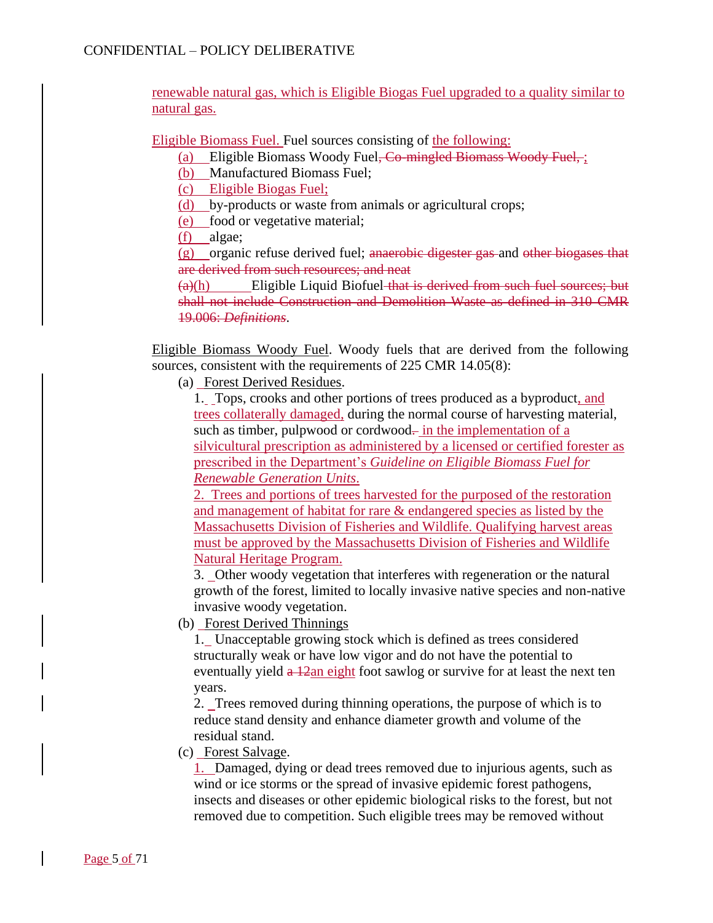renewable natural gas, which is Eligible Biogas Fuel upgraded to a quality similar to natural gas.

Eligible Biomass Fuel. Fuel sources consisting of the following:

(a) Eligible Biomass Woody Fuel, Co-mingled Biomass Woody Fuel, ;

(b) Manufactured Biomass Fuel;

(c) Eligible Biogas Fuel;

(d) by-products or waste from animals or agricultural crops;

(e) food or vegetative material;

(f) algae;

 $(g)$  organic refuse derived fuel; anaerobic digester gas and other biogases that are derived from such resources; and neat

 $(a)(h)$  Eligible Liquid Biofuel that is derived from such fuel sources; but shall not include Construction and Demolition Waste as defined in 310 CMR 19.006: *Definitions*.

Eligible Biomass Woody Fuel. Woody fuels that are derived from the following sources, consistent with the requirements of 225 CMR 14.05(8):

(a) Forest Derived Residues.

1. Tops, crooks and other portions of trees produced as a byproduct, and trees collaterally damaged, during the normal course of harvesting material, such as timber, pulpwood or cordwood- in the implementation of a silvicultural prescription as administered by a licensed or certified forester as prescribed in the Department's *Guideline on Eligible Biomass Fuel for Renewable Generation Units*.

2. Trees and portions of trees harvested for the purposed of the restoration and management of habitat for rare & endangered species as listed by the Massachusetts Division of Fisheries and Wildlife. Qualifying harvest areas must be approved by the Massachusetts Division of Fisheries and Wildlife Natural Heritage Program.

3. Other woody vegetation that interferes with regeneration or the natural growth of the forest, limited to locally invasive native species and non-native invasive woody vegetation.

(b) Forest Derived Thinnings

1. Unacceptable growing stock which is defined as trees considered structurally weak or have low vigor and do not have the potential to eventually yield  $\frac{a}{2a}$  eight foot sawlog or survive for at least the next ten years.

2. Trees removed during thinning operations, the purpose of which is to reduce stand density and enhance diameter growth and volume of the residual stand.

(c) Forest Salvage.

1. Damaged, dying or dead trees removed due to injurious agents, such as wind or ice storms or the spread of invasive epidemic forest pathogens, insects and diseases or other epidemic biological risks to the forest, but not removed due to competition. Such eligible trees may be removed without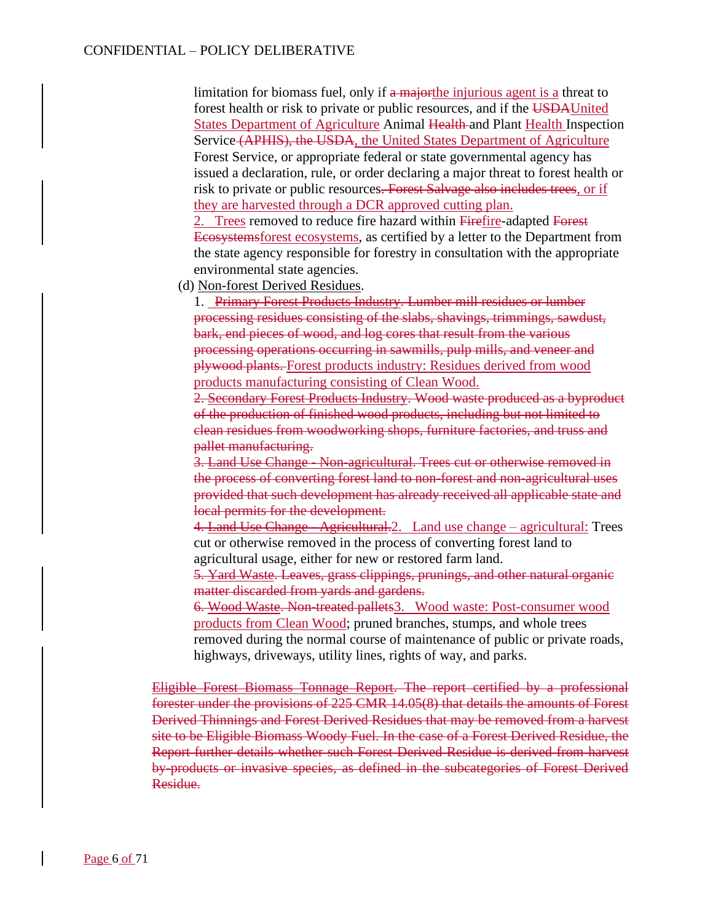limitation for biomass fuel, only if  $\alpha$  major the injurious agent is a threat to forest health or risk to private or public resources, and if the USDAUnited States Department of Agriculture Animal Health and Plant Health Inspection Service (APHIS), the USDA, the United States Department of Agriculture Forest Service, or appropriate federal or state governmental agency has issued a declaration, rule, or order declaring a major threat to forest health or risk to private or public resources. Forest Salvage also includes trees, or if they are harvested through a DCR approved cutting plan.

2. Trees removed to reduce fire hazard within Firefire-adapted Forest Ecosystemsforest ecosystems, as certified by a letter to the Department from the state agency responsible for forestry in consultation with the appropriate environmental state agencies.

(d) Non-forest Derived Residues.

1. Primary Forest Products Industry. Lumber mill residues or lumber processing residues consisting of the slabs, shavings, trimmings, sawdust, bark, end pieces of wood, and log cores that result from the various processing operations occurring in sawmills, pulp mills, and veneer and plywood plants. Forest products industry: Residues derived from wood products manufacturing consisting of Clean Wood.

2. Secondary Forest Products Industry. Wood waste produced as a byproduct of the production of finished wood products, including but not limited to clean residues from woodworking shops, furniture factories, and truss and pallet manufacturing.

3. Land Use Change - Non-agricultural. Trees cut or otherwise removed in the process of converting forest land to non-forest and non-agricultural uses provided that such development has already received all applicable state and local permits for the development.

4. Land Use Change - Agricultural. 2. Land use change – agricultural: Trees cut or otherwise removed in the process of converting forest land to agricultural usage, either for new or restored farm land.

5. Yard Waste. Leaves, grass clippings, prunings, and other natural organic matter discarded from yards and gardens.

6. Wood Waste. Non-treated pallets3. Wood waste: Post-consumer wood products from Clean Wood; pruned branches, stumps, and whole trees removed during the normal course of maintenance of public or private roads, highways, driveways, utility lines, rights of way, and parks.

Eligible Forest Biomass Tonnage Report. The report certified by a professional forester under the provisions of 225 CMR 14.05(8) that details the amounts of Forest Derived Thinnings and Forest Derived Residues that may be removed from a harvest site to be Eligible Biomass Woody Fuel. In the case of a Forest Derived Residue, the Report further details whether such Forest Derived Residue is derived from harvest by-products or invasive species, as defined in the subcategories of Forest Derived Residue.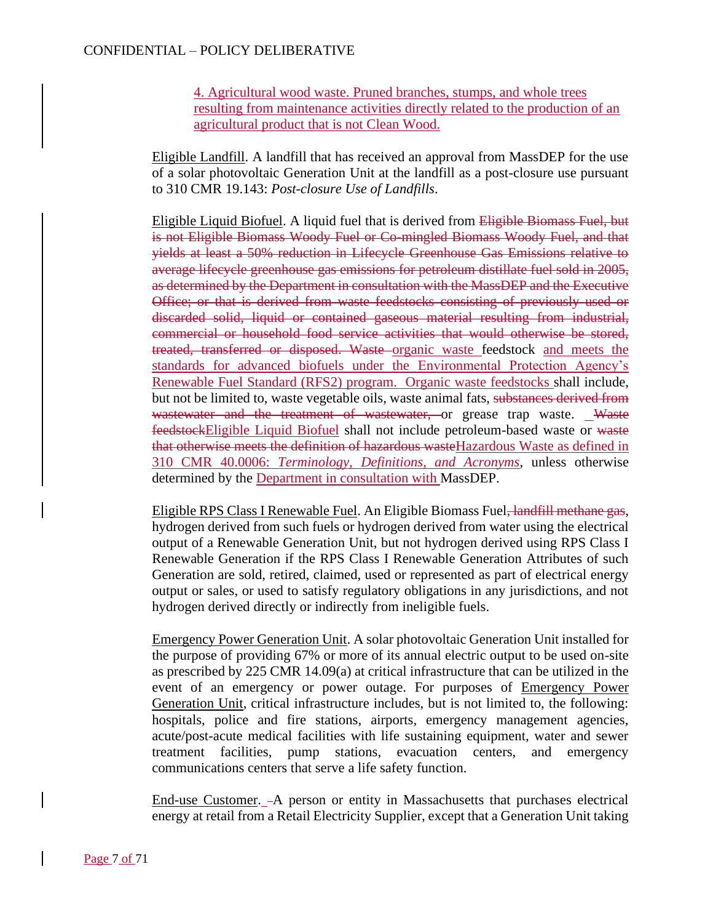4. Agricultural wood waste. Pruned branches, stumps, and whole trees resulting from maintenance activities directly related to the production of an agricultural product that is not Clean Wood.

Eligible Landfill. A landfill that has received an approval from MassDEP for the use of a solar photovoltaic Generation Unit at the landfill as a post-closure use pursuant to 310 CMR 19.143: *Post-closure Use of Landfills*.

Eligible Liquid Biofuel. A liquid fuel that is derived from Eligible Biomass Fuel, but is not Eligible Biomass Woody Fuel or Co-mingled Biomass Woody Fuel, and that yields at least a 50% reduction in Lifecycle Greenhouse Gas Emissions relative to average lifecycle greenhouse gas emissions for petroleum distillate fuel sold in 2005, as determined by the Department in consultation with the MassDEP and the Executive Office; or that is derived from waste feedstocks consisting of previously used or discarded solid, liquid or contained gaseous material resulting from industrial, commercial or household food service activities that would otherwise be stored, treated, transferred or disposed. Waste organic waste feedstock and meets the standards for advanced biofuels under the Environmental Protection Agency's Renewable Fuel Standard (RFS2) program. Organic waste feedstocks shall include, but not be limited to, waste vegetable oils, waste animal fats, substances derived from wastewater and the treatment of wastewater, or grease trap waste. Waste feedstockEligible Liquid Biofuel shall not include petroleum-based waste or waste that otherwise meets the definition of hazardous wasteHazardous Waste as defined in 310 CMR 40.0006: *Terminology, Definitions, and Acronyms*, unless otherwise determined by the Department in consultation with MassDEP.

Eligible RPS Class I Renewable Fuel. An Eligible Biomass Fuel, landfill methane gas, hydrogen derived from such fuels or hydrogen derived from water using the electrical output of a Renewable Generation Unit, but not hydrogen derived using RPS Class I Renewable Generation if the RPS Class I Renewable Generation Attributes of such Generation are sold, retired, claimed, used or represented as part of electrical energy output or sales, or used to satisfy regulatory obligations in any jurisdictions, and not hydrogen derived directly or indirectly from ineligible fuels.

Emergency Power Generation Unit. A solar photovoltaic Generation Unit installed for the purpose of providing 67% or more of its annual electric output to be used on-site as prescribed by 225 CMR 14.09(a) at critical infrastructure that can be utilized in the event of an emergency or power outage. For purposes of Emergency Power Generation Unit, critical infrastructure includes, but is not limited to, the following: hospitals, police and fire stations, airports, emergency management agencies, acute/post-acute medical facilities with life sustaining equipment, water and sewer treatment facilities, pump stations, evacuation centers, and emergency communications centers that serve a life safety function.

End-use Customer. - A person or entity in Massachusetts that purchases electrical energy at retail from a Retail Electricity Supplier, except that a Generation Unit taking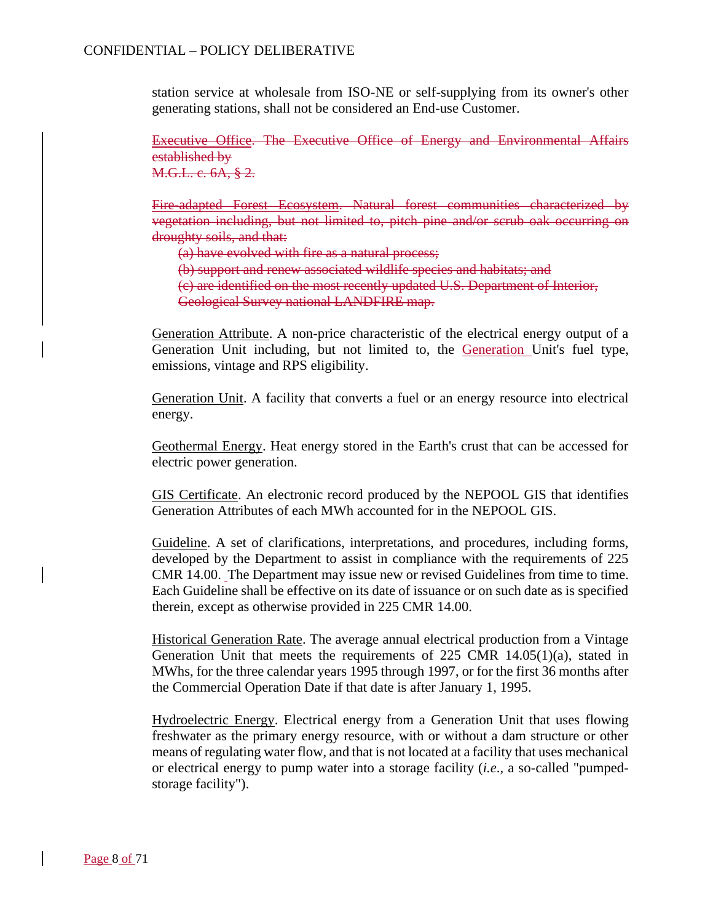station service at wholesale from ISO-NE or self-supplying from its owner's other generating stations, shall not be considered an End-use Customer.

Executive Office. The Executive Office of Energy and Environmental Affairs established by M.G.L. c. 6A, § 2.

Fire-adapted Forest Ecosystem. Natural forest communities characterized by vegetation including, but not limited to, pitch pine and/or scrub oak occurring on droughty soils, and that:

(a) have evolved with fire as a natural process;

(b) support and renew associated wildlife species and habitats; and

(c) are identified on the most recently updated U.S. Department of Interior,

Geological Survey national LANDFIRE map.

Generation Attribute. A non-price characteristic of the electrical energy output of a Generation Unit including, but not limited to, the Generation Unit's fuel type, emissions, vintage and RPS eligibility.

Generation Unit. A facility that converts a fuel or an energy resource into electrical energy.

Geothermal Energy. Heat energy stored in the Earth's crust that can be accessed for electric power generation.

GIS Certificate. An electronic record produced by the NEPOOL GIS that identifies Generation Attributes of each MWh accounted for in the NEPOOL GIS.

Guideline. A set of clarifications, interpretations, and procedures, including forms, developed by the Department to assist in compliance with the requirements of 225 CMR 14.00. The Department may issue new or revised Guidelines from time to time. Each Guideline shall be effective on its date of issuance or on such date as is specified therein, except as otherwise provided in 225 CMR 14.00.

Historical Generation Rate. The average annual electrical production from a Vintage Generation Unit that meets the requirements of 225 CMR  $14.05(1)(a)$ , stated in MWhs, for the three calendar years 1995 through 1997, or for the first 36 months after the Commercial Operation Date if that date is after January 1, 1995.

Hydroelectric Energy. Electrical energy from a Generation Unit that uses flowing freshwater as the primary energy resource, with or without a dam structure or other means of regulating water flow, and that is not located at a facility that uses mechanical or electrical energy to pump water into a storage facility (*i.e*., a so-called "pumpedstorage facility").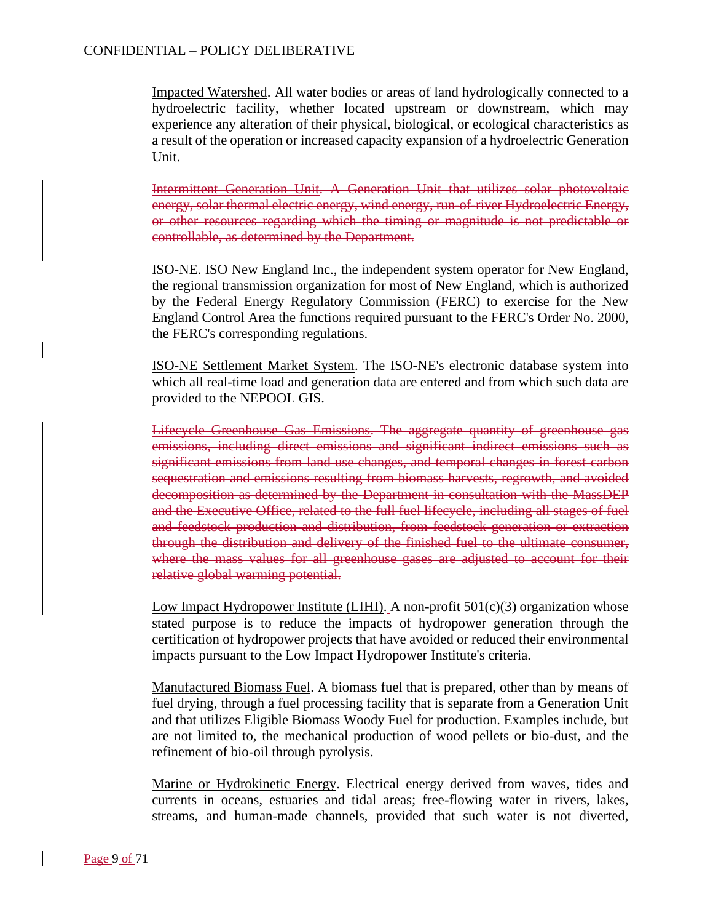Impacted Watershed. All water bodies or areas of land hydrologically connected to a hydroelectric facility, whether located upstream or downstream, which may experience any alteration of their physical, biological, or ecological characteristics as a result of the operation or increased capacity expansion of a hydroelectric Generation Unit.

Intermittent Generation Unit. A Generation Unit that utilizes solar photovoltaic energy, solar thermal electric energy, wind energy, run-of-river Hydroelectric Energy, or other resources regarding which the timing or magnitude is not predictable or controllable, as determined by the Department.

ISO-NE. ISO New England Inc., the independent system operator for New England, the regional transmission organization for most of New England, which is authorized by the Federal Energy Regulatory Commission (FERC) to exercise for the New England Control Area the functions required pursuant to the FERC's Order No. 2000, the FERC's corresponding regulations.

ISO-NE Settlement Market System. The ISO-NE's electronic database system into which all real-time load and generation data are entered and from which such data are provided to the NEPOOL GIS.

Lifecycle Greenhouse Gas Emissions. The aggregate quantity of greenhouse gas emissions, including direct emissions and significant indirect emissions such as significant emissions from land use changes, and temporal changes in forest carbon sequestration and emissions resulting from biomass harvests, regrowth, and avoided decomposition as determined by the Department in consultation with the MassDEP and the Executive Office, related to the full fuel lifecycle, including all stages of fuel and feedstock production and distribution, from feedstock generation or extraction through the distribution and delivery of the finished fuel to the ultimate consumer, where the mass values for all greenhouse gases are adjusted to account for their relative global warming potential.

Low Impact Hydropower Institute (LIHI). A non-profit  $501(c)(3)$  organization whose stated purpose is to reduce the impacts of hydropower generation through the certification of hydropower projects that have avoided or reduced their environmental impacts pursuant to the Low Impact Hydropower Institute's criteria.

Manufactured Biomass Fuel. A biomass fuel that is prepared, other than by means of fuel drying, through a fuel processing facility that is separate from a Generation Unit and that utilizes Eligible Biomass Woody Fuel for production. Examples include, but are not limited to, the mechanical production of wood pellets or bio-dust, and the refinement of bio-oil through pyrolysis.

Marine or Hydrokinetic Energy. Electrical energy derived from waves, tides and currents in oceans, estuaries and tidal areas; free-flowing water in rivers, lakes, streams, and human-made channels, provided that such water is not diverted,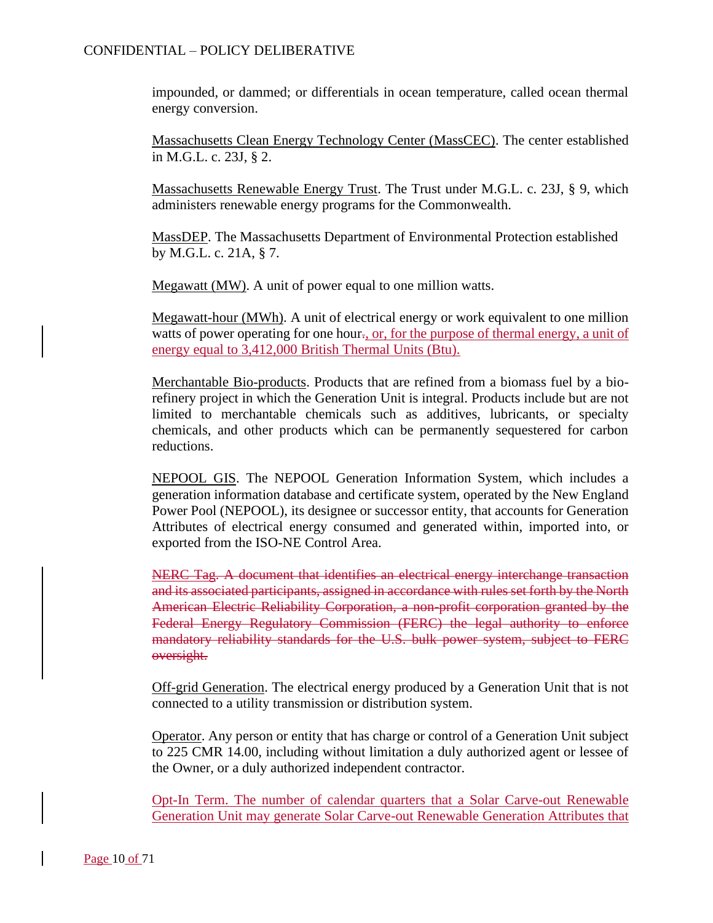impounded, or dammed; or differentials in ocean temperature, called ocean thermal energy conversion.

Massachusetts Clean Energy Technology Center (MassCEC). The center established in M.G.L. c. 23J, § 2.

Massachusetts Renewable Energy Trust. The Trust under M.G.L. c. 23J, § 9, which administers renewable energy programs for the Commonwealth.

MassDEP. The Massachusetts Department of Environmental Protection established by M.G.L. c. 21A, § 7.

Megawatt (MW). A unit of power equal to one million watts.

Megawatt-hour (MWh). A unit of electrical energy or work equivalent to one million watts of power operating for one hour., or, for the purpose of thermal energy, a unit of energy equal to 3,412,000 British Thermal Units (Btu).

Merchantable Bio-products. Products that are refined from a biomass fuel by a biorefinery project in which the Generation Unit is integral. Products include but are not limited to merchantable chemicals such as additives, lubricants, or specialty chemicals, and other products which can be permanently sequestered for carbon reductions.

NEPOOL GIS. The NEPOOL Generation Information System, which includes a generation information database and certificate system, operated by the New England Power Pool (NEPOOL), its designee or successor entity, that accounts for Generation Attributes of electrical energy consumed and generated within, imported into, or exported from the ISO-NE Control Area.

NERC Tag. A document that identifies an electrical energy interchange transaction and its associated participants, assigned in accordance with rules set forth by the North American Electric Reliability Corporation, a non-profit corporation granted by the Federal Energy Regulatory Commission (FERC) the legal authority to enforce mandatory reliability standards for the U.S. bulk power system, subject to FERC oversight.

Off-grid Generation. The electrical energy produced by a Generation Unit that is not connected to a utility transmission or distribution system.

Operator. Any person or entity that has charge or control of a Generation Unit subject to 225 CMR 14.00, including without limitation a duly authorized agent or lessee of the Owner, or a duly authorized independent contractor.

Opt-In Term. The number of calendar quarters that a Solar Carve-out Renewable Generation Unit may generate Solar Carve-out Renewable Generation Attributes that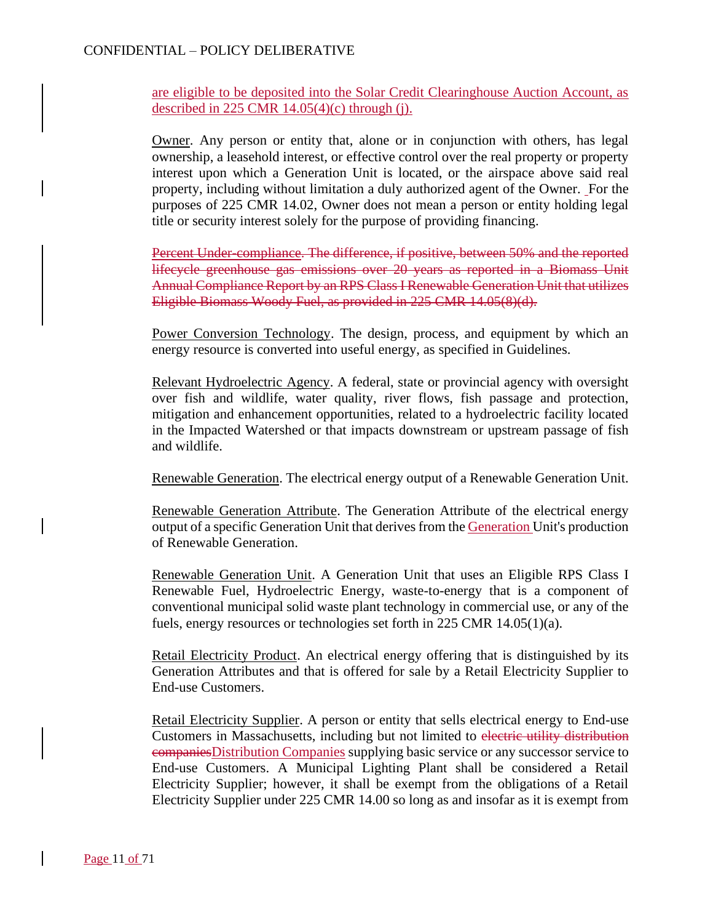are eligible to be deposited into the Solar Credit Clearinghouse Auction Account, as described in 225 CMR  $14.05(4)(c)$  through (j).

Owner. Any person or entity that, alone or in conjunction with others, has legal ownership, a leasehold interest, or effective control over the real property or property interest upon which a Generation Unit is located, or the airspace above said real property, including without limitation a duly authorized agent of the Owner. For the purposes of 225 CMR 14.02, Owner does not mean a person or entity holding legal title or security interest solely for the purpose of providing financing.

Percent Under-compliance. The difference, if positive, between 50% and the reported lifecycle greenhouse gas emissions over 20 years as reported in a Biomass Unit Annual Compliance Report by an RPS Class I Renewable Generation Unit that utilizes Eligible Biomass Woody Fuel, as provided in 225 CMR 14.05(8)(d).

Power Conversion Technology. The design, process, and equipment by which an energy resource is converted into useful energy, as specified in Guidelines.

Relevant Hydroelectric Agency. A federal, state or provincial agency with oversight over fish and wildlife, water quality, river flows, fish passage and protection, mitigation and enhancement opportunities, related to a hydroelectric facility located in the Impacted Watershed or that impacts downstream or upstream passage of fish and wildlife.

Renewable Generation. The electrical energy output of a Renewable Generation Unit.

Renewable Generation Attribute. The Generation Attribute of the electrical energy output of a specific Generation Unit that derives from the Generation Unit's production of Renewable Generation.

Renewable Generation Unit. A Generation Unit that uses an Eligible RPS Class I Renewable Fuel, Hydroelectric Energy, waste-to-energy that is a component of conventional municipal solid waste plant technology in commercial use, or any of the fuels, energy resources or technologies set forth in 225 CMR 14.05(1)(a).

Retail Electricity Product. An electrical energy offering that is distinguished by its Generation Attributes and that is offered for sale by a Retail Electricity Supplier to End-use Customers.

Retail Electricity Supplier. A person or entity that sells electrical energy to End-use Customers in Massachusetts, including but not limited to electric utility distribution companiesDistribution Companies supplying basic service or any successor service to End-use Customers. A Municipal Lighting Plant shall be considered a Retail Electricity Supplier; however, it shall be exempt from the obligations of a Retail Electricity Supplier under 225 CMR 14.00 so long as and insofar as it is exempt from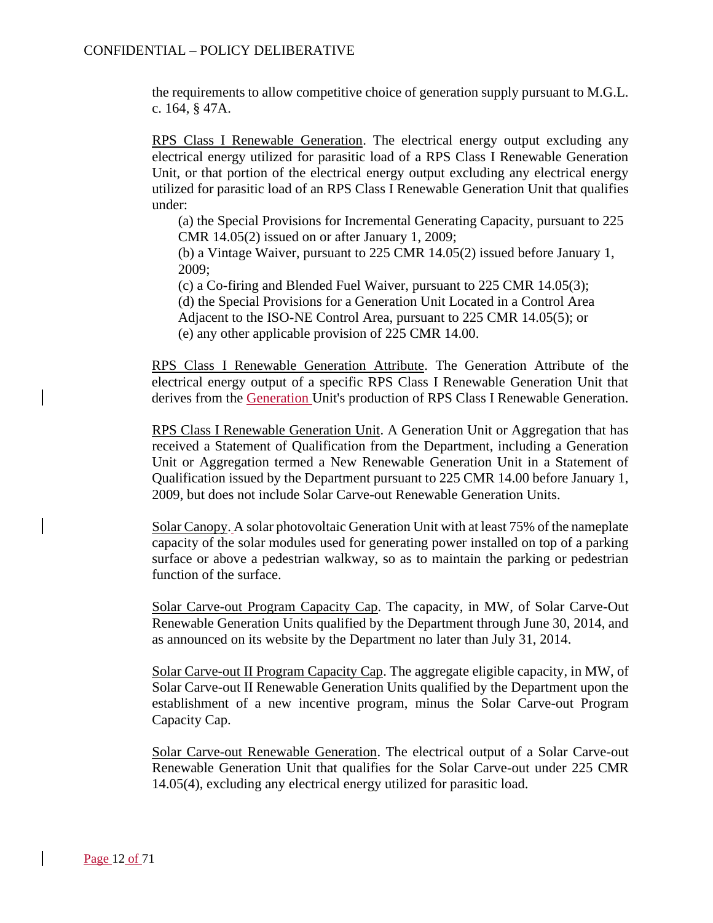the requirements to allow competitive choice of generation supply pursuant to M.G.L. c. 164, § 47A.

RPS Class I Renewable Generation. The electrical energy output excluding any electrical energy utilized for parasitic load of a RPS Class I Renewable Generation Unit, or that portion of the electrical energy output excluding any electrical energy utilized for parasitic load of an RPS Class I Renewable Generation Unit that qualifies under:

(a) the Special Provisions for Incremental Generating Capacity, pursuant to 225 CMR 14.05(2) issued on or after January 1, 2009;

(b) a Vintage Waiver, pursuant to 225 CMR 14.05(2) issued before January 1, 2009;

(c) a Co-firing and Blended Fuel Waiver, pursuant to 225 CMR 14.05(3);

(d) the Special Provisions for a Generation Unit Located in a Control Area Adjacent to the ISO-NE Control Area, pursuant to 225 CMR 14.05(5); or

(e) any other applicable provision of 225 CMR 14.00.

RPS Class I Renewable Generation Attribute. The Generation Attribute of the electrical energy output of a specific RPS Class I Renewable Generation Unit that derives from the Generation Unit's production of RPS Class I Renewable Generation.

RPS Class I Renewable Generation Unit. A Generation Unit or Aggregation that has received a Statement of Qualification from the Department, including a Generation Unit or Aggregation termed a New Renewable Generation Unit in a Statement of Qualification issued by the Department pursuant to 225 CMR 14.00 before January 1, 2009, but does not include Solar Carve-out Renewable Generation Units.

Solar Canopy. A solar photovoltaic Generation Unit with at least 75% of the nameplate capacity of the solar modules used for generating power installed on top of a parking surface or above a pedestrian walkway, so as to maintain the parking or pedestrian function of the surface.

Solar Carve-out Program Capacity Cap. The capacity, in MW, of Solar Carve-Out Renewable Generation Units qualified by the Department through June 30, 2014, and as announced on its website by the Department no later than July 31, 2014.

Solar Carve-out II Program Capacity Cap. The aggregate eligible capacity, in MW, of Solar Carve-out II Renewable Generation Units qualified by the Department upon the establishment of a new incentive program, minus the Solar Carve-out Program Capacity Cap.

Solar Carve-out Renewable Generation. The electrical output of a Solar Carve-out Renewable Generation Unit that qualifies for the Solar Carve-out under 225 CMR 14.05(4), excluding any electrical energy utilized for parasitic load.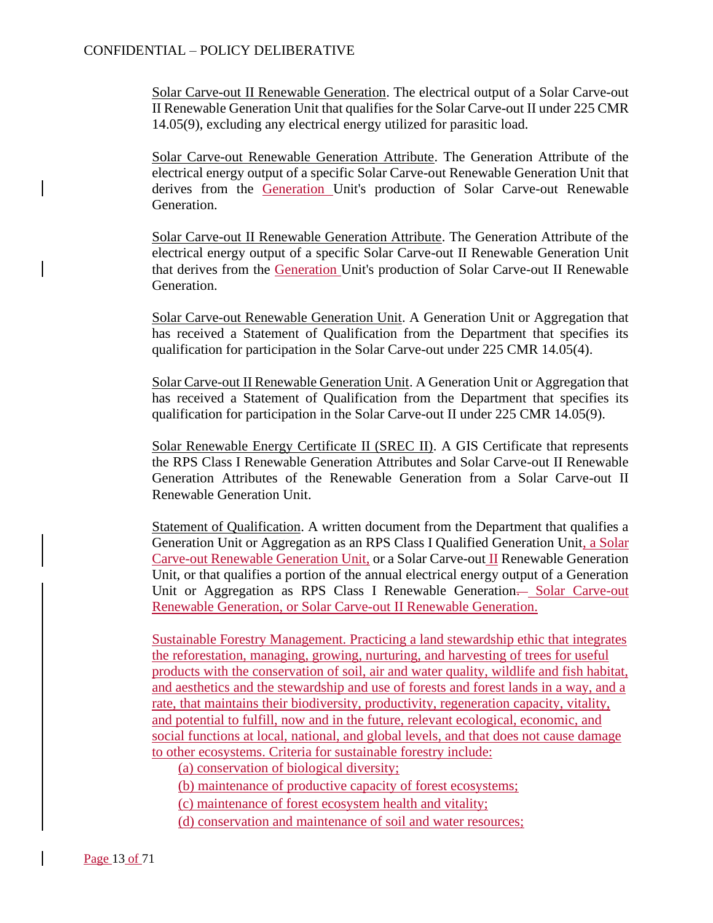Solar Carve-out II Renewable Generation. The electrical output of a Solar Carve-out II Renewable Generation Unit that qualifies for the Solar Carve-out II under 225 CMR 14.05(9), excluding any electrical energy utilized for parasitic load.

Solar Carve-out Renewable Generation Attribute. The Generation Attribute of the electrical energy output of a specific Solar Carve-out Renewable Generation Unit that derives from the Generation Unit's production of Solar Carve-out Renewable Generation.

Solar Carve-out II Renewable Generation Attribute. The Generation Attribute of the electrical energy output of a specific Solar Carve-out II Renewable Generation Unit that derives from the Generation Unit's production of Solar Carve-out II Renewable Generation.

Solar Carve-out Renewable Generation Unit. A Generation Unit or Aggregation that has received a Statement of Qualification from the Department that specifies its qualification for participation in the Solar Carve-out under 225 CMR 14.05(4).

Solar Carve-out II Renewable Generation Unit. A Generation Unit or Aggregation that has received a Statement of Qualification from the Department that specifies its qualification for participation in the Solar Carve-out II under 225 CMR 14.05(9).

Solar Renewable Energy Certificate II (SREC II). A GIS Certificate that represents the RPS Class I Renewable Generation Attributes and Solar Carve-out II Renewable Generation Attributes of the Renewable Generation from a Solar Carve-out II Renewable Generation Unit.

Statement of Qualification. A written document from the Department that qualifies a Generation Unit or Aggregation as an RPS Class I Qualified Generation Unit, a Solar Carve-out Renewable Generation Unit, or a Solar Carve-out II Renewable Generation Unit, or that qualifies a portion of the annual electrical energy output of a Generation Unit or Aggregation as RPS Class I Renewable Generation— Solar Carve-out Renewable Generation, or Solar Carve-out II Renewable Generation.

Sustainable Forestry Management. Practicing a land stewardship ethic that integrates the reforestation, managing, growing, nurturing, and harvesting of trees for useful products with the conservation of soil, air and water quality, wildlife and fish habitat, and aesthetics and the stewardship and use of forests and forest lands in a way, and a rate, that maintains their biodiversity, productivity, regeneration capacity, vitality, and potential to fulfill, now and in the future, relevant ecological, economic, and social functions at local, national, and global levels, and that does not cause damage to other ecosystems. Criteria for sustainable forestry include:

(a) conservation of biological diversity;

(b) maintenance of productive capacity of forest ecosystems;

(c) maintenance of forest ecosystem health and vitality;

(d) conservation and maintenance of soil and water resources;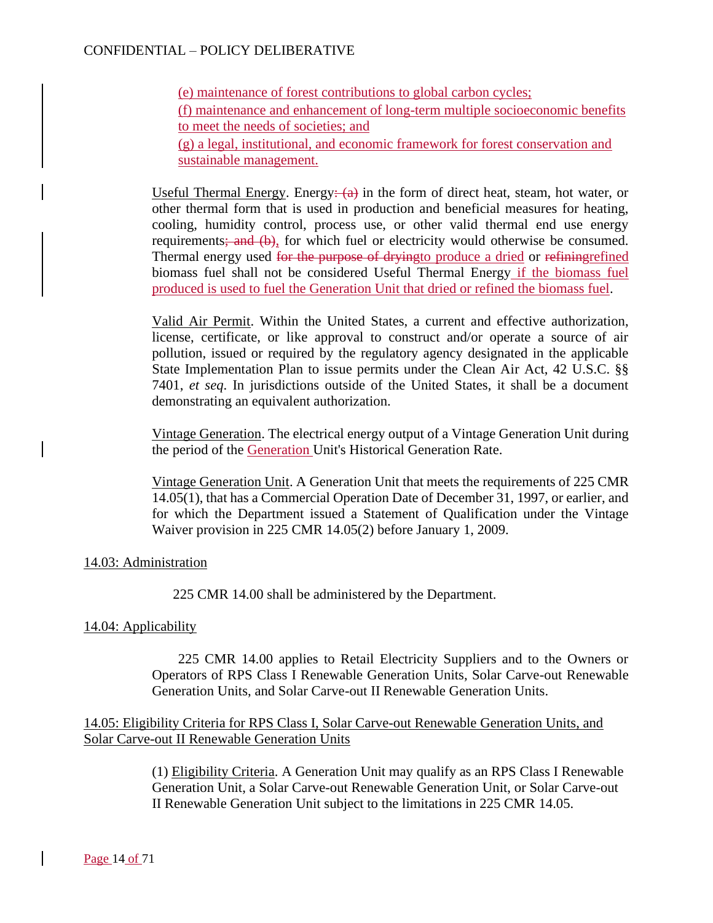(e) maintenance of forest contributions to global carbon cycles; (f) maintenance and enhancement of long-term multiple socioeconomic benefits to meet the needs of societies; and (g) a legal, institutional, and economic framework for forest conservation and sustainable management.

Useful Thermal Energy. Energy:  $(a)$  in the form of direct heat, steam, hot water, or other thermal form that is used in production and beneficial measures for heating, cooling, humidity control, process use, or other valid thermal end use energy requirements; and (b), for which fuel or electricity would otherwise be consumed. Thermal energy used for the purpose of dryingto produce a dried or refining refined biomass fuel shall not be considered Useful Thermal Energy if the biomass fuel produced is used to fuel the Generation Unit that dried or refined the biomass fuel.

Valid Air Permit. Within the United States, a current and effective authorization, license, certificate, or like approval to construct and/or operate a source of air pollution, issued or required by the regulatory agency designated in the applicable State Implementation Plan to issue permits under the Clean Air Act, 42 U.S.C. §§ 7401, *et seq*. In jurisdictions outside of the United States, it shall be a document demonstrating an equivalent authorization.

Vintage Generation. The electrical energy output of a Vintage Generation Unit during the period of the Generation Unit's Historical Generation Rate.

Vintage Generation Unit. A Generation Unit that meets the requirements of 225 CMR 14.05(1), that has a Commercial Operation Date of December 31, 1997, or earlier, and for which the Department issued a Statement of Qualification under the Vintage Waiver provision in 225 CMR 14.05(2) before January 1, 2009.

### 14.03: Administration

225 CMR 14.00 shall be administered by the Department.

### 14.04: Applicability

225 CMR 14.00 applies to Retail Electricity Suppliers and to the Owners or Operators of RPS Class I Renewable Generation Units, Solar Carve-out Renewable Generation Units, and Solar Carve-out II Renewable Generation Units.

### 14.05: Eligibility Criteria for RPS Class I, Solar Carve-out Renewable Generation Units, and Solar Carve-out II Renewable Generation Units

(1) Eligibility Criteria. A Generation Unit may qualify as an RPS Class I Renewable Generation Unit, a Solar Carve-out Renewable Generation Unit, or Solar Carve-out II Renewable Generation Unit subject to the limitations in 225 CMR 14.05.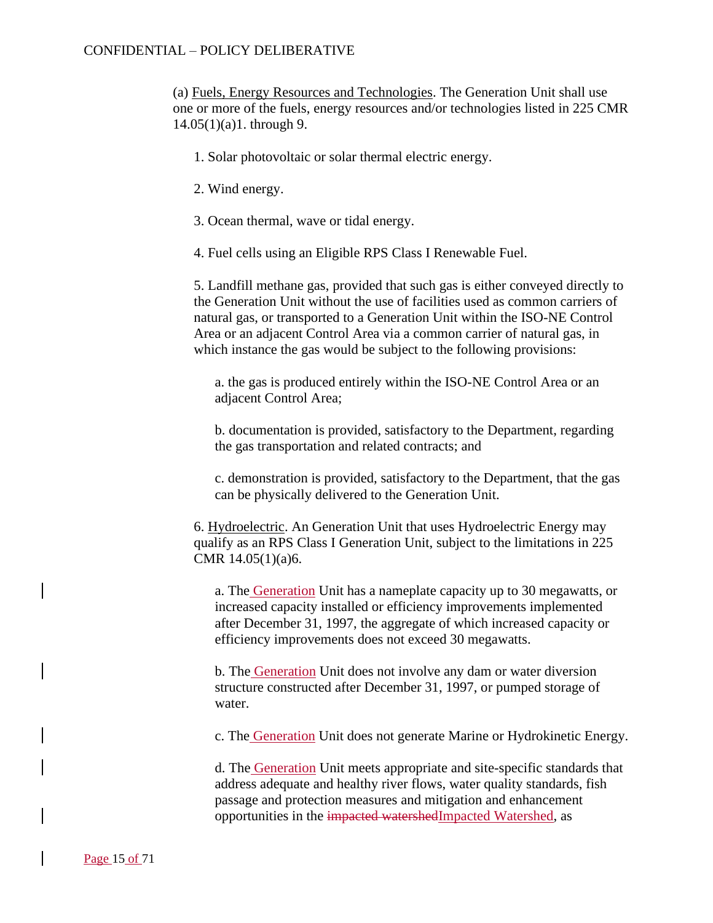(a) Fuels, Energy Resources and Technologies. The Generation Unit shall use one or more of the fuels, energy resources and/or technologies listed in 225 CMR 14.05(1)(a)1. through 9.

- 1. Solar photovoltaic or solar thermal electric energy.
- 2. Wind energy.
- 3. Ocean thermal, wave or tidal energy.
- 4. Fuel cells using an Eligible RPS Class I Renewable Fuel.

5. Landfill methane gas, provided that such gas is either conveyed directly to the Generation Unit without the use of facilities used as common carriers of natural gas, or transported to a Generation Unit within the ISO-NE Control Area or an adjacent Control Area via a common carrier of natural gas, in which instance the gas would be subject to the following provisions:

a. the gas is produced entirely within the ISO-NE Control Area or an adjacent Control Area;

b. documentation is provided, satisfactory to the Department, regarding the gas transportation and related contracts; and

c. demonstration is provided, satisfactory to the Department, that the gas can be physically delivered to the Generation Unit.

6. Hydroelectric. An Generation Unit that uses Hydroelectric Energy may qualify as an RPS Class I Generation Unit, subject to the limitations in 225 CMR 14.05(1)(a)6.

a. The Generation Unit has a nameplate capacity up to 30 megawatts, or increased capacity installed or efficiency improvements implemented after December 31, 1997, the aggregate of which increased capacity or efficiency improvements does not exceed 30 megawatts.

b. The Generation Unit does not involve any dam or water diversion structure constructed after December 31, 1997, or pumped storage of water.

c. The Generation Unit does not generate Marine or Hydrokinetic Energy.

d. The Generation Unit meets appropriate and site-specific standards that address adequate and healthy river flows, water quality standards, fish passage and protection measures and mitigation and enhancement opportunities in the impacted watershedImpacted Watershed, as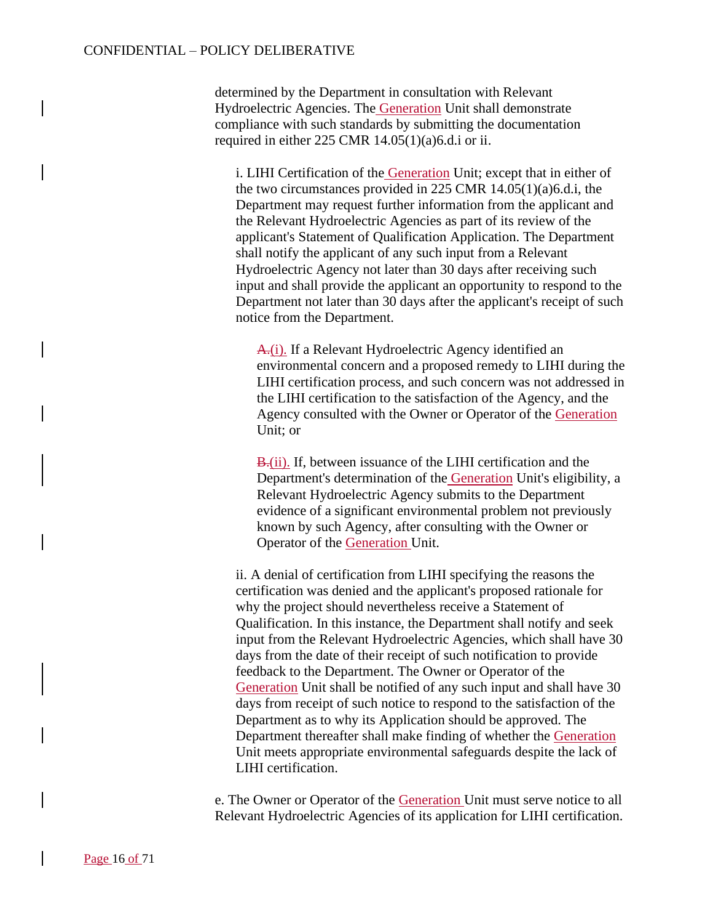determined by the Department in consultation with Relevant Hydroelectric Agencies. The Generation Unit shall demonstrate compliance with such standards by submitting the documentation required in either 225 CMR 14.05(1)(a)6.d.i or ii.

i. LIHI Certification of the Generation Unit; except that in either of the two circumstances provided in 225 CMR 14.05(1)(a)6.d.i, the Department may request further information from the applicant and the Relevant Hydroelectric Agencies as part of its review of the applicant's Statement of Qualification Application. The Department shall notify the applicant of any such input from a Relevant Hydroelectric Agency not later than 30 days after receiving such input and shall provide the applicant an opportunity to respond to the Department not later than 30 days after the applicant's receipt of such notice from the Department.

A.(i). If a Relevant Hydroelectric Agency identified an environmental concern and a proposed remedy to LIHI during the LIHI certification process, and such concern was not addressed in the LIHI certification to the satisfaction of the Agency, and the Agency consulted with the Owner or Operator of the Generation Unit; or

B<sub>r</sub>(ii). If, between issuance of the LIHI certification and the Department's determination of the Generation Unit's eligibility, a Relevant Hydroelectric Agency submits to the Department evidence of a significant environmental problem not previously known by such Agency, after consulting with the Owner or Operator of the Generation Unit.

ii. A denial of certification from LIHI specifying the reasons the certification was denied and the applicant's proposed rationale for why the project should nevertheless receive a Statement of Qualification. In this instance, the Department shall notify and seek input from the Relevant Hydroelectric Agencies, which shall have 30 days from the date of their receipt of such notification to provide feedback to the Department. The Owner or Operator of the Generation Unit shall be notified of any such input and shall have 30 days from receipt of such notice to respond to the satisfaction of the Department as to why its Application should be approved. The Department thereafter shall make finding of whether the Generation Unit meets appropriate environmental safeguards despite the lack of LIHI certification.

e. The Owner or Operator of the Generation Unit must serve notice to all Relevant Hydroelectric Agencies of its application for LIHI certification.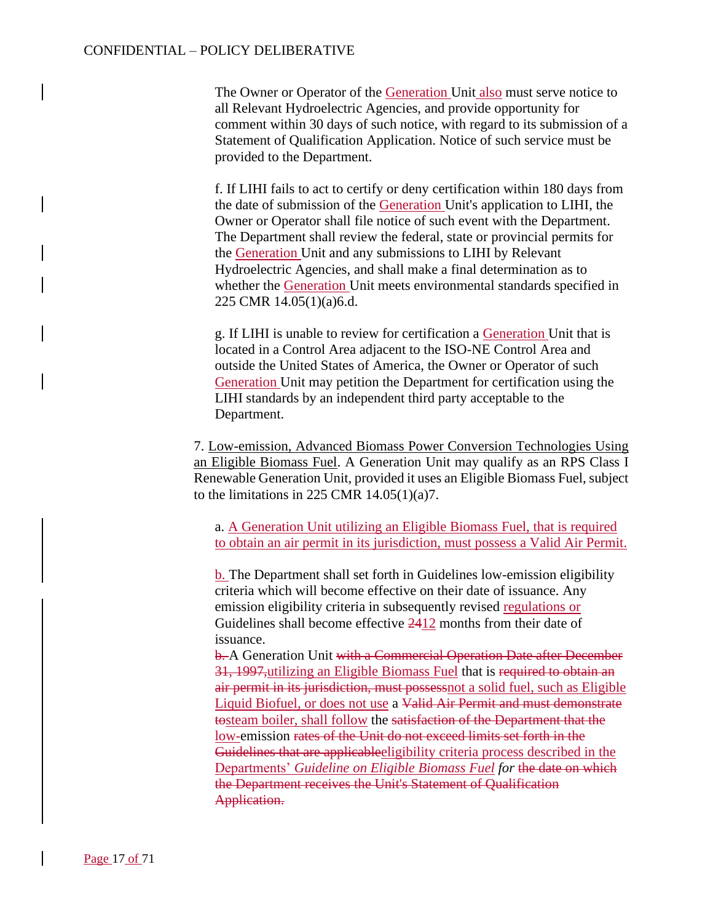The Owner or Operator of the Generation Unit also must serve notice to all Relevant Hydroelectric Agencies, and provide opportunity for comment within 30 days of such notice, with regard to its submission of a Statement of Qualification Application. Notice of such service must be provided to the Department.

f. If LIHI fails to act to certify or deny certification within 180 days from the date of submission of the Generation Unit's application to LIHI, the Owner or Operator shall file notice of such event with the Department. The Department shall review the federal, state or provincial permits for the Generation Unit and any submissions to LIHI by Relevant Hydroelectric Agencies, and shall make a final determination as to whether the Generation Unit meets environmental standards specified in 225 CMR 14.05(1)(a)6.d.

g. If LIHI is unable to review for certification a Generation Unit that is located in a Control Area adjacent to the ISO-NE Control Area and outside the United States of America, the Owner or Operator of such Generation Unit may petition the Department for certification using the LIHI standards by an independent third party acceptable to the Department.

7. Low-emission, Advanced Biomass Power Conversion Technologies Using an Eligible Biomass Fuel. A Generation Unit may qualify as an RPS Class I Renewable Generation Unit, provided it uses an Eligible Biomass Fuel, subject to the limitations in 225 CMR  $14.05(1)(a)7$ .

a. A Generation Unit utilizing an Eligible Biomass Fuel, that is required to obtain an air permit in its jurisdiction, must possess a Valid Air Permit.

b. The Department shall set forth in Guidelines low-emission eligibility criteria which will become effective on their date of issuance. Any emission eligibility criteria in subsequently revised regulations or Guidelines shall become effective 2412 months from their date of issuance.

b. A Generation Unit with a Commercial Operation Date after December 31, 1997,utilizing an Eligible Biomass Fuel that is required to obtain an air permit in its jurisdiction, must possessnot a solid fuel, such as Eligible Liquid Biofuel, or does not use a Valid Air Permit and must demonstrate tosteam boiler, shall follow the satisfaction of the Department that the low-emission rates of the Unit do not exceed limits set forth in the Guidelines that are applicableeligibility criteria process described in the Departments' *Guideline on Eligible Biomass Fuel for* the date on which the Department receives the Unit's Statement of Qualification Application.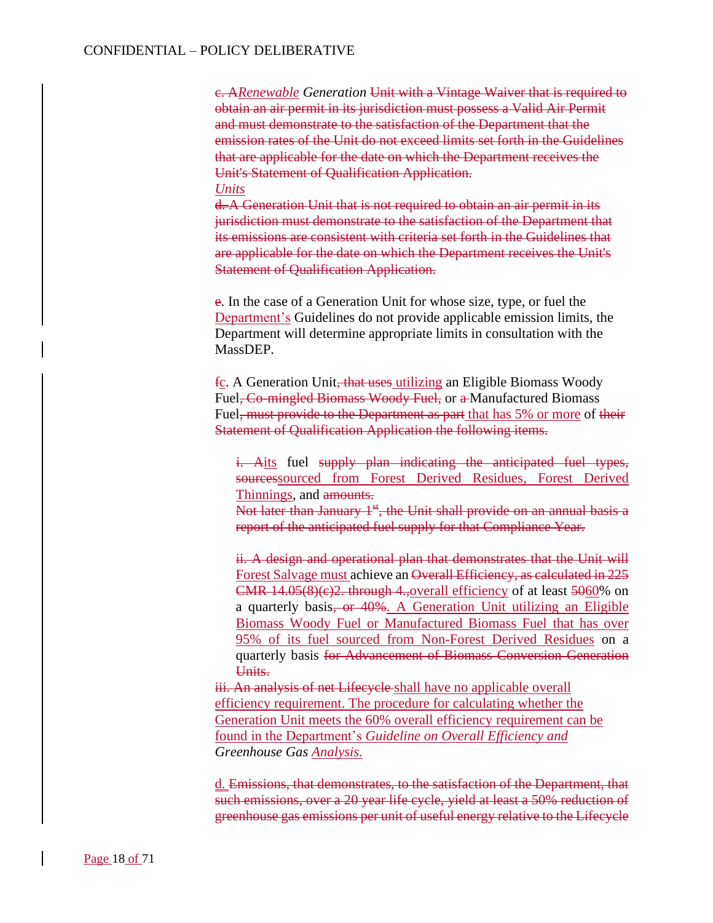c. A*Renewable Generation* Unit with a Vintage Waiver that is required to obtain an air permit in its jurisdiction must possess a Valid Air Permit and must demonstrate to the satisfaction of the Department that the emission rates of the Unit do not exceed limits set forth in the Guidelines that are applicable for the date on which the Department receives the Unit's Statement of Qualification Application. *Units*

d. A Generation Unit that is not required to obtain an air permit in its jurisdiction must demonstrate to the satisfaction of the Department that its emissions are consistent with criteria set forth in the Guidelines that are applicable for the date on which the Department receives the Unit's **Statement of Qualification Application.** 

e. In the case of a Generation Unit for whose size, type, or fuel the Department's Guidelines do not provide applicable emission limits, the Department will determine appropriate limits in consultation with the MassDEP.

fc. A Generation Unit, that uses utilizing an Eligible Biomass Woody Fuel<del>, Co-mingled Biomass Woody Fuel,</del> or a Manufactured Biomass Fuel<del>, must provide to the Department as part</del> that has 5% or more of their Statement of Qualification Application the following items.

i. Aits fuel supply plan indicating the anticipated fuel types, sourcessourced from Forest Derived Residues, Forest Derived Thinnings, and amounts.

Not later than January 1<sup>st</sup>, the Unit shall provide on an annual basis a report of the anticipated fuel supply for that Compliance Year.

ii. A design and operational plan that demonstrates that the Unit will Forest Salvage must achieve an Overall Efficiency, as calculated in 225 CMR  $14.05(8)(e)$ <sup>2</sup>. through 4., overall efficiency of at least 5060% on a quarterly basis, or 40%. A Generation Unit utilizing an Eligible Biomass Woody Fuel or Manufactured Biomass Fuel that has over 95% of its fuel sourced from Non-Forest Derived Residues on a quarterly basis for Advancement of Biomass Conversion Generation Units.

iii. An analysis of net Lifecycle shall have no applicable overall efficiency requirement. The procedure for calculating whether the Generation Unit meets the 60% overall efficiency requirement can be found in the Department's *Guideline on Overall Efficiency and Greenhouse Gas Analysis.*

d. Emissions, that demonstrates, to the satisfaction of the Department, that such emissions, over a 20 year life cycle, yield at least a 50% reduction of greenhouse gas emissions per unit of useful energy relative to the Lifecycle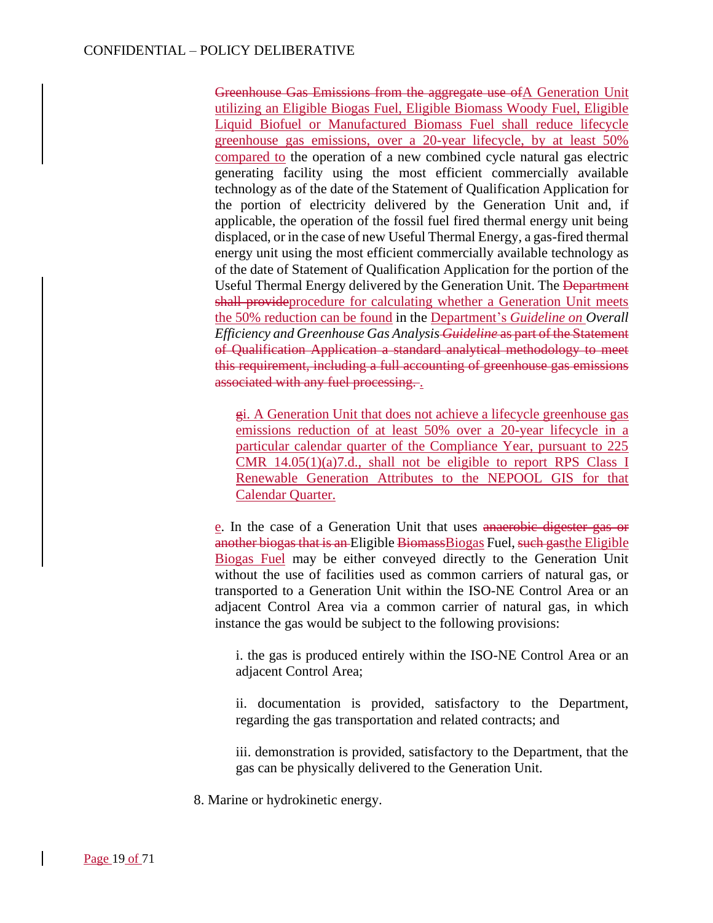Greenhouse Gas Emissions from the aggregate use ofA Generation Unit utilizing an Eligible Biogas Fuel, Eligible Biomass Woody Fuel, Eligible Liquid Biofuel or Manufactured Biomass Fuel shall reduce lifecycle greenhouse gas emissions, over a 20-year lifecycle, by at least 50% compared to the operation of a new combined cycle natural gas electric generating facility using the most efficient commercially available technology as of the date of the Statement of Qualification Application for the portion of electricity delivered by the Generation Unit and, if applicable, the operation of the fossil fuel fired thermal energy unit being displaced, or in the case of new Useful Thermal Energy, a gas-fired thermal energy unit using the most efficient commercially available technology as of the date of Statement of Qualification Application for the portion of the Useful Thermal Energy delivered by the Generation Unit. The Department shall provideprocedure for calculating whether a Generation Unit meets the 50% reduction can be found in the Department's *Guideline on Overall Efficiency and Greenhouse Gas Analysis Guideline* as part of the Statement of Qualification Application a standard analytical methodology to meet this requirement, including a full accounting of greenhouse gas emissions associated with any fuel processing...

gi. A Generation Unit that does not achieve a lifecycle greenhouse gas emissions reduction of at least 50% over a 20-year lifecycle in a particular calendar quarter of the Compliance Year, pursuant to 225 CMR 14.05(1)(a)7.d., shall not be eligible to report RPS Class I Renewable Generation Attributes to the NEPOOL GIS for that Calendar Quarter.

e. In the case of a Generation Unit that uses anaerobic digester gas or another biogas that is an Eligible BiomassBiogas Fuel, such gasthe Eligible Biogas Fuel may be either conveyed directly to the Generation Unit without the use of facilities used as common carriers of natural gas, or transported to a Generation Unit within the ISO-NE Control Area or an adjacent Control Area via a common carrier of natural gas, in which instance the gas would be subject to the following provisions:

i. the gas is produced entirely within the ISO-NE Control Area or an adjacent Control Area;

ii. documentation is provided, satisfactory to the Department, regarding the gas transportation and related contracts; and

iii. demonstration is provided, satisfactory to the Department, that the gas can be physically delivered to the Generation Unit.

8. Marine or hydrokinetic energy.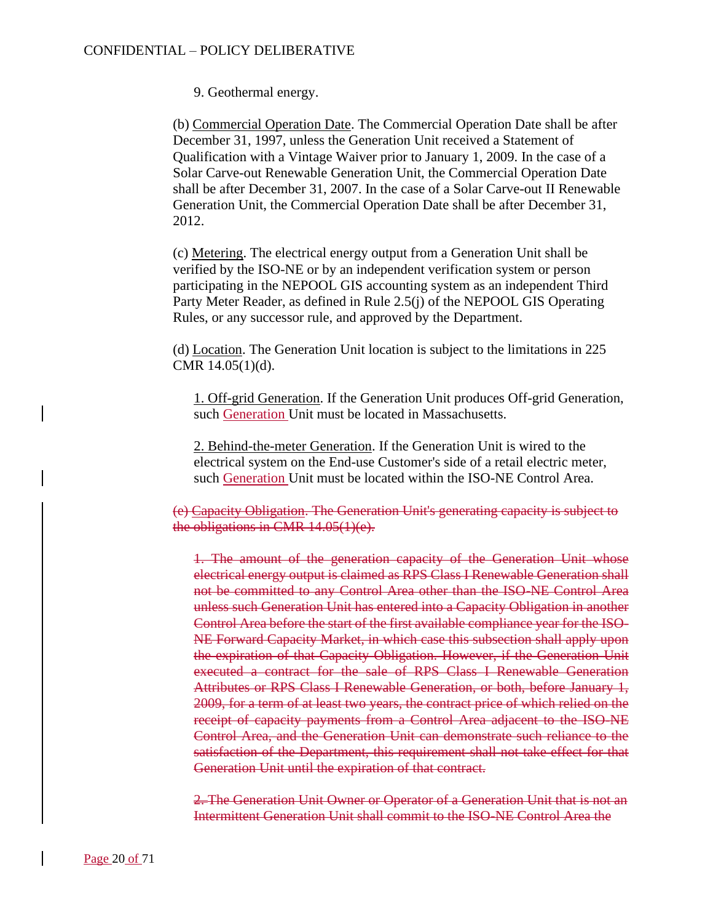9. Geothermal energy.

(b) Commercial Operation Date. The Commercial Operation Date shall be after December 31, 1997, unless the Generation Unit received a Statement of Qualification with a Vintage Waiver prior to January 1, 2009. In the case of a Solar Carve-out Renewable Generation Unit, the Commercial Operation Date shall be after December 31, 2007. In the case of a Solar Carve-out II Renewable Generation Unit, the Commercial Operation Date shall be after December 31, 2012.

(c) Metering. The electrical energy output from a Generation Unit shall be verified by the ISO-NE or by an independent verification system or person participating in the NEPOOL GIS accounting system as an independent Third Party Meter Reader, as defined in Rule 2.5(j) of the NEPOOL GIS Operating Rules, or any successor rule, and approved by the Department.

(d) Location. The Generation Unit location is subject to the limitations in 225 CMR 14.05(1)(d).

1. Off-grid Generation. If the Generation Unit produces Off-grid Generation, such Generation Unit must be located in Massachusetts.

2. Behind-the-meter Generation. If the Generation Unit is wired to the electrical system on the End-use Customer's side of a retail electric meter, such Generation Unit must be located within the ISO-NE Control Area.

(e) Capacity Obligation. The Generation Unit's generating capacity is subject to the obligations in CMR 14.05(1)(e).

1. The amount of the generation capacity of the Generation Unit whose electrical energy output is claimed as RPS Class I Renewable Generation shall not be committed to any Control Area other than the ISO-NE Control Area unless such Generation Unit has entered into a Capacity Obligation in another Control Area before the start of the first available compliance year for the ISO-NE Forward Capacity Market, in which case this subsection shall apply upon the expiration of that Capacity Obligation. However, if the Generation Unit executed a contract for the sale of RPS Class I Renewable Generation Attributes or RPS Class I Renewable Generation, or both, before January 1, 2009, for a term of at least two years, the contract price of which relied on the receipt of capacity payments from a Control Area adjacent to the ISO-NE Control Area, and the Generation Unit can demonstrate such reliance to the satisfaction of the Department, this requirement shall not take effect for that Generation Unit until the expiration of that contract.

2. The Generation Unit Owner or Operator of a Generation Unit that is not an Intermittent Generation Unit shall commit to the ISO-NE Control Area the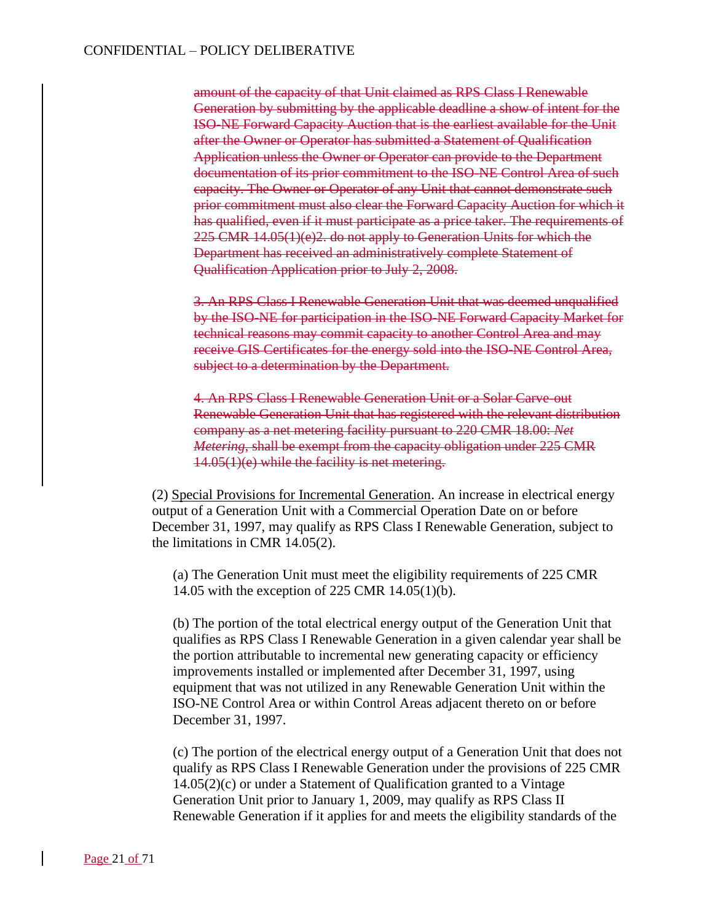amount of the capacity of that Unit claimed as RPS Class I Renewable Generation by submitting by the applicable deadline a show of intent for the ISO-NE Forward Capacity Auction that is the earliest available for the Unit after the Owner or Operator has submitted a Statement of Qualification Application unless the Owner or Operator can provide to the Department documentation of its prior commitment to the ISO-NE Control Area of such capacity. The Owner or Operator of any Unit that cannot demonstrate such prior commitment must also clear the Forward Capacity Auction for which it has qualified, even if it must participate as a price taker. The requirements of 225 CMR 14.05(1)(e)2. do not apply to Generation Units for which the Department has received an administratively complete Statement of Qualification Application prior to July 2, 2008.

3. An RPS Class I Renewable Generation Unit that was deemed unqualified by the ISO-NE for participation in the ISO-NE Forward Capacity Market for technical reasons may commit capacity to another Control Area and may receive GIS Certificates for the energy sold into the ISO-NE Control Area, subject to a determination by the Department.

4. An RPS Class I Renewable Generation Unit or a Solar Carve-out Renewable Generation Unit that has registered with the relevant distribution company as a net metering facility pursuant to 220 CMR 18.00: *Net Metering*, shall be exempt from the capacity obligation under 225 CMR 14.05(1)(e) while the facility is net metering.

(2) Special Provisions for Incremental Generation. An increase in electrical energy output of a Generation Unit with a Commercial Operation Date on or before December 31, 1997, may qualify as RPS Class I Renewable Generation, subject to the limitations in CMR 14.05(2).

(a) The Generation Unit must meet the eligibility requirements of 225 CMR 14.05 with the exception of 225 CMR 14.05(1)(b).

(b) The portion of the total electrical energy output of the Generation Unit that qualifies as RPS Class I Renewable Generation in a given calendar year shall be the portion attributable to incremental new generating capacity or efficiency improvements installed or implemented after December 31, 1997, using equipment that was not utilized in any Renewable Generation Unit within the ISO-NE Control Area or within Control Areas adjacent thereto on or before December 31, 1997.

(c) The portion of the electrical energy output of a Generation Unit that does not qualify as RPS Class I Renewable Generation under the provisions of 225 CMR 14.05(2)(c) or under a Statement of Qualification granted to a Vintage Generation Unit prior to January 1, 2009, may qualify as RPS Class II Renewable Generation if it applies for and meets the eligibility standards of the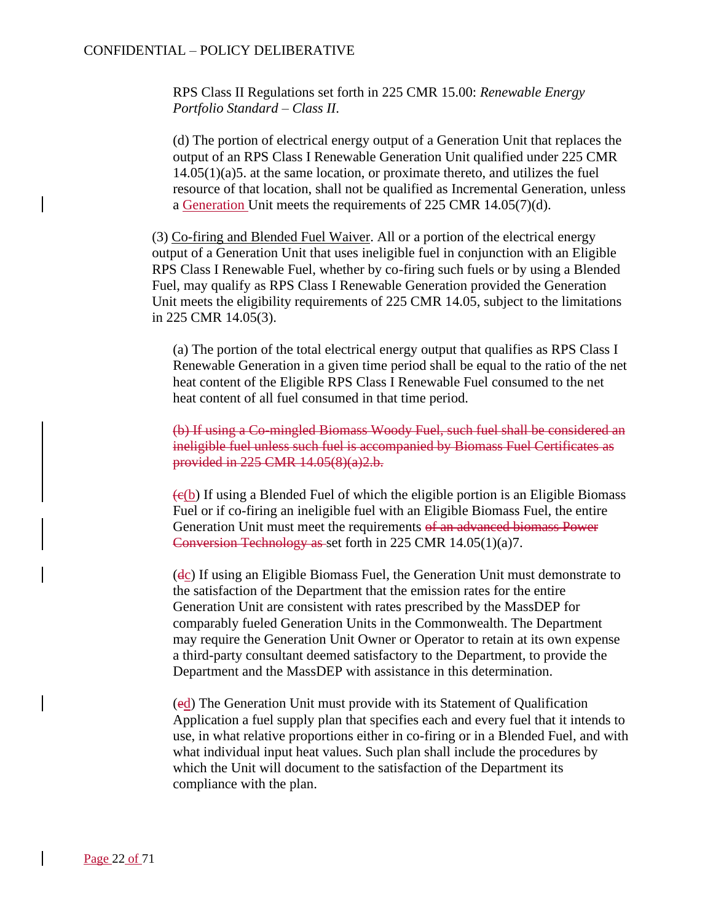RPS Class II Regulations set forth in 225 CMR 15.00: *Renewable Energy Portfolio Standard – Class II*.

(d) The portion of electrical energy output of a Generation Unit that replaces the output of an RPS Class I Renewable Generation Unit qualified under 225 CMR 14.05(1)(a)5. at the same location, or proximate thereto, and utilizes the fuel resource of that location, shall not be qualified as Incremental Generation, unless a Generation Unit meets the requirements of 225 CMR 14.05(7)(d).

(3) Co-firing and Blended Fuel Waiver. All or a portion of the electrical energy output of a Generation Unit that uses ineligible fuel in conjunction with an Eligible RPS Class I Renewable Fuel, whether by co-firing such fuels or by using a Blended Fuel, may qualify as RPS Class I Renewable Generation provided the Generation Unit meets the eligibility requirements of 225 CMR 14.05, subject to the limitations in 225 CMR 14.05(3).

(a) The portion of the total electrical energy output that qualifies as RPS Class I Renewable Generation in a given time period shall be equal to the ratio of the net heat content of the Eligible RPS Class I Renewable Fuel consumed to the net heat content of all fuel consumed in that time period.

(b) If using a Co-mingled Biomass Woody Fuel, such fuel shall be considered an ineligible fuel unless such fuel is accompanied by Biomass Fuel Certificates as provided in 225 CMR 14.05(8)(a)2.b.

 $\left( \frac{e(b)}{b} \right)$  If using a Blended Fuel of which the eligible portion is an Eligible Biomass Fuel or if co-firing an ineligible fuel with an Eligible Biomass Fuel, the entire Generation Unit must meet the requirements of an advanced biomass Power Conversion Technology as set forth in 225 CMR 14.05(1)(a)7.

(dc) If using an Eligible Biomass Fuel, the Generation Unit must demonstrate to the satisfaction of the Department that the emission rates for the entire Generation Unit are consistent with rates prescribed by the MassDEP for comparably fueled Generation Units in the Commonwealth. The Department may require the Generation Unit Owner or Operator to retain at its own expense a third-party consultant deemed satisfactory to the Department, to provide the Department and the MassDEP with assistance in this determination.

(ed) The Generation Unit must provide with its Statement of Qualification Application a fuel supply plan that specifies each and every fuel that it intends to use, in what relative proportions either in co-firing or in a Blended Fuel, and with what individual input heat values. Such plan shall include the procedures by which the Unit will document to the satisfaction of the Department its compliance with the plan.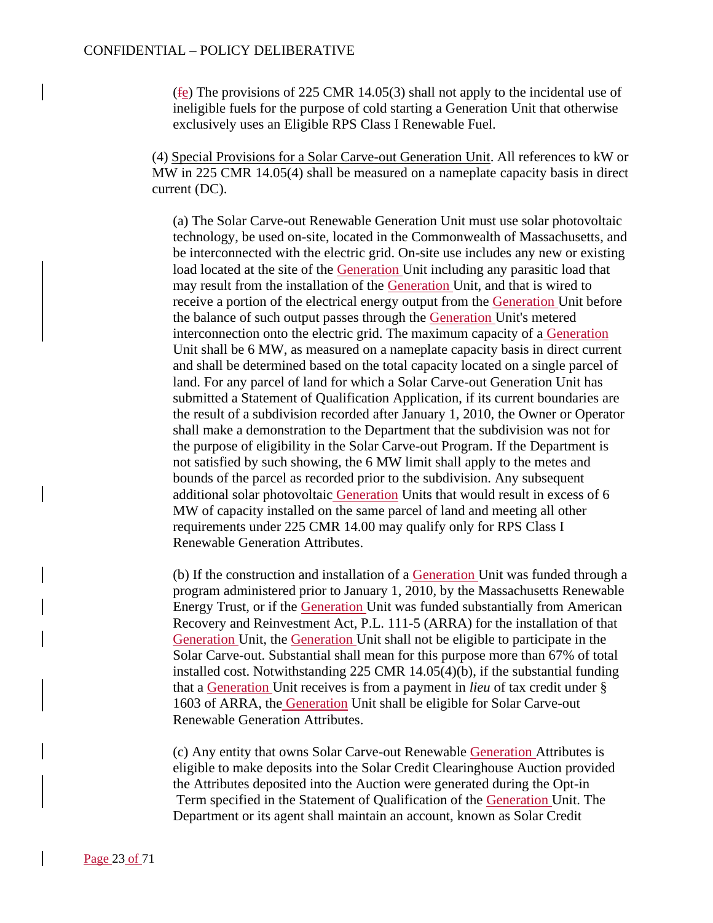(fe) The provisions of 225 CMR 14.05(3) shall not apply to the incidental use of ineligible fuels for the purpose of cold starting a Generation Unit that otherwise exclusively uses an Eligible RPS Class I Renewable Fuel.

(4) Special Provisions for a Solar Carve-out Generation Unit. All references to kW or MW in 225 CMR 14.05(4) shall be measured on a nameplate capacity basis in direct current (DC).

(a) The Solar Carve-out Renewable Generation Unit must use solar photovoltaic technology, be used on-site, located in the Commonwealth of Massachusetts, and be interconnected with the electric grid. On-site use includes any new or existing load located at the site of the Generation Unit including any parasitic load that may result from the installation of the Generation Unit, and that is wired to receive a portion of the electrical energy output from the Generation Unit before the balance of such output passes through the Generation Unit's metered interconnection onto the electric grid. The maximum capacity of a Generation Unit shall be 6 MW, as measured on a nameplate capacity basis in direct current and shall be determined based on the total capacity located on a single parcel of land. For any parcel of land for which a Solar Carve-out Generation Unit has submitted a Statement of Qualification Application, if its current boundaries are the result of a subdivision recorded after January 1, 2010, the Owner or Operator shall make a demonstration to the Department that the subdivision was not for the purpose of eligibility in the Solar Carve-out Program. If the Department is not satisfied by such showing, the 6 MW limit shall apply to the metes and bounds of the parcel as recorded prior to the subdivision. Any subsequent additional solar photovoltaic Generation Units that would result in excess of 6 MW of capacity installed on the same parcel of land and meeting all other requirements under 225 CMR 14.00 may qualify only for RPS Class I Renewable Generation Attributes.

(b) If the construction and installation of a Generation Unit was funded through a program administered prior to January 1, 2010, by the Massachusetts Renewable Energy Trust, or if the Generation Unit was funded substantially from American Recovery and Reinvestment Act, P.L. 111-5 (ARRA) for the installation of that Generation Unit, the Generation Unit shall not be eligible to participate in the Solar Carve-out. Substantial shall mean for this purpose more than 67% of total installed cost. Notwithstanding 225 CMR 14.05(4)(b), if the substantial funding that a Generation Unit receives is from a payment in *lieu* of tax credit under § 1603 of ARRA, the Generation Unit shall be eligible for Solar Carve-out Renewable Generation Attributes.

(c) Any entity that owns Solar Carve-out Renewable Generation Attributes is eligible to make deposits into the Solar Credit Clearinghouse Auction provided the Attributes deposited into the Auction were generated during the Opt-in Term specified in the Statement of Qualification of the Generation Unit. The Department or its agent shall maintain an account, known as Solar Credit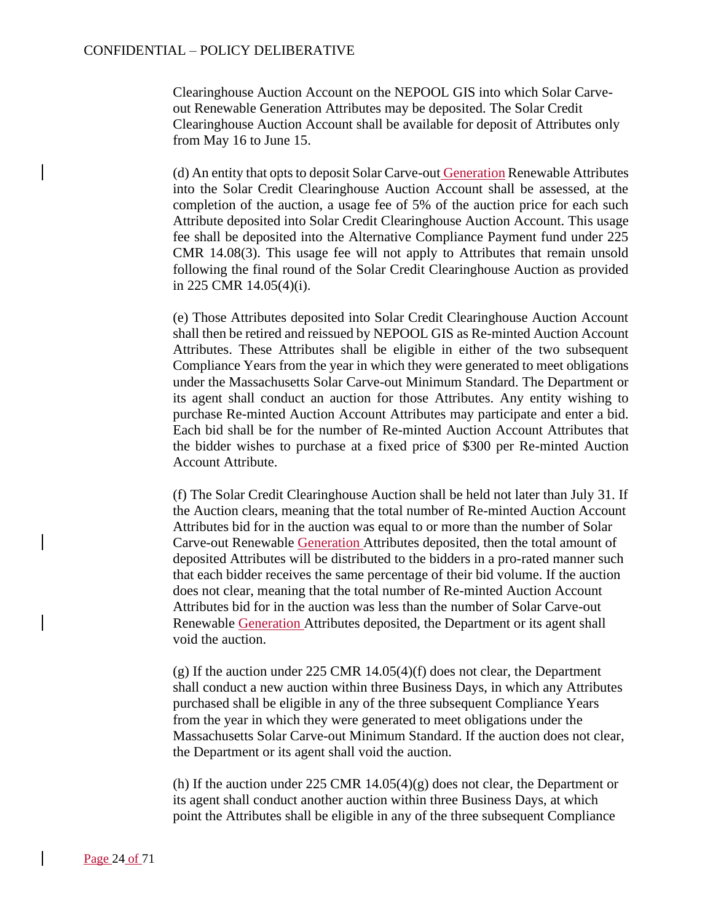Clearinghouse Auction Account on the NEPOOL GIS into which Solar Carveout Renewable Generation Attributes may be deposited. The Solar Credit Clearinghouse Auction Account shall be available for deposit of Attributes only from May 16 to June 15.

(d) An entity that opts to deposit Solar Carve-out Generation Renewable Attributes into the Solar Credit Clearinghouse Auction Account shall be assessed, at the completion of the auction, a usage fee of 5% of the auction price for each such Attribute deposited into Solar Credit Clearinghouse Auction Account. This usage fee shall be deposited into the Alternative Compliance Payment fund under 225 CMR 14.08(3). This usage fee will not apply to Attributes that remain unsold following the final round of the Solar Credit Clearinghouse Auction as provided in 225 CMR 14.05(4)(i).

(e) Those Attributes deposited into Solar Credit Clearinghouse Auction Account shall then be retired and reissued by NEPOOL GIS as Re-minted Auction Account Attributes. These Attributes shall be eligible in either of the two subsequent Compliance Years from the year in which they were generated to meet obligations under the Massachusetts Solar Carve-out Minimum Standard. The Department or its agent shall conduct an auction for those Attributes. Any entity wishing to purchase Re-minted Auction Account Attributes may participate and enter a bid. Each bid shall be for the number of Re-minted Auction Account Attributes that the bidder wishes to purchase at a fixed price of \$300 per Re-minted Auction Account Attribute.

(f) The Solar Credit Clearinghouse Auction shall be held not later than July 31. If the Auction clears, meaning that the total number of Re-minted Auction Account Attributes bid for in the auction was equal to or more than the number of Solar Carve-out Renewable Generation Attributes deposited, then the total amount of deposited Attributes will be distributed to the bidders in a pro-rated manner such that each bidder receives the same percentage of their bid volume. If the auction does not clear, meaning that the total number of Re-minted Auction Account Attributes bid for in the auction was less than the number of Solar Carve-out Renewable Generation Attributes deposited, the Department or its agent shall void the auction.

(g) If the auction under 225 CMR 14.05(4)(f) does not clear, the Department shall conduct a new auction within three Business Days, in which any Attributes purchased shall be eligible in any of the three subsequent Compliance Years from the year in which they were generated to meet obligations under the Massachusetts Solar Carve-out Minimum Standard. If the auction does not clear, the Department or its agent shall void the auction.

(h) If the auction under 225 CMR  $14.05(4)(g)$  does not clear, the Department or its agent shall conduct another auction within three Business Days, at which point the Attributes shall be eligible in any of the three subsequent Compliance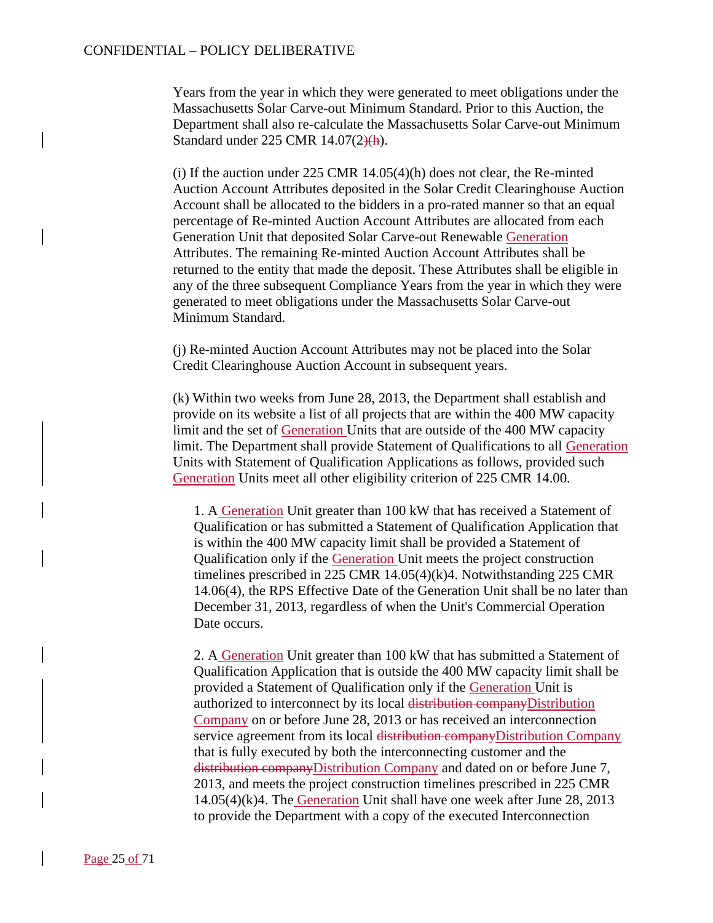Years from the year in which they were generated to meet obligations under the Massachusetts Solar Carve-out Minimum Standard. Prior to this Auction, the Department shall also re-calculate the Massachusetts Solar Carve-out Minimum Standard under 225 CMR 14.07(2)(h).

(i) If the auction under  $225$  CMR  $14.05(4)(h)$  does not clear, the Re-minted Auction Account Attributes deposited in the Solar Credit Clearinghouse Auction Account shall be allocated to the bidders in a pro-rated manner so that an equal percentage of Re-minted Auction Account Attributes are allocated from each Generation Unit that deposited Solar Carve-out Renewable Generation Attributes. The remaining Re-minted Auction Account Attributes shall be returned to the entity that made the deposit. These Attributes shall be eligible in any of the three subsequent Compliance Years from the year in which they were generated to meet obligations under the Massachusetts Solar Carve-out Minimum Standard.

(j) Re-minted Auction Account Attributes may not be placed into the Solar Credit Clearinghouse Auction Account in subsequent years.

(k) Within two weeks from June 28, 2013, the Department shall establish and provide on its website a list of all projects that are within the 400 MW capacity limit and the set of Generation Units that are outside of the 400 MW capacity limit. The Department shall provide Statement of Qualifications to all Generation Units with Statement of Qualification Applications as follows, provided such Generation Units meet all other eligibility criterion of 225 CMR 14.00.

1. A Generation Unit greater than 100 kW that has received a Statement of Qualification or has submitted a Statement of Qualification Application that is within the 400 MW capacity limit shall be provided a Statement of Qualification only if the Generation Unit meets the project construction timelines prescribed in 225 CMR 14.05(4)(k)4. Notwithstanding 225 CMR 14.06(4), the RPS Effective Date of the Generation Unit shall be no later than December 31, 2013, regardless of when the Unit's Commercial Operation Date occurs.

2. A Generation Unit greater than 100 kW that has submitted a Statement of Qualification Application that is outside the 400 MW capacity limit shall be provided a Statement of Qualification only if the Generation Unit is authorized to interconnect by its local distribution companyDistribution Company on or before June 28, 2013 or has received an interconnection service agreement from its local distribution companyDistribution Company that is fully executed by both the interconnecting customer and the distribution companyDistribution Company and dated on or before June 7, 2013, and meets the project construction timelines prescribed in 225 CMR 14.05(4)(k)4. The Generation Unit shall have one week after June 28, 2013 to provide the Department with a copy of the executed Interconnection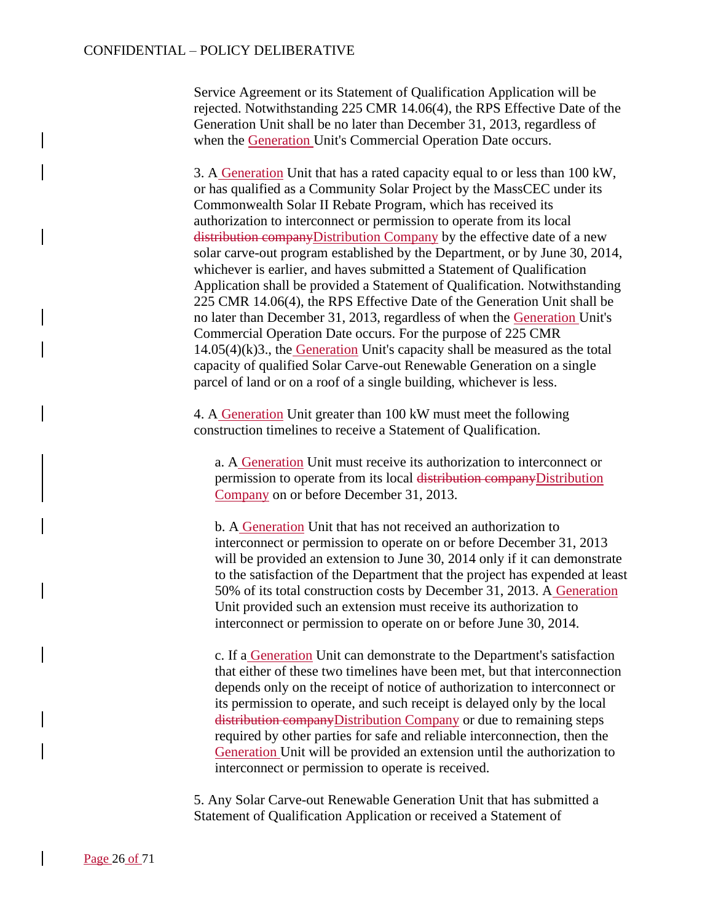Service Agreement or its Statement of Qualification Application will be rejected. Notwithstanding 225 CMR 14.06(4), the RPS Effective Date of the Generation Unit shall be no later than December 31, 2013, regardless of when the Generation Unit's Commercial Operation Date occurs.

3. A Generation Unit that has a rated capacity equal to or less than 100 kW, or has qualified as a Community Solar Project by the MassCEC under its Commonwealth Solar II Rebate Program, which has received its authorization to interconnect or permission to operate from its local distribution companyDistribution Company by the effective date of a new solar carve-out program established by the Department, or by June 30, 2014, whichever is earlier, and haves submitted a Statement of Qualification Application shall be provided a Statement of Qualification. Notwithstanding 225 CMR 14.06(4), the RPS Effective Date of the Generation Unit shall be no later than December 31, 2013, regardless of when the Generation Unit's Commercial Operation Date occurs. For the purpose of 225 CMR 14.05(4)(k)3., the Generation Unit's capacity shall be measured as the total capacity of qualified Solar Carve-out Renewable Generation on a single parcel of land or on a roof of a single building, whichever is less.

4. A Generation Unit greater than 100 kW must meet the following construction timelines to receive a Statement of Qualification.

a. A Generation Unit must receive its authorization to interconnect or permission to operate from its local distribution companyDistribution Company on or before December 31, 2013.

b. A Generation Unit that has not received an authorization to interconnect or permission to operate on or before December 31, 2013 will be provided an extension to June 30, 2014 only if it can demonstrate to the satisfaction of the Department that the project has expended at least 50% of its total construction costs by December 31, 2013. A Generation Unit provided such an extension must receive its authorization to interconnect or permission to operate on or before June 30, 2014.

c. If a Generation Unit can demonstrate to the Department's satisfaction that either of these two timelines have been met, but that interconnection depends only on the receipt of notice of authorization to interconnect or its permission to operate, and such receipt is delayed only by the local distribution companyDistribution Company or due to remaining steps required by other parties for safe and reliable interconnection, then the Generation Unit will be provided an extension until the authorization to interconnect or permission to operate is received.

5. Any Solar Carve-out Renewable Generation Unit that has submitted a Statement of Qualification Application or received a Statement of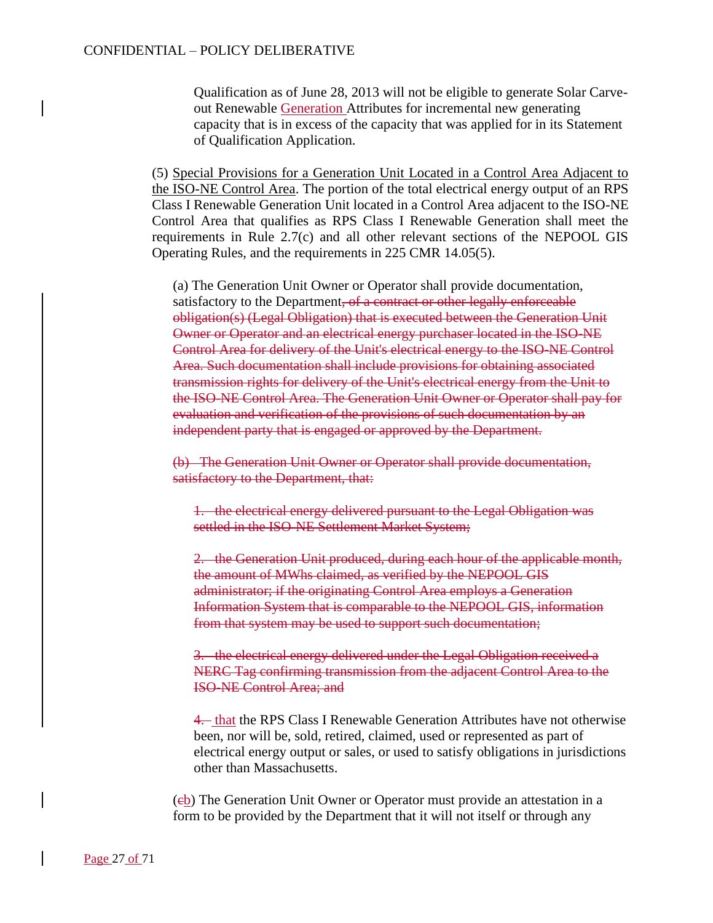Qualification as of June 28, 2013 will not be eligible to generate Solar Carveout Renewable Generation Attributes for incremental new generating capacity that is in excess of the capacity that was applied for in its Statement of Qualification Application.

(5) Special Provisions for a Generation Unit Located in a Control Area Adjacent to the ISO-NE Control Area. The portion of the total electrical energy output of an RPS Class I Renewable Generation Unit located in a Control Area adjacent to the ISO-NE Control Area that qualifies as RPS Class I Renewable Generation shall meet the requirements in Rule 2.7(c) and all other relevant sections of the NEPOOL GIS Operating Rules, and the requirements in 225 CMR 14.05(5).

(a) The Generation Unit Owner or Operator shall provide documentation, satisfactory to the Department, of a contract or other legally enforceable obligation(s) (Legal Obligation) that is executed between the Generation Unit Owner or Operator and an electrical energy purchaser located in the ISO-NE Control Area for delivery of the Unit's electrical energy to the ISO-NE Control Area. Such documentation shall include provisions for obtaining associated transmission rights for delivery of the Unit's electrical energy from the Unit to the ISO-NE Control Area. The Generation Unit Owner or Operator shall pay for evaluation and verification of the provisions of such documentation by an independent party that is engaged or approved by the Department.

(b) The Generation Unit Owner or Operator shall provide documentation, satisfactory to the Department, that:

1. the electrical energy delivered pursuant to the Legal Obligation was settled in the ISO-NE Settlement Market System;

2. the Generation Unit produced, during each hour of the applicable month, the amount of MWhs claimed, as verified by the NEPOOL GIS administrator; if the originating Control Area employs a Generation Information System that is comparable to the NEPOOL GIS, information from that system may be used to support such documentation;

3. the electrical energy delivered under the Legal Obligation received a NERC Tag confirming transmission from the adjacent Control Area to the ISO-NE Control Area; and

4. that the RPS Class I Renewable Generation Attributes have not otherwise been, nor will be, sold, retired, claimed, used or represented as part of electrical energy output or sales, or used to satisfy obligations in jurisdictions other than Massachusetts.

(eb) The Generation Unit Owner or Operator must provide an attestation in a form to be provided by the Department that it will not itself or through any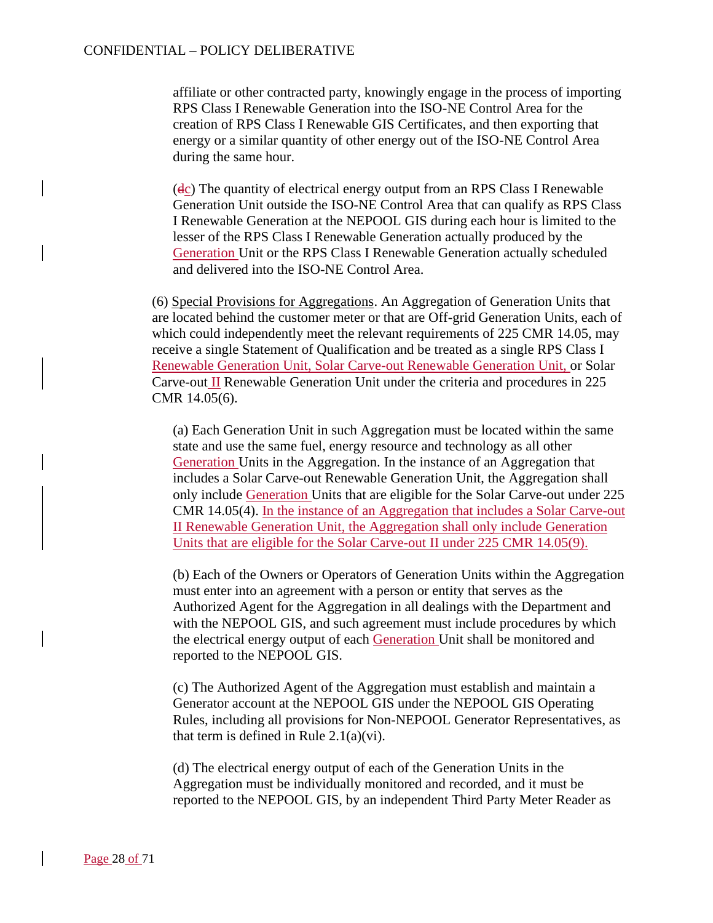affiliate or other contracted party, knowingly engage in the process of importing RPS Class I Renewable Generation into the ISO-NE Control Area for the creation of RPS Class I Renewable GIS Certificates, and then exporting that energy or a similar quantity of other energy out of the ISO-NE Control Area during the same hour.

(dc) The quantity of electrical energy output from an RPS Class I Renewable Generation Unit outside the ISO-NE Control Area that can qualify as RPS Class I Renewable Generation at the NEPOOL GIS during each hour is limited to the lesser of the RPS Class I Renewable Generation actually produced by the Generation Unit or the RPS Class I Renewable Generation actually scheduled and delivered into the ISO-NE Control Area.

(6) Special Provisions for Aggregations. An Aggregation of Generation Units that are located behind the customer meter or that are Off-grid Generation Units, each of which could independently meet the relevant requirements of 225 CMR 14.05, may receive a single Statement of Qualification and be treated as a single RPS Class I Renewable Generation Unit, Solar Carve-out Renewable Generation Unit, or Solar Carve-out II Renewable Generation Unit under the criteria and procedures in 225 CMR 14.05(6).

(a) Each Generation Unit in such Aggregation must be located within the same state and use the same fuel, energy resource and technology as all other Generation Units in the Aggregation. In the instance of an Aggregation that includes a Solar Carve-out Renewable Generation Unit, the Aggregation shall only include Generation Units that are eligible for the Solar Carve-out under 225 CMR 14.05(4). In the instance of an Aggregation that includes a Solar Carve-out II Renewable Generation Unit, the Aggregation shall only include Generation Units that are eligible for the Solar Carve-out II under 225 CMR 14.05(9).

(b) Each of the Owners or Operators of Generation Units within the Aggregation must enter into an agreement with a person or entity that serves as the Authorized Agent for the Aggregation in all dealings with the Department and with the NEPOOL GIS, and such agreement must include procedures by which the electrical energy output of each Generation Unit shall be monitored and reported to the NEPOOL GIS.

(c) The Authorized Agent of the Aggregation must establish and maintain a Generator account at the NEPOOL GIS under the NEPOOL GIS Operating Rules, including all provisions for Non-NEPOOL Generator Representatives, as that term is defined in Rule  $2.1(a)(vi)$ .

(d) The electrical energy output of each of the Generation Units in the Aggregation must be individually monitored and recorded, and it must be reported to the NEPOOL GIS, by an independent Third Party Meter Reader as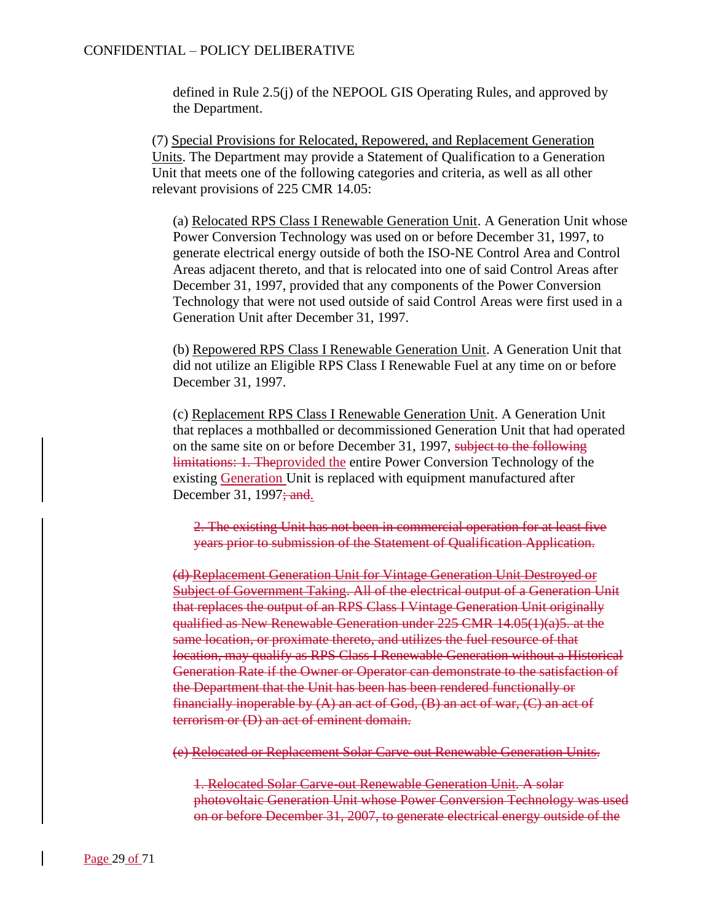defined in Rule 2.5(j) of the NEPOOL GIS Operating Rules, and approved by the Department.

(7) Special Provisions for Relocated, Repowered, and Replacement Generation Units. The Department may provide a Statement of Qualification to a Generation Unit that meets one of the following categories and criteria, as well as all other relevant provisions of 225 CMR 14.05:

(a) Relocated RPS Class I Renewable Generation Unit. A Generation Unit whose Power Conversion Technology was used on or before December 31, 1997, to generate electrical energy outside of both the ISO-NE Control Area and Control Areas adjacent thereto, and that is relocated into one of said Control Areas after December 31, 1997, provided that any components of the Power Conversion Technology that were not used outside of said Control Areas were first used in a Generation Unit after December 31, 1997.

(b) Repowered RPS Class I Renewable Generation Unit. A Generation Unit that did not utilize an Eligible RPS Class I Renewable Fuel at any time on or before December 31, 1997.

(c) Replacement RPS Class I Renewable Generation Unit. A Generation Unit that replaces a mothballed or decommissioned Generation Unit that had operated on the same site on or before December 31, 1997, subject to the following limitations: 1. Theprovided the entire Power Conversion Technology of the existing Generation Unit is replaced with equipment manufactured after December 31, 1997; and.

2. The existing Unit has not been in commercial operation for at least five years prior to submission of the Statement of Qualification Application.

(d) Replacement Generation Unit for Vintage Generation Unit Destroyed or Subject of Government Taking. All of the electrical output of a Generation Unit that replaces the output of an RPS Class I Vintage Generation Unit originally qualified as New Renewable Generation under 225 CMR 14.05(1)(a)5. at the same location, or proximate thereto, and utilizes the fuel resource of that location, may qualify as RPS Class I Renewable Generation without a Historical Generation Rate if the Owner or Operator can demonstrate to the satisfaction of the Department that the Unit has been has been rendered functionally or financially inoperable by  $(A)$  an act of God,  $(B)$  an act of war,  $(C)$  an act of terrorism or (D) an act of eminent domain.

(e) Relocated or Replacement Solar Carve-out Renewable Generation Units.

1. Relocated Solar Carve-out Renewable Generation Unit. A solar photovoltaic Generation Unit whose Power Conversion Technology was used on or before December 31, 2007, to generate electrical energy outside of the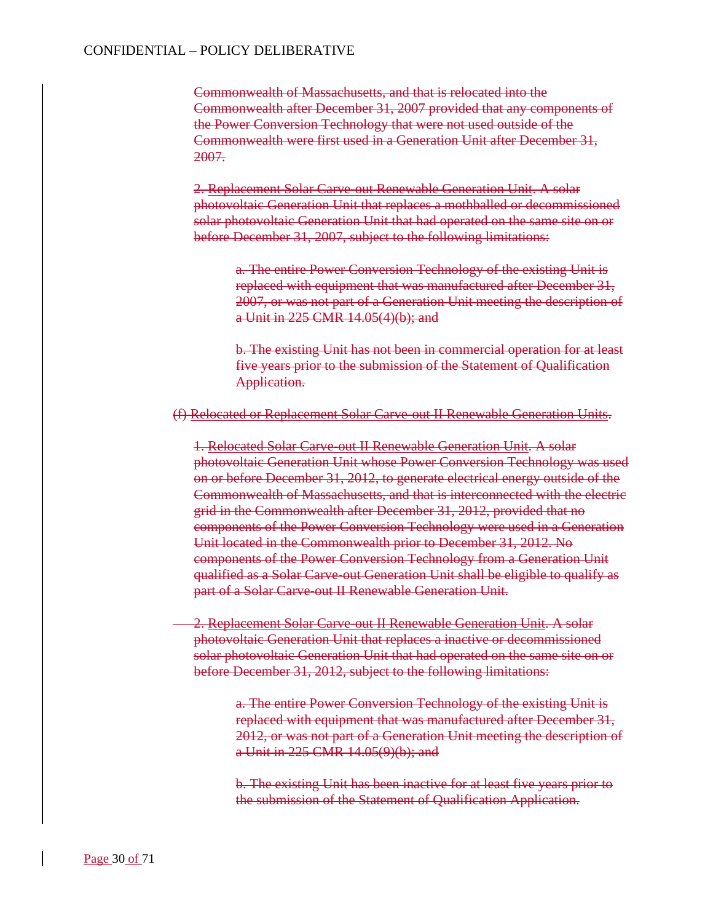Commonwealth of Massachusetts, and that is relocated into the Commonwealth after December 31, 2007 provided that any components of the Power Conversion Technology that were not used outside of the Commonwealth were first used in a Generation Unit after December 31, 2007.

2. Replacement Solar Carve-out Renewable Generation Unit. A solar photovoltaic Generation Unit that replaces a mothballed or decommissioned solar photovoltaic Generation Unit that had operated on the same site on or before December 31, 2007, subject to the following limitations:

a. The entire Power Conversion Technology of the existing Unit is replaced with equipment that was manufactured after December 31, 2007, or was not part of a Generation Unit meeting the description of a Unit in 225 CMR 14.05(4)(b); and

b. The existing Unit has not been in commercial operation for at least five years prior to the submission of the Statement of Qualification Application.

#### (f) Relocated or Replacement Solar Carve-out II Renewable Generation Units.

1. Relocated Solar Carve-out II Renewable Generation Unit. A solar photovoltaic Generation Unit whose Power Conversion Technology was used on or before December 31, 2012, to generate electrical energy outside of the Commonwealth of Massachusetts, and that is interconnected with the electric grid in the Commonwealth after December 31, 2012, provided that no components of the Power Conversion Technology were used in a Generation Unit located in the Commonwealth prior to December 31, 2012. No components of the Power Conversion Technology from a Generation Unit qualified as a Solar Carve-out Generation Unit shall be eligible to qualify as part of a Solar Carve-out II Renewable Generation Unit.

2. Replacement Solar Carve-out II Renewable Generation Unit. A solar photovoltaic Generation Unit that replaces a inactive or decommissioned solar photovoltaic Generation Unit that had operated on the same site on or before December 31, 2012, subject to the following limitations:

> a. The entire Power Conversion Technology of the existing Unit is replaced with equipment that was manufactured after December 31, 2012, or was not part of a Generation Unit meeting the description of a Unit in 225 CMR 14.05(9)(b); and

b. The existing Unit has been inactive for at least five years prior to the submission of the Statement of Qualification Application.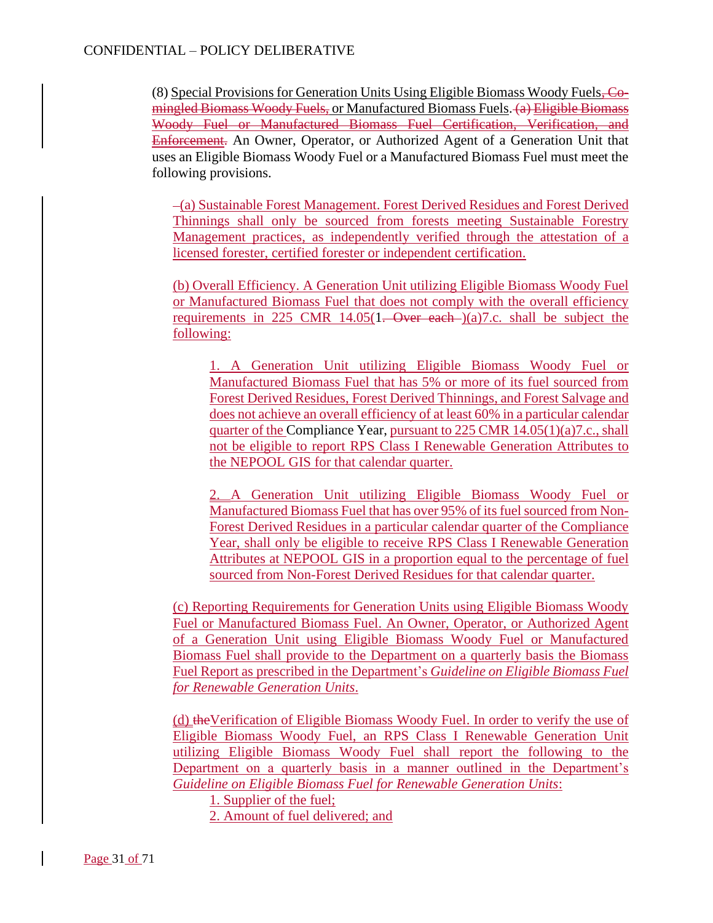(8) Special Provisions for Generation Units Using Eligible Biomass Woody Fuels, Comingled Biomass Woody Fuels, or Manufactured Biomass Fuels. (a) Eligible Biomass Woody Fuel or Manufactured Biomass Fuel Certification, Verification, and Enforcement. An Owner, Operator, or Authorized Agent of a Generation Unit that uses an Eligible Biomass Woody Fuel or a Manufactured Biomass Fuel must meet the following provisions.

 (a) Sustainable Forest Management. Forest Derived Residues and Forest Derived Thinnings shall only be sourced from forests meeting Sustainable Forestry Management practices, as independently verified through the attestation of a licensed forester, certified forester or independent certification.

(b) Overall Efficiency. A Generation Unit utilizing Eligible Biomass Woody Fuel or Manufactured Biomass Fuel that does not comply with the overall efficiency requirements in 225 CMR 14.05(1. Over each )(a)7.c. shall be subject the following:

1. A Generation Unit utilizing Eligible Biomass Woody Fuel or Manufactured Biomass Fuel that has 5% or more of its fuel sourced from Forest Derived Residues, Forest Derived Thinnings, and Forest Salvage and does not achieve an overall efficiency of at least 60% in a particular calendar quarter of the Compliance Year, pursuant to 225 CMR 14.05(1)(a)7.c., shall not be eligible to report RPS Class I Renewable Generation Attributes to the NEPOOL GIS for that calendar quarter.

2. A Generation Unit utilizing Eligible Biomass Woody Fuel or Manufactured Biomass Fuel that has over 95% of its fuel sourced from Non-Forest Derived Residues in a particular calendar quarter of the Compliance Year, shall only be eligible to receive RPS Class I Renewable Generation Attributes at NEPOOL GIS in a proportion equal to the percentage of fuel sourced from Non-Forest Derived Residues for that calendar quarter.

(c) Reporting Requirements for Generation Units using Eligible Biomass Woody Fuel or Manufactured Biomass Fuel. An Owner, Operator, or Authorized Agent of a Generation Unit using Eligible Biomass Woody Fuel or Manufactured Biomass Fuel shall provide to the Department on a quarterly basis the Biomass Fuel Report as prescribed in the Department's *Guideline on Eligible Biomass Fuel for Renewable Generation Units*.

(d) theVerification of Eligible Biomass Woody Fuel. In order to verify the use of Eligible Biomass Woody Fuel, an RPS Class I Renewable Generation Unit utilizing Eligible Biomass Woody Fuel shall report the following to the Department on a quarterly basis in a manner outlined in the Department's *Guideline on Eligible Biomass Fuel for Renewable Generation Units*:

1. Supplier of the fuel;

2. Amount of fuel delivered; and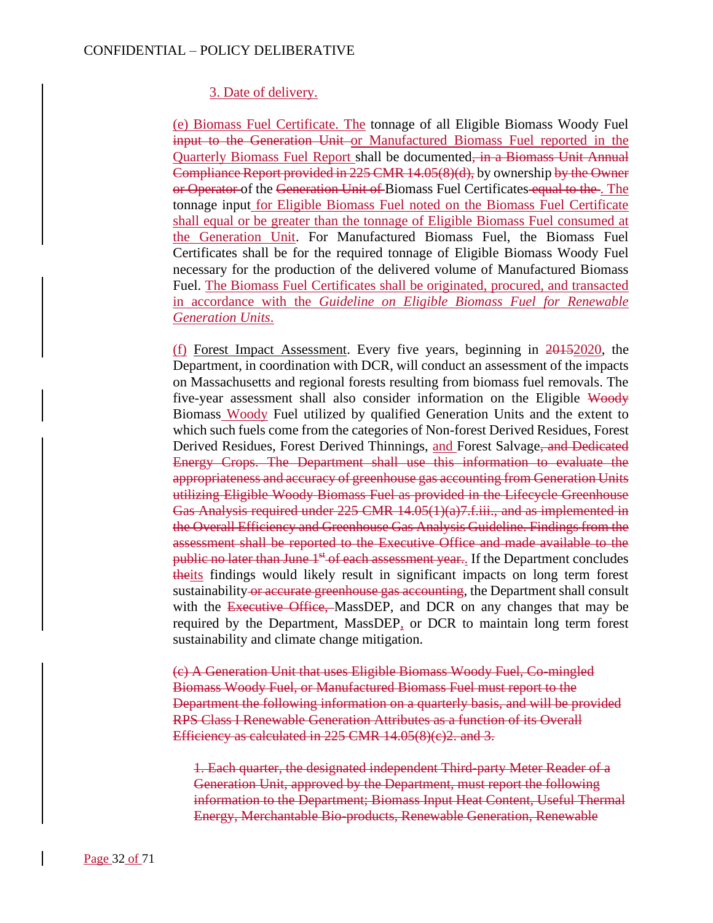### 3. Date of delivery.

(e) Biomass Fuel Certificate. The tonnage of all Eligible Biomass Woody Fuel input to the Generation Unit or Manufactured Biomass Fuel reported in the Quarterly Biomass Fuel Report shall be documented, in a Biomass Unit Annual Compliance Report provided in 225 CMR 14.05(8)(d), by ownership by the Owner or Operator of the Generation Unit of Biomass Fuel Certificates equal to the. The tonnage input for Eligible Biomass Fuel noted on the Biomass Fuel Certificate shall equal or be greater than the tonnage of Eligible Biomass Fuel consumed at the Generation Unit. For Manufactured Biomass Fuel, the Biomass Fuel Certificates shall be for the required tonnage of Eligible Biomass Woody Fuel necessary for the production of the delivered volume of Manufactured Biomass Fuel. The Biomass Fuel Certificates shall be originated, procured, and transacted in accordance with the *Guideline on Eligible Biomass Fuel for Renewable Generation Units*.

(f) Forest Impact Assessment. Every five years, beginning in 20152020, the Department, in coordination with DCR, will conduct an assessment of the impacts on Massachusetts and regional forests resulting from biomass fuel removals. The five-year assessment shall also consider information on the Eligible Woody Biomass Woody Fuel utilized by qualified Generation Units and the extent to which such fuels come from the categories of Non-forest Derived Residues, Forest Derived Residues, Forest Derived Thinnings, and Forest Salvage, and Dedicated Energy Crops. The Department shall use this information to evaluate the appropriateness and accuracy of greenhouse gas accounting from Generation Units utilizing Eligible Woody Biomass Fuel as provided in the Lifecycle Greenhouse Gas Analysis required under 225 CMR 14.05(1)(a)7.f.iii., and as implemented in the Overall Efficiency and Greenhouse Gas Analysis Guideline. Findings from the assessment shall be reported to the Executive Office and made available to the public no later than June 1<sup>st</sup> of each assessment year... If the Department concludes theits findings would likely result in significant impacts on long term forest sustainability or accurate greenhouse gas accounting, the Department shall consult with the Executive Office, MassDEP, and DCR on any changes that may be required by the Department, MassDEP, or DCR to maintain long term forest sustainability and climate change mitigation.

(c) A Generation Unit that uses Eligible Biomass Woody Fuel, Co-mingled Biomass Woody Fuel, or Manufactured Biomass Fuel must report to the Department the following information on a quarterly basis, and will be provided RPS Class I Renewable Generation Attributes as a function of its Overall Efficiency as calculated in 225 CMR 14.05(8)(e)2. and 3.

1. Each quarter, the designated independent Third-party Meter Reader of a Generation Unit, approved by the Department, must report the following information to the Department; Biomass Input Heat Content, Useful Thermal Energy, Merchantable Bio-products, Renewable Generation, Renewable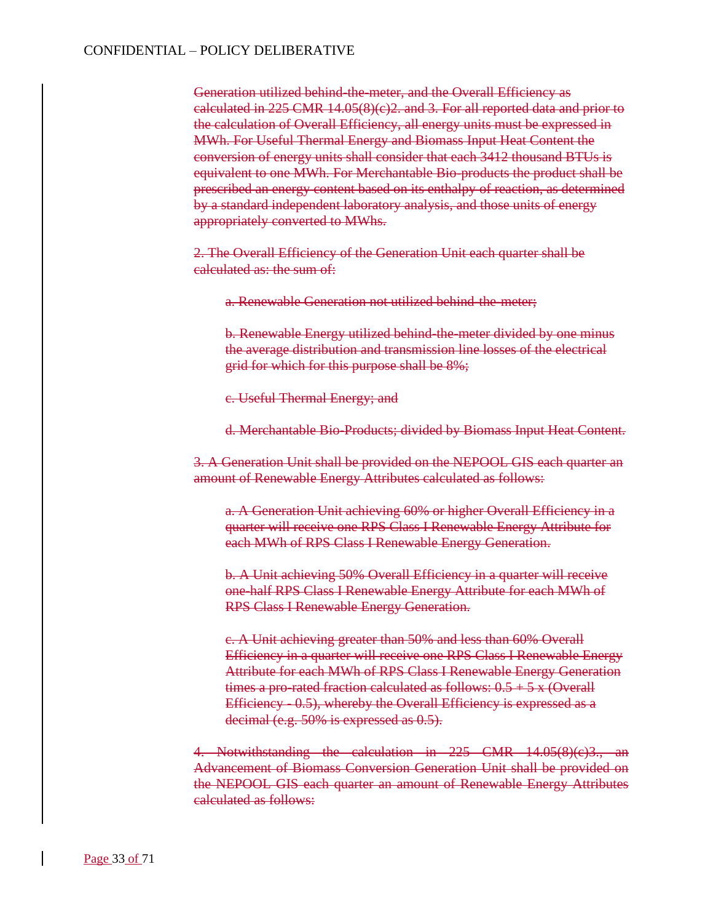Generation utilized behind-the-meter, and the Overall Efficiency as calculated in 225 CMR 14.05(8)(c)2. and 3. For all reported data and prior to the calculation of Overall Efficiency, all energy units must be expressed in MWh. For Useful Thermal Energy and Biomass Input Heat Content the conversion of energy units shall consider that each 3412 thousand BTUs is equivalent to one MWh. For Merchantable Bio-products the product shall be prescribed an energy content based on its enthalpy of reaction, as determined by a standard independent laboratory analysis, and those units of energy appropriately converted to MWhs.

2. The Overall Efficiency of the Generation Unit each quarter shall be calculated as: the sum of:

a. Renewable Generation not utilized behind-the-meter;

b. Renewable Energy utilized behind-the-meter divided by one minus the average distribution and transmission line losses of the electrical grid for which for this purpose shall be 8%;

c. Useful Thermal Energy; and

d. Merchantable Bio-Products; divided by Biomass Input Heat Content.

3. A Generation Unit shall be provided on the NEPOOL GIS each quarter an amount of Renewable Energy Attributes calculated as follows:

a. A Generation Unit achieving 60% or higher Overall Efficiency in a quarter will receive one RPS Class I Renewable Energy Attribute for each MWh of RPS Class I Renewable Energy Generation.

b. A Unit achieving 50% Overall Efficiency in a quarter will receive one-half RPS Class I Renewable Energy Attribute for each MWh of RPS Class I Renewable Energy Generation.

c. A Unit achieving greater than 50% and less than 60% Overall Efficiency in a quarter will receive one RPS Class I Renewable Energy Attribute for each MWh of RPS Class I Renewable Energy Generation times a pro-rated fraction calculated as follows:  $0.5 + 5x$  (Overall Efficiency - 0.5), whereby the Overall Efficiency is expressed as a decimal (e.g. 50% is expressed as 0.5).

4. Notwithstanding the calculation in 225 CMR 14.05(8)(c)3., an Advancement of Biomass Conversion Generation Unit shall be provided on the NEPOOL GIS each quarter an amount of Renewable Energy Attributes calculated as follows: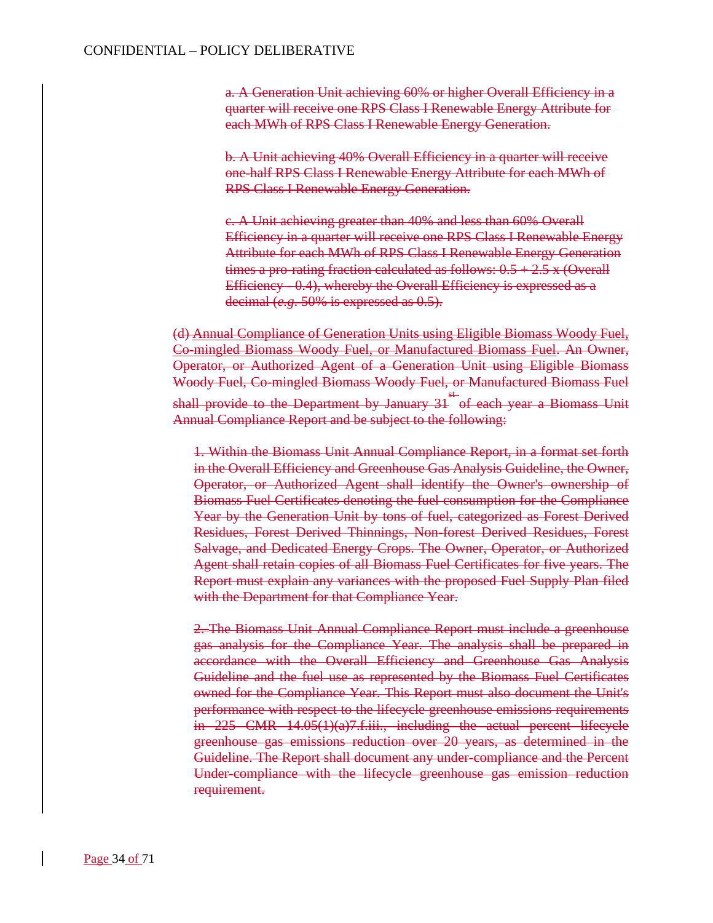a. A Generation Unit achieving 60% or higher Overall Efficiency in a quarter will receive one RPS Class I Renewable Energy Attribute for each MWh of RPS Class I Renewable Energy Generation.

b. A Unit achieving 40% Overall Efficiency in a quarter will receive one-half RPS Class I Renewable Energy Attribute for each MWh of RPS Class I Renewable Energy Generation.

c. A Unit achieving greater than 40% and less than 60% Overall Efficiency in a quarter will receive one RPS Class I Renewable Energy Attribute for each MWh of RPS Class I Renewable Energy Generation times a pro-rating fraction calculated as follows:  $0.5 + 2.5 \times$  (Overall Efficiency - 0.4), whereby the Overall Efficiency is expressed as a decimal (*e.g*. 50% is expressed as 0.5).

(d) Annual Compliance of Generation Units using Eligible Biomass Woody Fuel, Co-mingled Biomass Woody Fuel, or Manufactured Biomass Fuel. An Owner, Operator, or Authorized Agent of a Generation Unit using Eligible Biomass Woody Fuel, Co-mingled Biomass Woody Fuel, or Manufactured Biomass Fuel shall provide to the Department by January 31 st of each year a Biomass Unit Annual Compliance Report and be subject to the following:

1. Within the Biomass Unit Annual Compliance Report, in a format set forth in the Overall Efficiency and Greenhouse Gas Analysis Guideline, the Owner, Operator, or Authorized Agent shall identify the Owner's ownership of Biomass Fuel Certificates denoting the fuel consumption for the Compliance Year by the Generation Unit by tons of fuel, categorized as Forest Derived Residues, Forest Derived Thinnings, Non-forest Derived Residues, Forest Salvage, and Dedicated Energy Crops. The Owner, Operator, or Authorized Agent shall retain copies of all Biomass Fuel Certificates for five years. The Report must explain any variances with the proposed Fuel Supply Plan filed with the Department for that Compliance Year.

<del>2. The Biomass Unit Annual Compliance Report must include a greenhouse</del> gas analysis for the Compliance Year. The analysis shall be prepared in accordance with the Overall Efficiency and Greenhouse Gas Analysis Guideline and the fuel use as represented by the Biomass Fuel Certificates owned for the Compliance Year. This Report must also document the Unit's performance with respect to the lifecycle greenhouse emissions requirements in 225 CMR 14.05(1)(a)7.f.iii., including the actual percent lifecycle greenhouse gas emissions reduction over 20 years, as determined in the Guideline. The Report shall document any under-compliance and the Percent Under-compliance with the lifecycle greenhouse gas emission reduction requirement.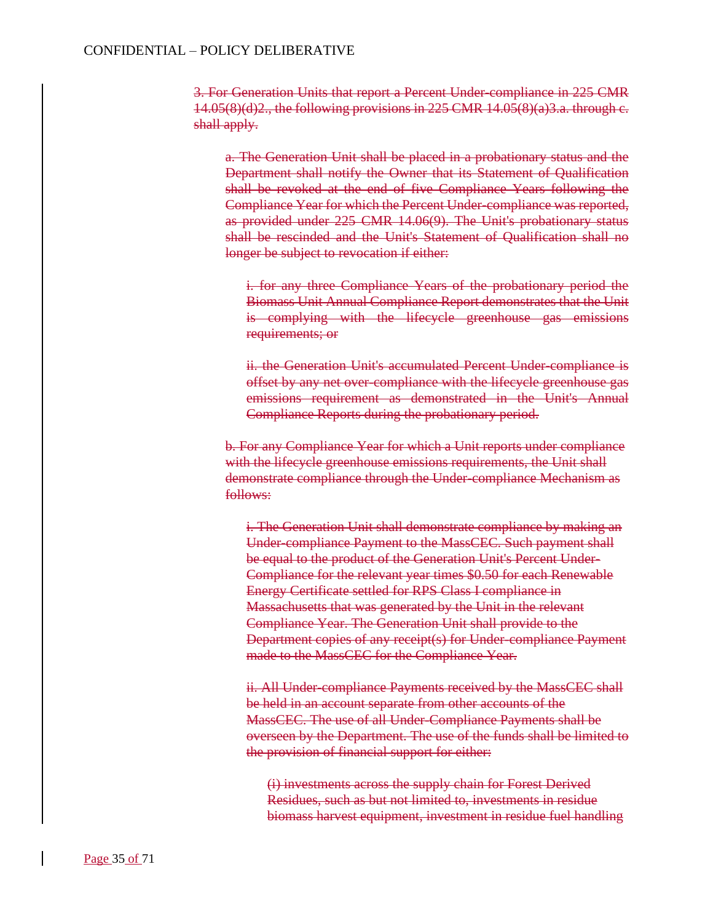3. For Generation Units that report a Percent Under-compliance in 225 CMR  $14.05(8)(d)2$ ., the following provisions in 225 CMR  $14.05(8)(a)3.a.$  through c. shall apply.

a. The Generation Unit shall be placed in a probationary status and the Department shall notify the Owner that its Statement of Qualification shall be revoked at the end of five Compliance Years following the Compliance Year for which the Percent Under-compliance was reported, as provided under 225 CMR 14.06(9). The Unit's probationary status shall be rescinded and the Unit's Statement of Qualification shall no longer be subject to revocation if either:

i. for any three Compliance Years of the probationary period the Biomass Unit Annual Compliance Report demonstrates that the Unit is complying with the lifecycle greenhouse gas emissions requirements; or

ii. the Generation Unit's accumulated Percent Under-compliance is offset by any net over-compliance with the lifecycle greenhouse gas emissions requirement as demonstrated in the Unit's Annual Compliance Reports during the probationary period.

b. For any Compliance Year for which a Unit reports under compliance with the lifecycle greenhouse emissions requirements, the Unit shall demonstrate compliance through the Under-compliance Mechanism as follows:

i. The Generation Unit shall demonstrate compliance by making an Under-compliance Payment to the MassCEC. Such payment shall be equal to the product of the Generation Unit's Percent Under-Compliance for the relevant year times \$0.50 for each Renewable Energy Certificate settled for RPS Class I compliance in Massachusetts that was generated by the Unit in the relevant Compliance Year. The Generation Unit shall provide to the Department copies of any receipt(s) for Under-compliance Payment made to the MassCEC for the Compliance Year.

ii. All Under-compliance Payments received by the MassCEC shall be held in an account separate from other accounts of the MassCEC. The use of all Under-Compliance Payments shall be overseen by the Department. The use of the funds shall be limited to the provision of financial support for either:

(i) investments across the supply chain for Forest Derived Residues, such as but not limited to, investments in residue biomass harvest equipment, investment in residue fuel handling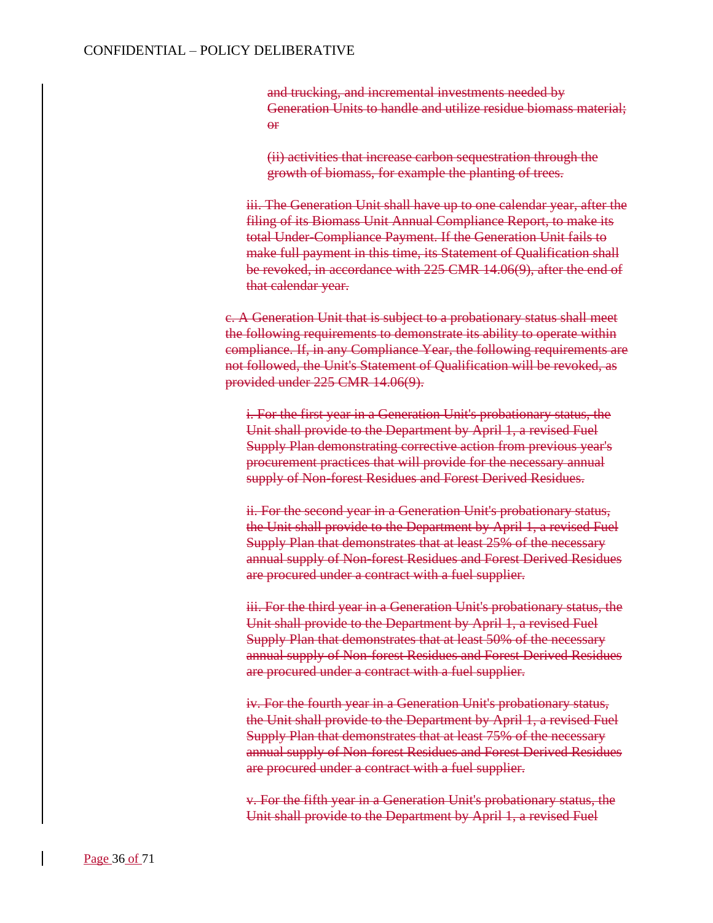and trucking, and incremental investments needed by Generation Units to handle and utilize residue biomass material; **A**<sup>r</sup>

(ii) activities that increase carbon sequestration through the growth of biomass, for example the planting of trees.

iii. The Generation Unit shall have up to one calendar year, after the filing of its Biomass Unit Annual Compliance Report, to make its total Under-Compliance Payment. If the Generation Unit fails to make full payment in this time, its Statement of Qualification shall be revoked, in accordance with 225 CMR 14.06(9), after the end of that calendar year.

c. A Generation Unit that is subject to a probationary status shall meet the following requirements to demonstrate its ability to operate within compliance. If, in any Compliance Year, the following requirements are not followed, the Unit's Statement of Qualification will be revoked, as provided under 225 CMR 14.06(9).

i. For the first year in a Generation Unit's probationary status, the Unit shall provide to the Department by April 1, a revised Fuel Supply Plan demonstrating corrective action from previous year's procurement practices that will provide for the necessary annual supply of Non-forest Residues and Forest Derived Residues.

ii. For the second year in a Generation Unit's probationary status, the Unit shall provide to the Department by April 1, a revised Fuel Supply Plan that demonstrates that at least 25% of the necessary annual supply of Non-forest Residues and Forest Derived Residues are procured under a contract with a fuel supplier.

iii. For the third year in a Generation Unit's probationary status, the Unit shall provide to the Department by April 1, a revised Fuel Supply Plan that demonstrates that at least 50% of the necessary annual supply of Non-forest Residues and Forest Derived Residues are procured under a contract with a fuel supplier.

iv. For the fourth year in a Generation Unit's probationary status, the Unit shall provide to the Department by April 1, a revised Fuel Supply Plan that demonstrates that at least 75% of the necessary annual supply of Non-forest Residues and Forest Derived Residues are procured under a contract with a fuel supplier.

v. For the fifth year in a Generation Unit's probationary status, the Unit shall provide to the Department by April 1, a revised Fuel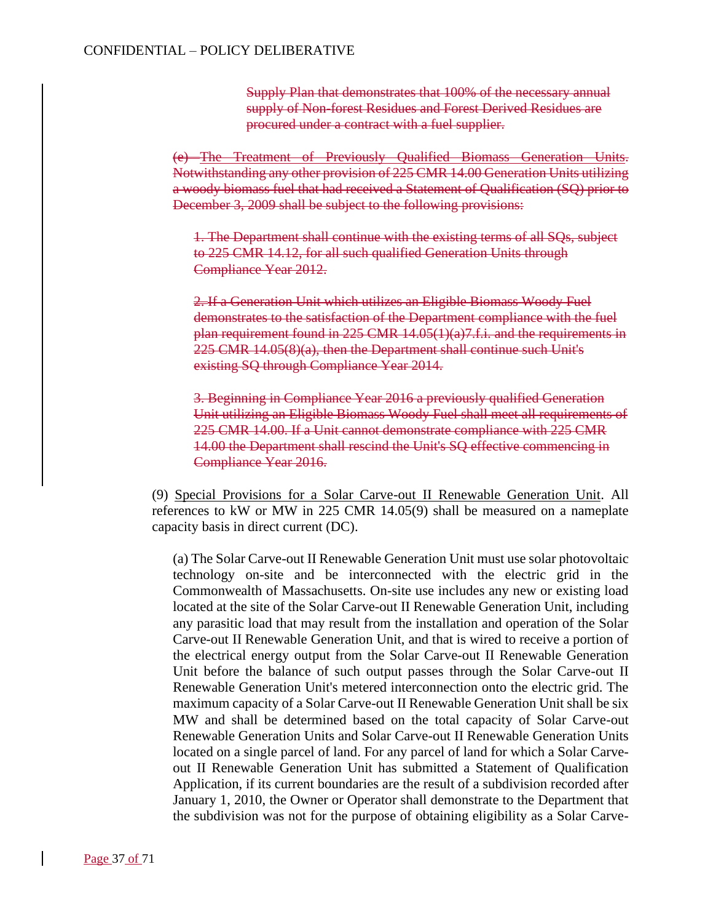Supply Plan that demonstrates that 100% of the necessary annual supply of Non-forest Residues and Forest Derived Residues are procured under a contract with a fuel supplier.

(e) The Treatment of Previously Qualified Biomass Generation Units. Notwithstanding any other provision of 225 CMR 14.00 Generation Units utilizing a woody biomass fuel that had received a Statement of Qualification (SQ) prior to December 3, 2009 shall be subject to the following provisions:

1. The Department shall continue with the existing terms of all SQs, subject to 225 CMR 14.12, for all such qualified Generation Units through Compliance Year 2012.

2. If a Generation Unit which utilizes an Eligible Biomass Woody Fuel demonstrates to the satisfaction of the Department compliance with the fuel plan requirement found in 225 CMR 14.05(1)(a)7.f.i. and the requirements in 225 CMR 14.05(8)(a), then the Department shall continue such Unit's existing SQ through Compliance Year 2014.

3. Beginning in Compliance Year 2016 a previously qualified Generation Unit utilizing an Eligible Biomass Woody Fuel shall meet all requirements of 225 CMR 14.00. If a Unit cannot demonstrate compliance with 225 CMR 14.00 the Department shall rescind the Unit's SQ effective commencing in Compliance Year 2016.

(9) Special Provisions for a Solar Carve-out II Renewable Generation Unit. All references to kW or MW in 225 CMR 14.05(9) shall be measured on a nameplate capacity basis in direct current (DC).

(a) The Solar Carve-out II Renewable Generation Unit must use solar photovoltaic technology on-site and be interconnected with the electric grid in the Commonwealth of Massachusetts. On-site use includes any new or existing load located at the site of the Solar Carve-out II Renewable Generation Unit, including any parasitic load that may result from the installation and operation of the Solar Carve-out II Renewable Generation Unit, and that is wired to receive a portion of the electrical energy output from the Solar Carve-out II Renewable Generation Unit before the balance of such output passes through the Solar Carve-out II Renewable Generation Unit's metered interconnection onto the electric grid. The maximum capacity of a Solar Carve-out II Renewable Generation Unit shall be six MW and shall be determined based on the total capacity of Solar Carve-out Renewable Generation Units and Solar Carve-out II Renewable Generation Units located on a single parcel of land. For any parcel of land for which a Solar Carveout II Renewable Generation Unit has submitted a Statement of Qualification Application, if its current boundaries are the result of a subdivision recorded after January 1, 2010, the Owner or Operator shall demonstrate to the Department that the subdivision was not for the purpose of obtaining eligibility as a Solar Carve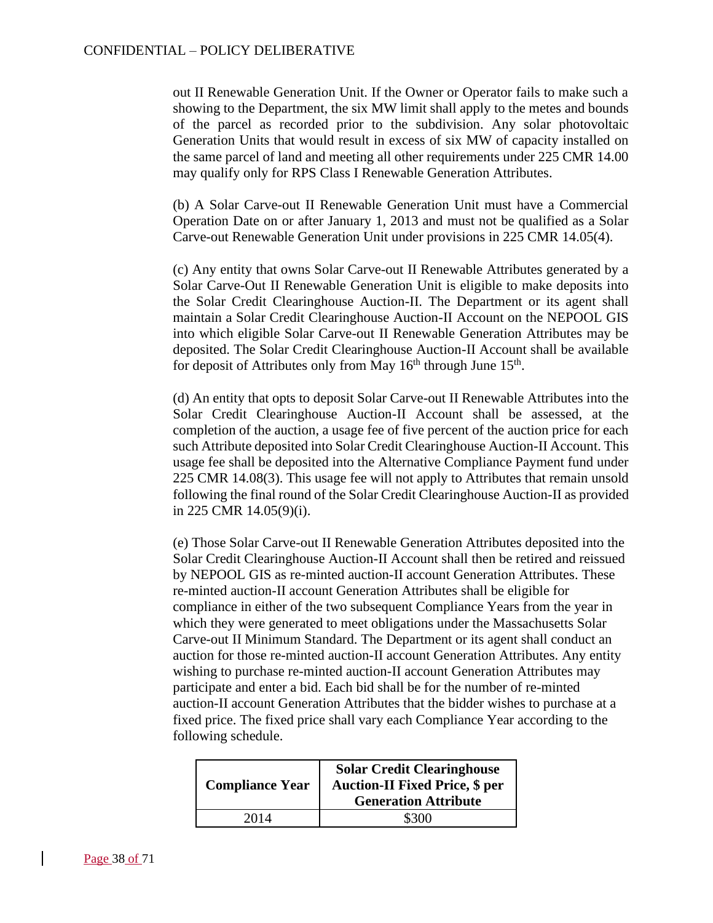out II Renewable Generation Unit. If the Owner or Operator fails to make such a showing to the Department, the six MW limit shall apply to the metes and bounds of the parcel as recorded prior to the subdivision. Any solar photovoltaic Generation Units that would result in excess of six MW of capacity installed on the same parcel of land and meeting all other requirements under 225 CMR 14.00 may qualify only for RPS Class I Renewable Generation Attributes.

(b) A Solar Carve-out II Renewable Generation Unit must have a Commercial Operation Date on or after January 1, 2013 and must not be qualified as a Solar Carve-out Renewable Generation Unit under provisions in 225 CMR 14.05(4).

(c) Any entity that owns Solar Carve-out II Renewable Attributes generated by a Solar Carve-Out II Renewable Generation Unit is eligible to make deposits into the Solar Credit Clearinghouse Auction-II. The Department or its agent shall maintain a Solar Credit Clearinghouse Auction-II Account on the NEPOOL GIS into which eligible Solar Carve-out II Renewable Generation Attributes may be deposited. The Solar Credit Clearinghouse Auction-II Account shall be available for deposit of Attributes only from May 16<sup>th</sup> through June 15<sup>th</sup>.

(d) An entity that opts to deposit Solar Carve-out II Renewable Attributes into the Solar Credit Clearinghouse Auction-II Account shall be assessed, at the completion of the auction, a usage fee of five percent of the auction price for each such Attribute deposited into Solar Credit Clearinghouse Auction-II Account. This usage fee shall be deposited into the Alternative Compliance Payment fund under 225 CMR 14.08(3). This usage fee will not apply to Attributes that remain unsold following the final round of the Solar Credit Clearinghouse Auction-II as provided in 225 CMR 14.05(9)(i).

(e) Those Solar Carve-out II Renewable Generation Attributes deposited into the Solar Credit Clearinghouse Auction-II Account shall then be retired and reissued by NEPOOL GIS as re-minted auction-II account Generation Attributes. These re-minted auction-II account Generation Attributes shall be eligible for compliance in either of the two subsequent Compliance Years from the year in which they were generated to meet obligations under the Massachusetts Solar Carve-out II Minimum Standard. The Department or its agent shall conduct an auction for those re-minted auction-II account Generation Attributes. Any entity wishing to purchase re-minted auction-II account Generation Attributes may participate and enter a bid. Each bid shall be for the number of re-minted auction-II account Generation Attributes that the bidder wishes to purchase at a fixed price. The fixed price shall vary each Compliance Year according to the following schedule.

| <b>Compliance Year</b> | <b>Solar Credit Clearinghouse</b><br><b>Auction-II Fixed Price, \$ per</b><br><b>Generation Attribute</b> |
|------------------------|-----------------------------------------------------------------------------------------------------------|
| 2014                   | \$300                                                                                                     |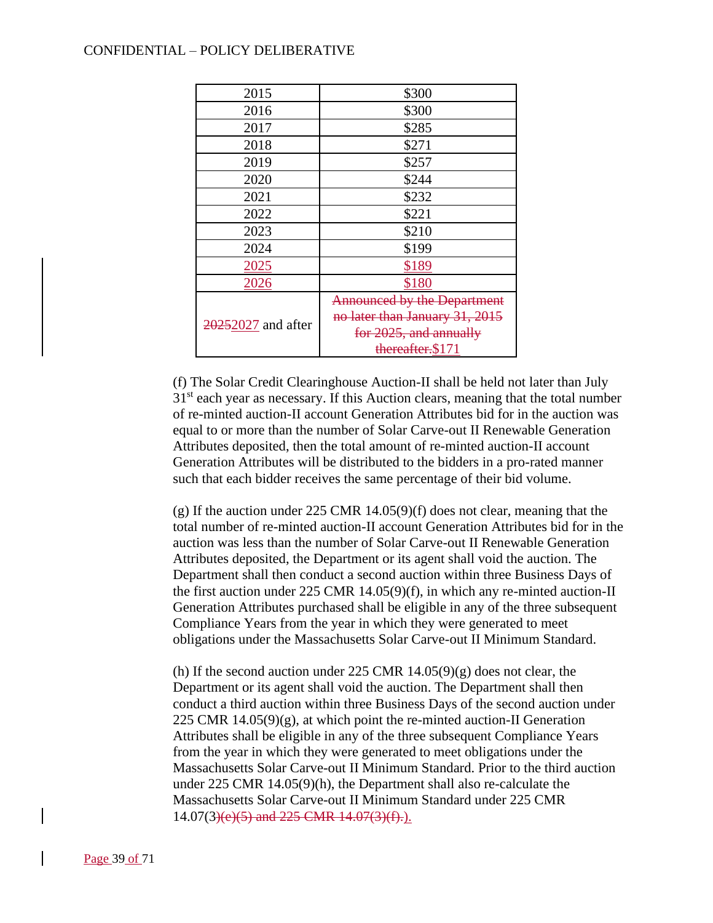| 2015               | \$300                              |
|--------------------|------------------------------------|
| 2016               | \$300                              |
| 2017               | \$285                              |
| 2018               | \$271                              |
| 2019               | \$257                              |
| 2020               | \$244                              |
| 2021               | \$232                              |
| 2022               | \$221                              |
| 2023               | \$210                              |
| 2024               | \$199                              |
| 2025               | \$189                              |
| 2026               | \$180                              |
|                    | <b>Announced by the Department</b> |
| 20252027 and after | no later than January 31, 2015     |
|                    | for 2025, and annually             |
|                    | thereafter.\$171                   |

(f) The Solar Credit Clearinghouse Auction-II shall be held not later than July  $31<sup>st</sup>$  each year as necessary. If this Auction clears, meaning that the total number of re-minted auction-II account Generation Attributes bid for in the auction was equal to or more than the number of Solar Carve-out II Renewable Generation Attributes deposited, then the total amount of re-minted auction-II account Generation Attributes will be distributed to the bidders in a pro-rated manner such that each bidder receives the same percentage of their bid volume.

(g) If the auction under 225 CMR 14.05(9)(f) does not clear, meaning that the total number of re-minted auction-II account Generation Attributes bid for in the auction was less than the number of Solar Carve-out II Renewable Generation Attributes deposited, the Department or its agent shall void the auction. The Department shall then conduct a second auction within three Business Days of the first auction under 225 CMR 14.05(9)(f), in which any re-minted auction-II Generation Attributes purchased shall be eligible in any of the three subsequent Compliance Years from the year in which they were generated to meet obligations under the Massachusetts Solar Carve-out II Minimum Standard.

(h) If the second auction under  $225$  CMR  $14.05(9)(g)$  does not clear, the Department or its agent shall void the auction. The Department shall then conduct a third auction within three Business Days of the second auction under 225 CMR  $14.05(9)(g)$ , at which point the re-minted auction-II Generation Attributes shall be eligible in any of the three subsequent Compliance Years from the year in which they were generated to meet obligations under the Massachusetts Solar Carve-out II Minimum Standard. Prior to the third auction under 225 CMR 14.05(9)(h), the Department shall also re-calculate the Massachusetts Solar Carve-out II Minimum Standard under 225 CMR 14.07(3)(e)(5) and 225 CMR 14.07(3)(f).).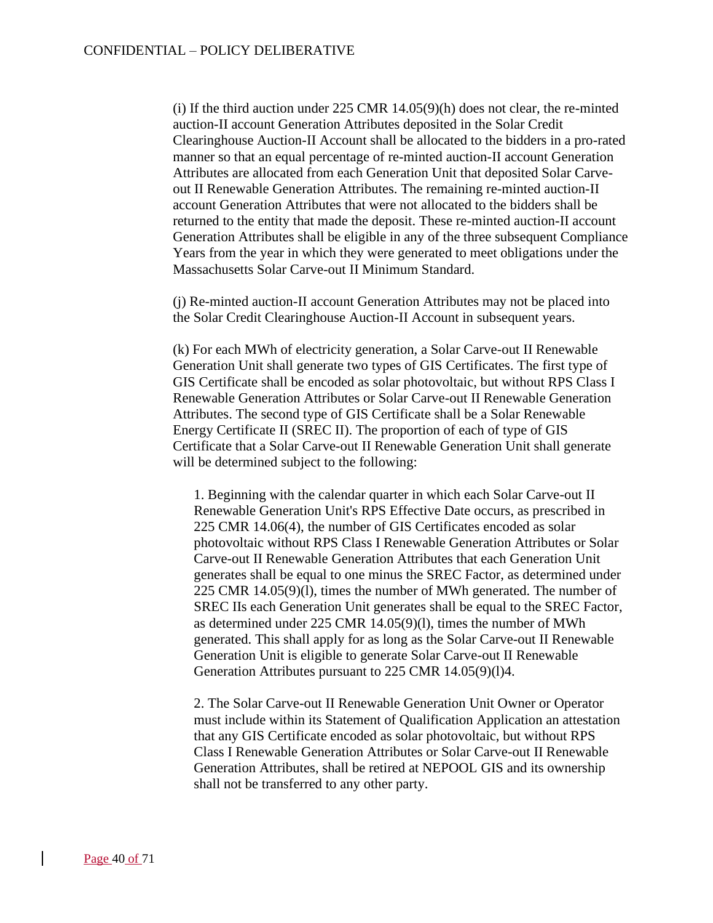(i) If the third auction under 225 CMR 14.05(9)(h) does not clear, the re-minted auction-II account Generation Attributes deposited in the Solar Credit Clearinghouse Auction-II Account shall be allocated to the bidders in a pro-rated manner so that an equal percentage of re-minted auction-II account Generation Attributes are allocated from each Generation Unit that deposited Solar Carveout II Renewable Generation Attributes. The remaining re-minted auction-II account Generation Attributes that were not allocated to the bidders shall be returned to the entity that made the deposit. These re-minted auction-II account Generation Attributes shall be eligible in any of the three subsequent Compliance Years from the year in which they were generated to meet obligations under the Massachusetts Solar Carve-out II Minimum Standard.

(j) Re-minted auction-II account Generation Attributes may not be placed into the Solar Credit Clearinghouse Auction-II Account in subsequent years.

(k) For each MWh of electricity generation, a Solar Carve-out II Renewable Generation Unit shall generate two types of GIS Certificates. The first type of GIS Certificate shall be encoded as solar photovoltaic, but without RPS Class I Renewable Generation Attributes or Solar Carve-out II Renewable Generation Attributes. The second type of GIS Certificate shall be a Solar Renewable Energy Certificate II (SREC II). The proportion of each of type of GIS Certificate that a Solar Carve-out II Renewable Generation Unit shall generate will be determined subject to the following:

1. Beginning with the calendar quarter in which each Solar Carve-out II Renewable Generation Unit's RPS Effective Date occurs, as prescribed in 225 CMR 14.06(4), the number of GIS Certificates encoded as solar photovoltaic without RPS Class I Renewable Generation Attributes or Solar Carve-out II Renewable Generation Attributes that each Generation Unit generates shall be equal to one minus the SREC Factor, as determined under 225 CMR 14.05(9)(l), times the number of MWh generated. The number of SREC IIs each Generation Unit generates shall be equal to the SREC Factor, as determined under 225 CMR 14.05(9)(l), times the number of MWh generated. This shall apply for as long as the Solar Carve-out II Renewable Generation Unit is eligible to generate Solar Carve-out II Renewable Generation Attributes pursuant to 225 CMR 14.05(9)(l)4.

2. The Solar Carve-out II Renewable Generation Unit Owner or Operator must include within its Statement of Qualification Application an attestation that any GIS Certificate encoded as solar photovoltaic, but without RPS Class I Renewable Generation Attributes or Solar Carve-out II Renewable Generation Attributes, shall be retired at NEPOOL GIS and its ownership shall not be transferred to any other party.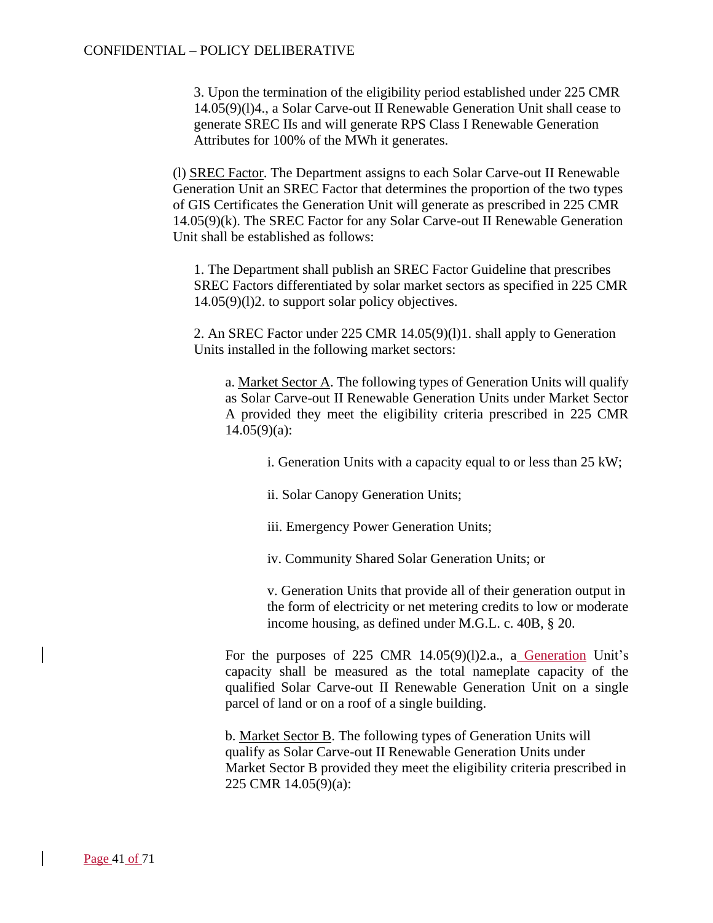3. Upon the termination of the eligibility period established under 225 CMR 14.05(9)(l)4., a Solar Carve-out II Renewable Generation Unit shall cease to generate SREC IIs and will generate RPS Class I Renewable Generation Attributes for 100% of the MWh it generates.

(l) SREC Factor. The Department assigns to each Solar Carve-out II Renewable Generation Unit an SREC Factor that determines the proportion of the two types of GIS Certificates the Generation Unit will generate as prescribed in 225 CMR 14.05(9)(k). The SREC Factor for any Solar Carve-out II Renewable Generation Unit shall be established as follows:

1. The Department shall publish an SREC Factor Guideline that prescribes SREC Factors differentiated by solar market sectors as specified in 225 CMR 14.05(9)(l)2. to support solar policy objectives.

2. An SREC Factor under 225 CMR 14.05(9)(l)1. shall apply to Generation Units installed in the following market sectors:

a. Market Sector A. The following types of Generation Units will qualify as Solar Carve-out II Renewable Generation Units under Market Sector A provided they meet the eligibility criteria prescribed in 225 CMR  $14.05(9)(a)$ :

- i. Generation Units with a capacity equal to or less than 25 kW;
- ii. Solar Canopy Generation Units;
- iii. Emergency Power Generation Units;
- iv. Community Shared Solar Generation Units; or

v. Generation Units that provide all of their generation output in the form of electricity or net metering credits to low or moderate income housing, as defined under M.G.L. c. 40B, § 20.

For the purposes of 225 CMR 14.05(9)(1)2.a., a Generation Unit's capacity shall be measured as the total nameplate capacity of the qualified Solar Carve-out II Renewable Generation Unit on a single parcel of land or on a roof of a single building.

b. Market Sector B. The following types of Generation Units will qualify as Solar Carve-out II Renewable Generation Units under Market Sector B provided they meet the eligibility criteria prescribed in 225 CMR 14.05(9)(a):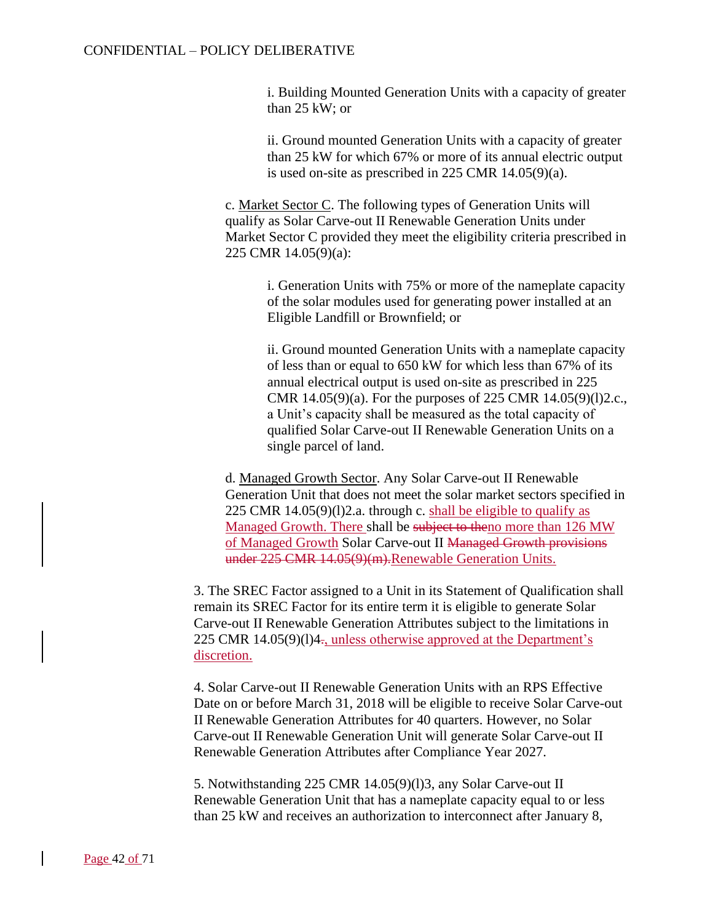i. Building Mounted Generation Units with a capacity of greater than 25 kW; or

ii. Ground mounted Generation Units with a capacity of greater than 25 kW for which 67% or more of its annual electric output is used on-site as prescribed in 225 CMR 14.05(9)(a).

c. Market Sector C. The following types of Generation Units will qualify as Solar Carve-out II Renewable Generation Units under Market Sector C provided they meet the eligibility criteria prescribed in 225 CMR 14.05(9)(a):

> i. Generation Units with 75% or more of the nameplate capacity of the solar modules used for generating power installed at an Eligible Landfill or Brownfield; or

> ii. Ground mounted Generation Units with a nameplate capacity of less than or equal to 650 kW for which less than 67% of its annual electrical output is used on-site as prescribed in 225 CMR 14.05(9)(a). For the purposes of 225 CMR 14.05(9)(l)2.c., a Unit's capacity shall be measured as the total capacity of qualified Solar Carve-out II Renewable Generation Units on a single parcel of land.

d. Managed Growth Sector. Any Solar Carve-out II Renewable Generation Unit that does not meet the solar market sectors specified in 225 CMR 14.05(9)(l)2.a. through c. shall be eligible to qualify as Managed Growth. There shall be subject to theno more than 126 MW of Managed Growth Solar Carve-out II Managed Growth provisions under 225 CMR 14.05(9)(m).Renewable Generation Units.

3. The SREC Factor assigned to a Unit in its Statement of Qualification shall remain its SREC Factor for its entire term it is eligible to generate Solar Carve-out II Renewable Generation Attributes subject to the limitations in 225 CMR 14.05(9)(1)4 $\pm$ , unless otherwise approved at the Department's discretion.

4. Solar Carve-out II Renewable Generation Units with an RPS Effective Date on or before March 31, 2018 will be eligible to receive Solar Carve-out II Renewable Generation Attributes for 40 quarters. However, no Solar Carve-out II Renewable Generation Unit will generate Solar Carve-out II Renewable Generation Attributes after Compliance Year 2027.

5. Notwithstanding 225 CMR 14.05(9)(l)3, any Solar Carve-out II Renewable Generation Unit that has a nameplate capacity equal to or less than 25 kW and receives an authorization to interconnect after January 8,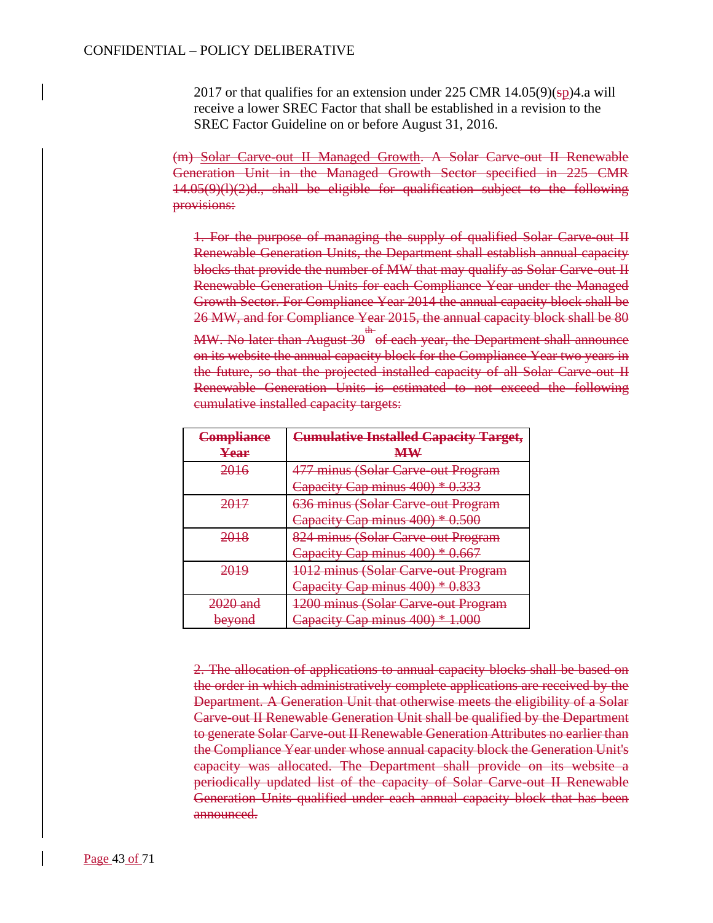2017 or that qualifies for an extension under 225 CMR  $14.05(9)(sp)4$ . a will receive a lower SREC Factor that shall be established in a revision to the SREC Factor Guideline on or before August 31, 2016.

(m) Solar Carve-out II Managed Growth. A Solar Carve-out II Renewable Generation Unit in the Managed Growth Sector specified in 225 CMR 14.05(9)(l)(2)d., shall be eligible for qualification subject to the following provisions:

1. For the purpose of managing the supply of qualified Solar Carve-out II Renewable Generation Units, the Department shall establish annual capacity blocks that provide the number of MW that may qualify as Solar Carve-out II Renewable Generation Units for each Compliance Year under the Managed Growth Sector. For Compliance Year 2014 the annual capacity block shall be 26 MW, and for Compliance Year 2015, the annual capacity block shall be 80

MW. No later than August 30 <sup>th</sup> of each year, the Department shall announce on its website the annual capacity block for the Compliance Year two years in the future, so that the projected installed capacity of all Solar Carve-out II Renewable Generation Units is estimated to not exceed the following cumulative installed capacity targets:

| Compliance          | <b>Cumulative Installed Capacity Target,</b>    |
|---------------------|-------------------------------------------------|
| Year                | ${\bf M}{\bf W}$                                |
| <del>2016</del>     | 477 minus (Solar Carve-out Program              |
|                     | Capacity Cap minus 400) * 0.333                 |
|                     | 636 minus (Solar Carve out Program              |
|                     | Capacity Cap minus 400) * 0.500                 |
| <del>2018</del>     | 824 minus (Solar Carve-out Program              |
|                     | Capacity Cap minus 400) * 0.667                 |
| 2019                | 1012 minus (Solar Carve-out Program             |
|                     | Capacity Cap minus 400) * 0.833                 |
| <del>2020 and</del> | 1200 minus (Solar Carve-out Program             |
| <del>beyond</del>   | Capacity Cap minus 400) * 1.<br><del>n.uu</del> |

2. The allocation of applications to annual capacity blocks shall be based on the order in which administratively complete applications are received by the Department. A Generation Unit that otherwise meets the eligibility of a Solar Carve-out II Renewable Generation Unit shall be qualified by the Department to generate Solar Carve-out II Renewable Generation Attributes no earlier than the Compliance Year under whose annual capacity block the Generation Unit's capacity was allocated. The Department shall provide on its website a periodically updated list of the capacity of Solar Carve-out II Renewable Generation Units qualified under each annual capacity block that has been announced.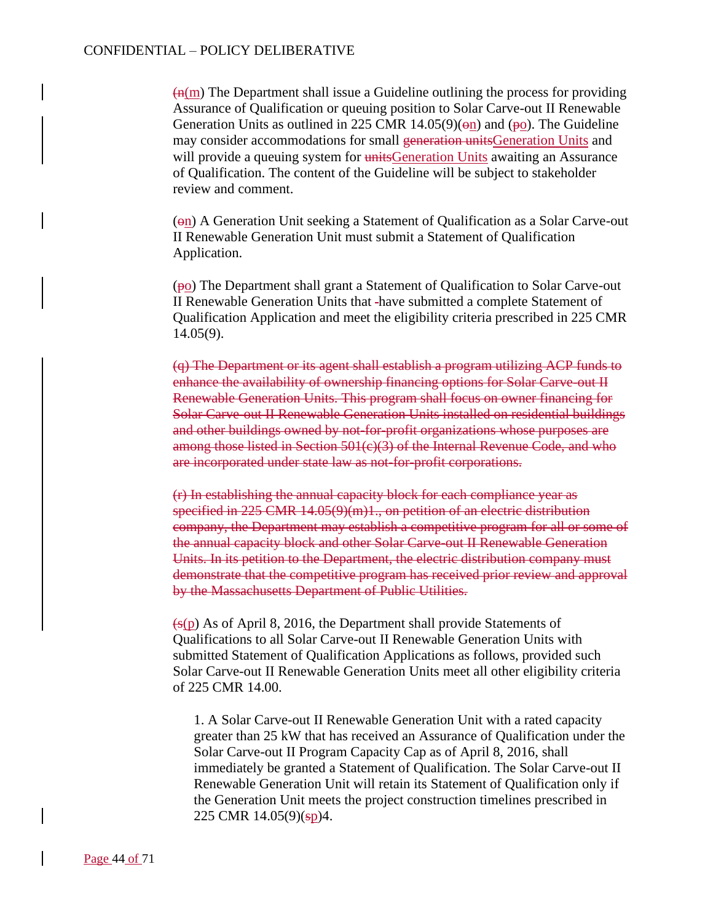$\left(\frac{H}{m}\right)$  The Department shall issue a Guideline outlining the process for providing Assurance of Qualification or queuing position to Solar Carve-out II Renewable Generation Units as outlined in 225 CMR 14.05(9)( $\Theta$ n) and ( $\Theta$ o). The Guideline may consider accommodations for small generation unitsGeneration Units and will provide a queuing system for unitsGeneration Units awaiting an Assurance of Qualification. The content of the Guideline will be subject to stakeholder review and comment.

(on) A Generation Unit seeking a Statement of Qualification as a Solar Carve-out II Renewable Generation Unit must submit a Statement of Qualification Application.

(po) The Department shall grant a Statement of Qualification to Solar Carve-out II Renewable Generation Units that have submitted a complete Statement of Qualification Application and meet the eligibility criteria prescribed in 225 CMR 14.05(9).

(q) The Department or its agent shall establish a program utilizing ACP funds to enhance the availability of ownership financing options for Solar Carve-out II Renewable Generation Units. This program shall focus on owner financing for Solar Carve-out II Renewable Generation Units installed on residential buildings and other buildings owned by not-for-profit organizations whose purposes are among those listed in Section 501(c)(3) of the Internal Revenue Code, and who are incorporated under state law as not-for-profit corporations.

(r) In establishing the annual capacity block for each compliance year as specified in 225 CMR 14.05(9)(m)1., on petition of an electric distribution company, the Department may establish a competitive program for all or some of the annual capacity block and other Solar Carve-out II Renewable Generation Units. In its petition to the Department, the electric distribution company must demonstrate that the competitive program has received prior review and approval by the Massachusetts Department of Public Utilities.

 $(s(p)$  As of April 8, 2016, the Department shall provide Statements of Qualifications to all Solar Carve-out II Renewable Generation Units with submitted Statement of Qualification Applications as follows, provided such Solar Carve-out II Renewable Generation Units meet all other eligibility criteria of 225 CMR 14.00.

1. A Solar Carve-out II Renewable Generation Unit with a rated capacity greater than 25 kW that has received an Assurance of Qualification under the Solar Carve-out II Program Capacity Cap as of April 8, 2016, shall immediately be granted a Statement of Qualification. The Solar Carve-out II Renewable Generation Unit will retain its Statement of Qualification only if the Generation Unit meets the project construction timelines prescribed in 225 CMR 14.05(9)(sp)4.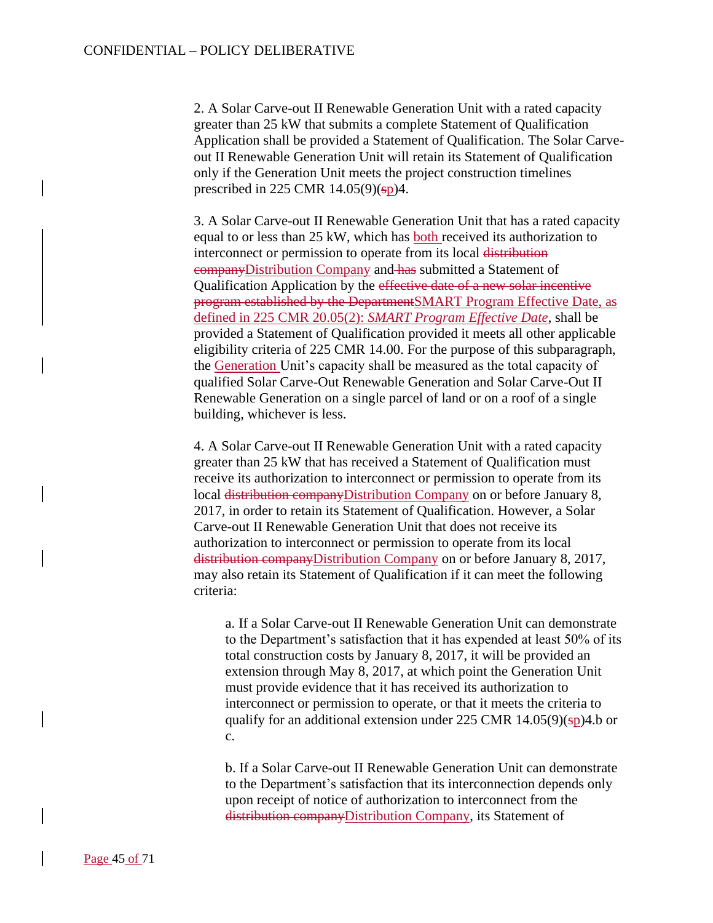2. A Solar Carve-out II Renewable Generation Unit with a rated capacity greater than 25 kW that submits a complete Statement of Qualification Application shall be provided a Statement of Qualification. The Solar Carveout II Renewable Generation Unit will retain its Statement of Qualification only if the Generation Unit meets the project construction timelines prescribed in 225 CMR  $14.05(9)(sp)4$ .

3. A Solar Carve-out II Renewable Generation Unit that has a rated capacity equal to or less than 25 kW, which has both received its authorization to interconnect or permission to operate from its local distribution companyDistribution Company and has submitted a Statement of Qualification Application by the effective date of a new solar incentive program established by the DepartmentSMART Program Effective Date, as defined in 225 CMR 20.05(2): *SMART Program Effective Date*, shall be provided a Statement of Qualification provided it meets all other applicable eligibility criteria of 225 CMR 14.00. For the purpose of this subparagraph, the Generation Unit's capacity shall be measured as the total capacity of qualified Solar Carve-Out Renewable Generation and Solar Carve-Out II Renewable Generation on a single parcel of land or on a roof of a single building, whichever is less.

4. A Solar Carve-out II Renewable Generation Unit with a rated capacity greater than 25 kW that has received a Statement of Qualification must receive its authorization to interconnect or permission to operate from its local distribution companyDistribution Company on or before January 8, 2017, in order to retain its Statement of Qualification. However, a Solar Carve-out II Renewable Generation Unit that does not receive its authorization to interconnect or permission to operate from its local distribution companyDistribution Company on or before January 8, 2017, may also retain its Statement of Qualification if it can meet the following criteria:

a. If a Solar Carve-out II Renewable Generation Unit can demonstrate to the Department's satisfaction that it has expended at least 50% of its total construction costs by January 8, 2017, it will be provided an extension through May 8, 2017, at which point the Generation Unit must provide evidence that it has received its authorization to interconnect or permission to operate, or that it meets the criteria to qualify for an additional extension under 225 CMR  $14.05(9)(sp)4.b$  or c.

b. If a Solar Carve-out II Renewable Generation Unit can demonstrate to the Department's satisfaction that its interconnection depends only upon receipt of notice of authorization to interconnect from the distribution companyDistribution Company, its Statement of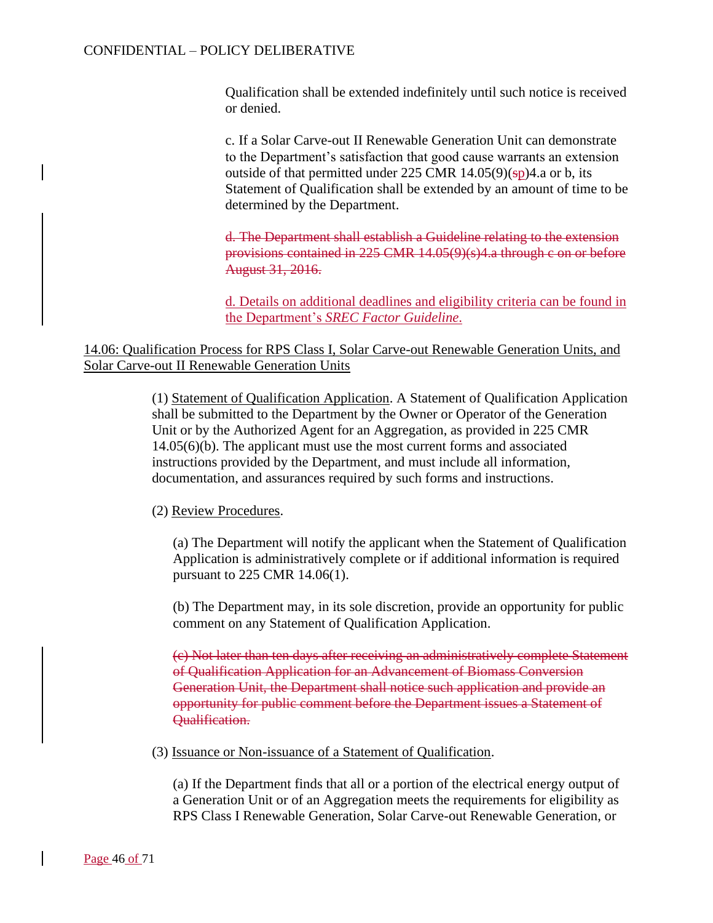Qualification shall be extended indefinitely until such notice is received or denied.

c. If a Solar Carve-out II Renewable Generation Unit can demonstrate to the Department's satisfaction that good cause warrants an extension outside of that permitted under 225 CMR  $14.05(9)(sp)4$ .a or b, its Statement of Qualification shall be extended by an amount of time to be determined by the Department.

d. The Department shall establish a Guideline relating to the extension provisions contained in 225 CMR 14.05(9)(s)4.a through c on or before August 31, 2016.

d. Details on additional deadlines and eligibility criteria can be found in the Department's *SREC Factor Guideline*.

14.06: Qualification Process for RPS Class I, Solar Carve-out Renewable Generation Units, and Solar Carve-out II Renewable Generation Units

> (1) Statement of Qualification Application. A Statement of Qualification Application shall be submitted to the Department by the Owner or Operator of the Generation Unit or by the Authorized Agent for an Aggregation, as provided in 225 CMR 14.05(6)(b). The applicant must use the most current forms and associated instructions provided by the Department, and must include all information, documentation, and assurances required by such forms and instructions.

(2) Review Procedures.

(a) The Department will notify the applicant when the Statement of Qualification Application is administratively complete or if additional information is required pursuant to 225 CMR 14.06(1).

(b) The Department may, in its sole discretion, provide an opportunity for public comment on any Statement of Qualification Application.

(c) Not later than ten days after receiving an administratively complete Statement of Qualification Application for an Advancement of Biomass Conversion Generation Unit, the Department shall notice such application and provide an opportunity for public comment before the Department issues a Statement of Qualification.

(3) Issuance or Non-issuance of a Statement of Qualification.

(a) If the Department finds that all or a portion of the electrical energy output of a Generation Unit or of an Aggregation meets the requirements for eligibility as RPS Class I Renewable Generation, Solar Carve-out Renewable Generation, or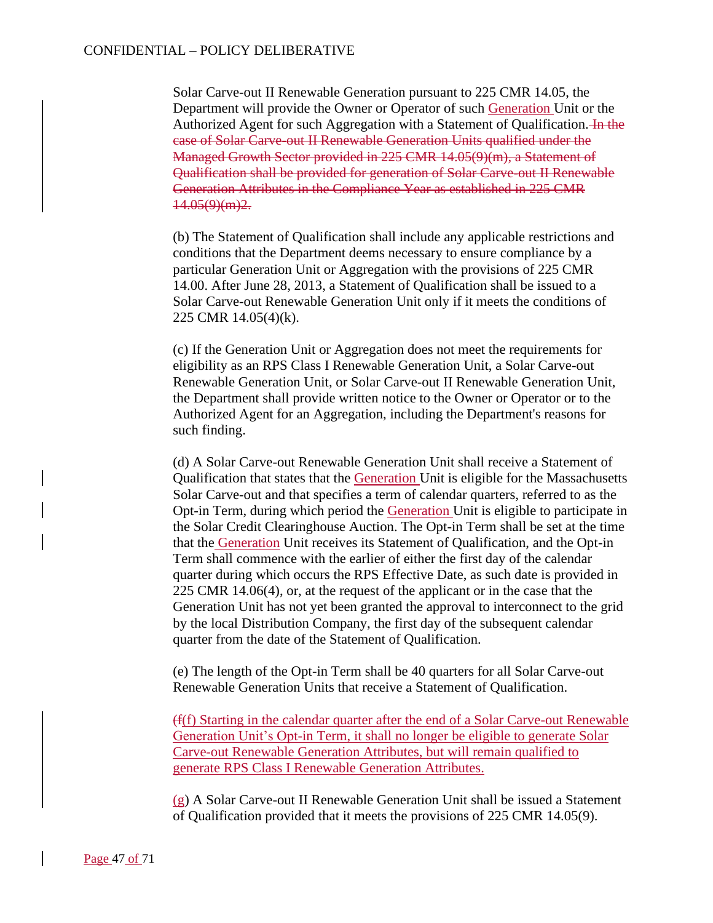Solar Carve-out II Renewable Generation pursuant to 225 CMR 14.05, the Department will provide the Owner or Operator of such Generation Unit or the Authorized Agent for such Aggregation with a Statement of Qualification. In the case of Solar Carve-out II Renewable Generation Units qualified under the Managed Growth Sector provided in 225 CMR 14.05(9)(m), a Statement of Qualification shall be provided for generation of Solar Carve-out II Renewable Generation Attributes in the Compliance Year as established in 225 CMR  $14.05(9)(m)2.$ 

(b) The Statement of Qualification shall include any applicable restrictions and conditions that the Department deems necessary to ensure compliance by a particular Generation Unit or Aggregation with the provisions of 225 CMR 14.00. After June 28, 2013, a Statement of Qualification shall be issued to a Solar Carve-out Renewable Generation Unit only if it meets the conditions of 225 CMR 14.05(4)(k).

(c) If the Generation Unit or Aggregation does not meet the requirements for eligibility as an RPS Class I Renewable Generation Unit, a Solar Carve-out Renewable Generation Unit, or Solar Carve-out II Renewable Generation Unit, the Department shall provide written notice to the Owner or Operator or to the Authorized Agent for an Aggregation, including the Department's reasons for such finding.

(d) A Solar Carve-out Renewable Generation Unit shall receive a Statement of Qualification that states that the Generation Unit is eligible for the Massachusetts Solar Carve-out and that specifies a term of calendar quarters, referred to as the Opt-in Term, during which period the Generation Unit is eligible to participate in the Solar Credit Clearinghouse Auction. The Opt-in Term shall be set at the time that the Generation Unit receives its Statement of Qualification, and the Opt-in Term shall commence with the earlier of either the first day of the calendar quarter during which occurs the RPS Effective Date, as such date is provided in 225 CMR 14.06(4), or, at the request of the applicant or in the case that the Generation Unit has not yet been granted the approval to interconnect to the grid by the local Distribution Company, the first day of the subsequent calendar quarter from the date of the Statement of Qualification.

(e) The length of the Opt-in Term shall be 40 quarters for all Solar Carve-out Renewable Generation Units that receive a Statement of Qualification.

(f(f) Starting in the calendar quarter after the end of a Solar Carve-out Renewable Generation Unit's Opt-in Term, it shall no longer be eligible to generate Solar Carve-out Renewable Generation Attributes, but will remain qualified to generate RPS Class I Renewable Generation Attributes.

(g) A Solar Carve-out II Renewable Generation Unit shall be issued a Statement of Qualification provided that it meets the provisions of 225 CMR 14.05(9).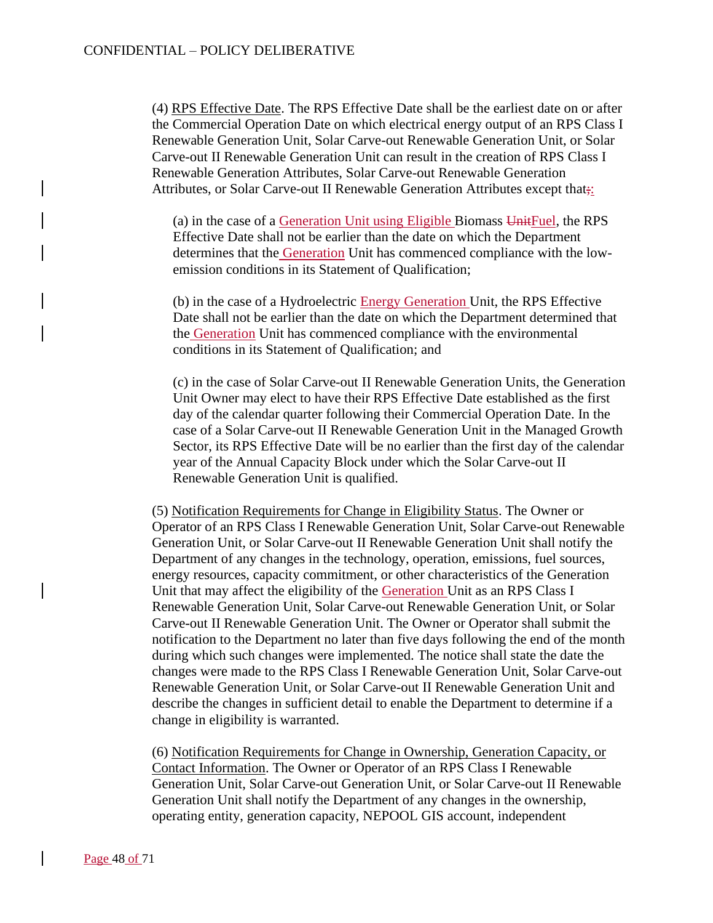(4) RPS Effective Date. The RPS Effective Date shall be the earliest date on or after the Commercial Operation Date on which electrical energy output of an RPS Class I Renewable Generation Unit, Solar Carve-out Renewable Generation Unit, or Solar Carve-out II Renewable Generation Unit can result in the creation of RPS Class I Renewable Generation Attributes, Solar Carve-out Renewable Generation Attributes, or Solar Carve-out II Renewable Generation Attributes except that;:

(a) in the case of a Generation Unit using Eligible Biomass UnitFuel, the RPS Effective Date shall not be earlier than the date on which the Department determines that the Generation Unit has commenced compliance with the lowemission conditions in its Statement of Qualification;

(b) in the case of a Hydroelectric Energy Generation Unit, the RPS Effective Date shall not be earlier than the date on which the Department determined that the Generation Unit has commenced compliance with the environmental conditions in its Statement of Qualification; and

(c) in the case of Solar Carve-out II Renewable Generation Units, the Generation Unit Owner may elect to have their RPS Effective Date established as the first day of the calendar quarter following their Commercial Operation Date. In the case of a Solar Carve-out II Renewable Generation Unit in the Managed Growth Sector, its RPS Effective Date will be no earlier than the first day of the calendar year of the Annual Capacity Block under which the Solar Carve-out II Renewable Generation Unit is qualified.

(5) Notification Requirements for Change in Eligibility Status. The Owner or Operator of an RPS Class I Renewable Generation Unit, Solar Carve-out Renewable Generation Unit, or Solar Carve-out II Renewable Generation Unit shall notify the Department of any changes in the technology, operation, emissions, fuel sources, energy resources, capacity commitment, or other characteristics of the Generation Unit that may affect the eligibility of the Generation Unit as an RPS Class I Renewable Generation Unit, Solar Carve-out Renewable Generation Unit, or Solar Carve-out II Renewable Generation Unit. The Owner or Operator shall submit the notification to the Department no later than five days following the end of the month during which such changes were implemented. The notice shall state the date the changes were made to the RPS Class I Renewable Generation Unit, Solar Carve-out Renewable Generation Unit, or Solar Carve-out II Renewable Generation Unit and describe the changes in sufficient detail to enable the Department to determine if a change in eligibility is warranted.

(6) Notification Requirements for Change in Ownership, Generation Capacity, or Contact Information. The Owner or Operator of an RPS Class I Renewable Generation Unit, Solar Carve-out Generation Unit, or Solar Carve-out II Renewable Generation Unit shall notify the Department of any changes in the ownership, operating entity, generation capacity, NEPOOL GIS account, independent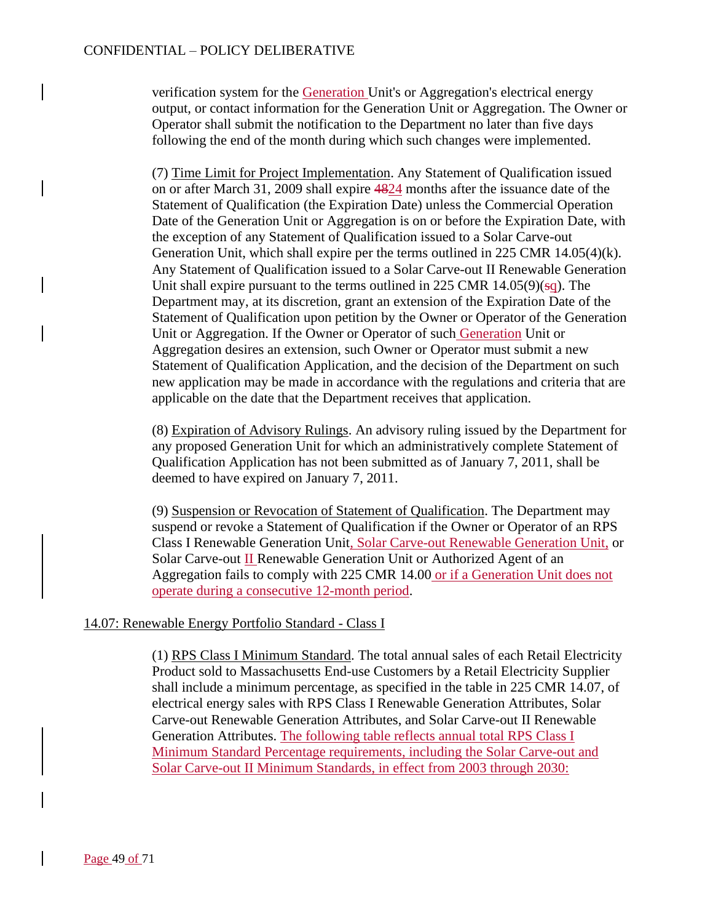verification system for the Generation Unit's or Aggregation's electrical energy output, or contact information for the Generation Unit or Aggregation. The Owner or Operator shall submit the notification to the Department no later than five days following the end of the month during which such changes were implemented.

(7) Time Limit for Project Implementation. Any Statement of Qualification issued on or after March 31, 2009 shall expire 4824 months after the issuance date of the Statement of Qualification (the Expiration Date) unless the Commercial Operation Date of the Generation Unit or Aggregation is on or before the Expiration Date, with the exception of any Statement of Qualification issued to a Solar Carve-out Generation Unit, which shall expire per the terms outlined in 225 CMR 14.05(4)(k). Any Statement of Qualification issued to a Solar Carve-out II Renewable Generation Unit shall expire pursuant to the terms outlined in 225 CMR  $14.05(9)(sq)$ . The Department may, at its discretion, grant an extension of the Expiration Date of the Statement of Qualification upon petition by the Owner or Operator of the Generation Unit or Aggregation. If the Owner or Operator of such Generation Unit or Aggregation desires an extension, such Owner or Operator must submit a new Statement of Qualification Application, and the decision of the Department on such new application may be made in accordance with the regulations and criteria that are applicable on the date that the Department receives that application.

(8) Expiration of Advisory Rulings. An advisory ruling issued by the Department for any proposed Generation Unit for which an administratively complete Statement of Qualification Application has not been submitted as of January 7, 2011, shall be deemed to have expired on January 7, 2011.

(9) Suspension or Revocation of Statement of Qualification. The Department may suspend or revoke a Statement of Qualification if the Owner or Operator of an RPS Class I Renewable Generation Unit, Solar Carve-out Renewable Generation Unit, or Solar Carve-out II Renewable Generation Unit or Authorized Agent of an Aggregation fails to comply with 225 CMR 14.00 or if a Generation Unit does not operate during a consecutive 12-month period.

### 14.07: Renewable Energy Portfolio Standard - Class I

(1) RPS Class I Minimum Standard. The total annual sales of each Retail Electricity Product sold to Massachusetts End-use Customers by a Retail Electricity Supplier shall include a minimum percentage, as specified in the table in 225 CMR 14.07, of electrical energy sales with RPS Class I Renewable Generation Attributes, Solar Carve-out Renewable Generation Attributes, and Solar Carve-out II Renewable Generation Attributes. The following table reflects annual total RPS Class I Minimum Standard Percentage requirements, including the Solar Carve-out and Solar Carve-out II Minimum Standards, in effect from 2003 through 2030: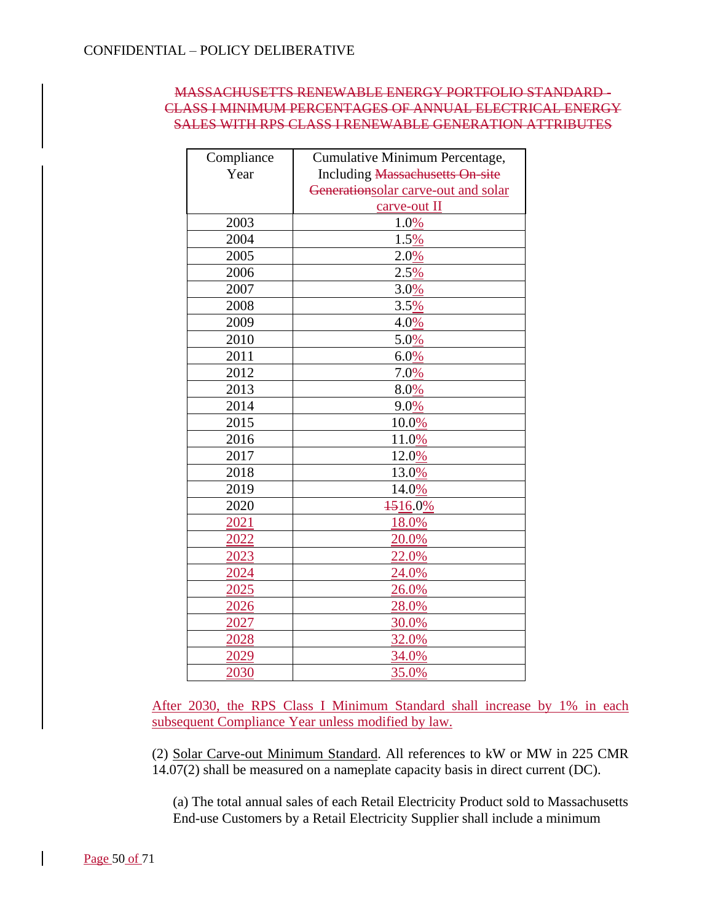## MASSACHUSETTS RENEWABLE ENERGY PORTFOLIO STANDARD - CLASS I MINIMUM PERCENTAGES OF ANNUAL ELECTRICAL ENERGY SALES WITH RPS CLASS I RENEWABLE GENERATION ATTRIBUTES

| Compliance | Cumulative Minimum Percentage,                    |
|------------|---------------------------------------------------|
| Year       | <b>Including <del>Massachusetts On site</del></b> |
|            | Generationsolar carve-out and solar               |
|            | carve-out II                                      |
| 2003       | 1.0%                                              |
| 2004       | 1.5%                                              |
| 2005       | 2.0%                                              |
| 2006       | 2.5%                                              |
| 2007       | 3.0%                                              |
| 2008       | 3.5%                                              |
| 2009       | 4.0%                                              |
| 2010       | 5.0%                                              |
| 2011       | 6.0%                                              |
| 2012       | 7.0%                                              |
| 2013       | 8.0%                                              |
| 2014       | 9.0%                                              |
| 2015       | 10.0%                                             |
| 2016       | 11.0%                                             |
| 2017       | 12.0%                                             |
| 2018       | 13.0%                                             |
| 2019       | 14.0%                                             |
| 2020       | 1516.0%                                           |
| 2021       | 18.0%                                             |
| 2022       | 20.0%                                             |
| 2023       | 22.0%                                             |
| 2024       | 24.0%                                             |
| 2025       | 26.0%                                             |
| 2026       | 28.0%                                             |
| 2027       | 30.0%                                             |
| 2028       | 32.0%                                             |
| 2029       | 34.0%                                             |
| 2030       | 35.0%                                             |

After 2030, the RPS Class I Minimum Standard shall increase by 1% in each subsequent Compliance Year unless modified by law.

(2) Solar Carve-out Minimum Standard. All references to kW or MW in 225 CMR 14.07(2) shall be measured on a nameplate capacity basis in direct current (DC).

(a) The total annual sales of each Retail Electricity Product sold to Massachusetts End-use Customers by a Retail Electricity Supplier shall include a minimum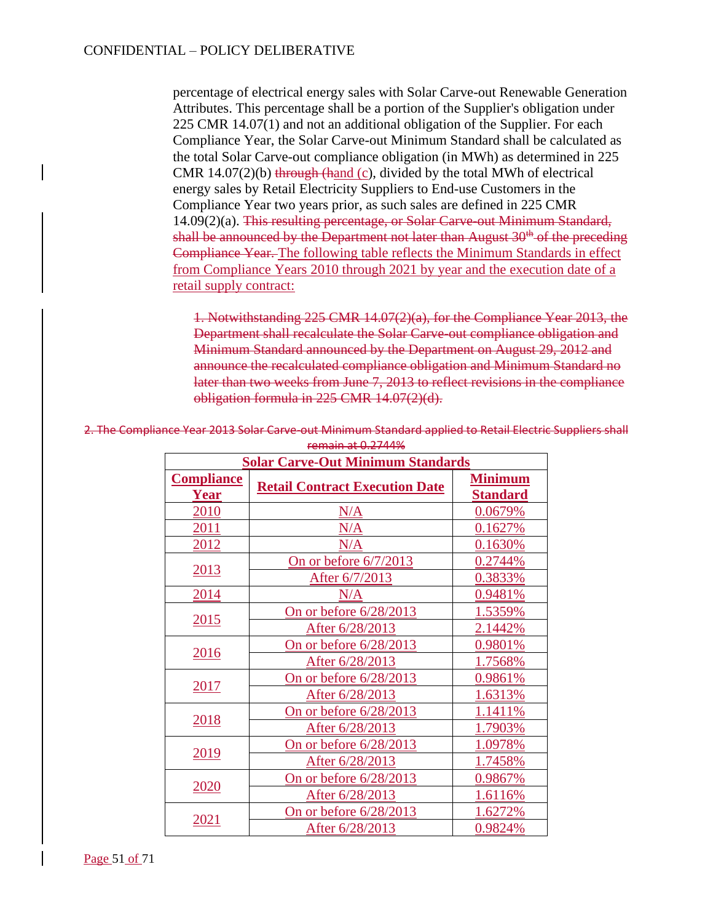percentage of electrical energy sales with Solar Carve-out Renewable Generation Attributes. This percentage shall be a portion of the Supplier's obligation under 225 CMR 14.07(1) and not an additional obligation of the Supplier. For each Compliance Year, the Solar Carve-out Minimum Standard shall be calculated as the total Solar Carve-out compliance obligation (in MWh) as determined in 225 CMR  $14.07(2)(b)$  through (hand (c), divided by the total MWh of electrical energy sales by Retail Electricity Suppliers to End-use Customers in the Compliance Year two years prior, as such sales are defined in 225 CMR 14.09(2)(a). This resulting percentage, or Solar Carve-out Minimum Standard, shall be announced by the Department not later than August  $30<sup>th</sup>$  of the preceding Compliance Year. The following table reflects the Minimum Standards in effect from Compliance Years 2010 through 2021 by year and the execution date of a retail supply contract:

1. Notwithstanding 225 CMR 14.07(2)(a), for the Compliance Year 2013, the Department shall recalculate the Solar Carve-out compliance obligation and Minimum Standard announced by the Department on August 29, 2012 and announce the recalculated compliance obligation and Minimum Standard no later than two weeks from June 7, 2013 to reflect revisions in the compliance obligation formula in 225 CMR 14.07(2)(d).

| <b>Solar Carve-Out Minimum Standards</b> |                                       |                                   |
|------------------------------------------|---------------------------------------|-----------------------------------|
| <b>Compliance</b><br><b>Year</b>         | <b>Retail Contract Execution Date</b> | <b>Minimum</b><br><b>Standard</b> |
| 2010                                     | N/A                                   | 0.0679%                           |
| 2011                                     | N/A                                   | 0.1627%                           |
| 2012                                     | N/A                                   | 0.1630%                           |
| 2013                                     | On or before $6/7/2013$               | 0.2744%                           |
|                                          | After 6/7/2013                        | 0.3833%                           |
| 2014                                     | N/A                                   | 0.9481%                           |
|                                          | On or before 6/28/2013                | 1.5359%                           |
| <u>2015</u>                              | After 6/28/2013                       | 2.1442%                           |
| 2016                                     | On or before 6/28/2013                | 0.9801%                           |
|                                          | After 6/28/2013                       | 1.7568%                           |
|                                          | On or before 6/28/2013                | 0.9861%                           |
| 2017                                     | After 6/28/2013                       | 1.6313%                           |
|                                          | On or before $6/28/2013$              | 1.1411%                           |
| 2018                                     | After 6/28/2013                       | 1.7903%                           |
|                                          | On or before 6/28/2013                | 1.0978%                           |
| 2019                                     | After 6/28/2013                       | 1.7458%                           |
| <u>2020</u>                              | <u>On or before 6/28/2013</u>         | 0.9867%                           |
|                                          | After 6/28/2013                       | 1.6116%                           |
|                                          | On or before 6/28/2013                | 1.6272%                           |
| 2021                                     | After 6/28/2013                       | 0.9824%                           |

2. The Compliance Year 2013 Solar Carve-out Minimum Standard applied to Retail Electric Suppliers shall remain at 0.2744%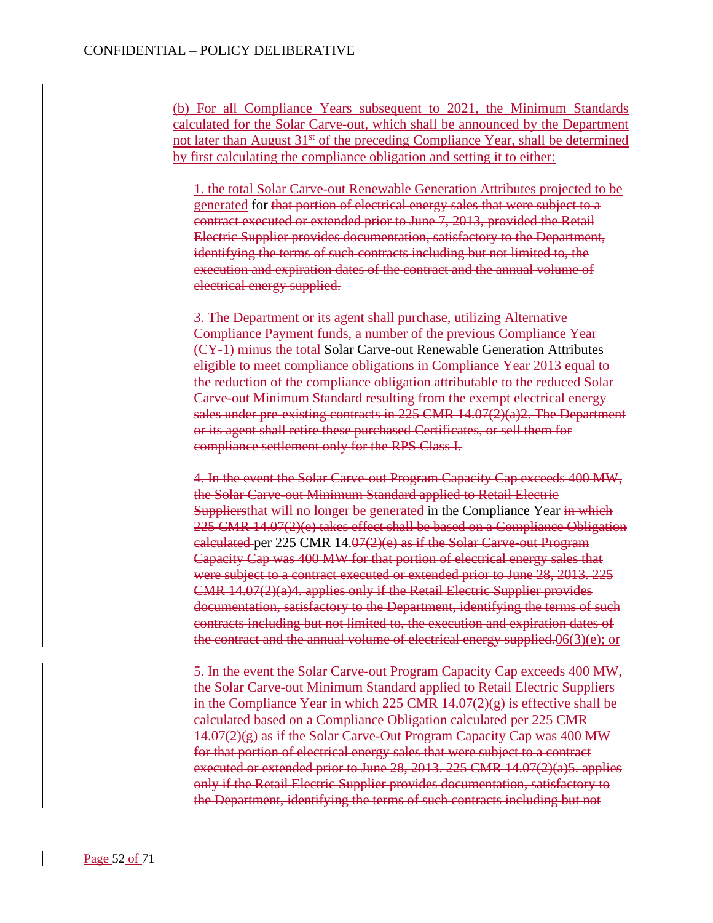(b) For all Compliance Years subsequent to 2021, the Minimum Standards calculated for the Solar Carve-out, which shall be announced by the Department not later than August  $31<sup>st</sup>$  of the preceding Compliance Year, shall be determined by first calculating the compliance obligation and setting it to either:

1. the total Solar Carve-out Renewable Generation Attributes projected to be generated for that portion of electrical energy sales that were subject to a contract executed or extended prior to June 7, 2013, provided the Retail Electric Supplier provides documentation, satisfactory to the Department, identifying the terms of such contracts including but not limited to, the execution and expiration dates of the contract and the annual volume of electrical energy supplied.

3. The Department or its agent shall purchase, utilizing Alternative Compliance Payment funds, a number of the previous Compliance Year (CY-1) minus the total Solar Carve-out Renewable Generation Attributes eligible to meet compliance obligations in Compliance Year 2013 equal to the reduction of the compliance obligation attributable to the reduced Solar Carve-out Minimum Standard resulting from the exempt electrical energy sales under pre-existing contracts in  $225$  CMR  $14.07(2)(a)2$ . The Department or its agent shall retire these purchased Certificates, or sell them for compliance settlement only for the RPS Class I.

4. In the event the Solar Carve-out Program Capacity Cap exceeds 400 MW, the Solar Carve-out Minimum Standard applied to Retail Electric **Suppliers** that will no longer be generated in the Compliance Year in which 225 CMR 14.07(2)(e) takes effect shall be based on a Compliance Obligation calculated per 225 CMR  $14.07(2)(e)$  as if the Solar Carve-out Program Capacity Cap was 400 MW for that portion of electrical energy sales that were subject to a contract executed or extended prior to June 28, 2013. 225 CMR 14.07(2)(a)4. applies only if the Retail Electric Supplier provides documentation, satisfactory to the Department, identifying the terms of such contracts including but not limited to, the execution and expiration dates of the contract and the annual volume of electrical energy supplied. $06(3)(e)$ ; or

5. In the event the Solar Carve-out Program Capacity Cap exceeds 400 MW, the Solar Carve-out Minimum Standard applied to Retail Electric Suppliers in the Compliance Year in which  $225$  CMR  $14.07(2)(g)$  is effective shall be calculated based on a Compliance Obligation calculated per 225 CMR  $14.07(2)(g)$  as if the Solar Carve-Out Program Capacity Cap was 400 MW for that portion of electrical energy sales that were subject to a contract executed or extended prior to June 28, 2013. 225 CMR 14.07(2)(a)5. applies only if the Retail Electric Supplier provides documentation, satisfactory to the Department, identifying the terms of such contracts including but not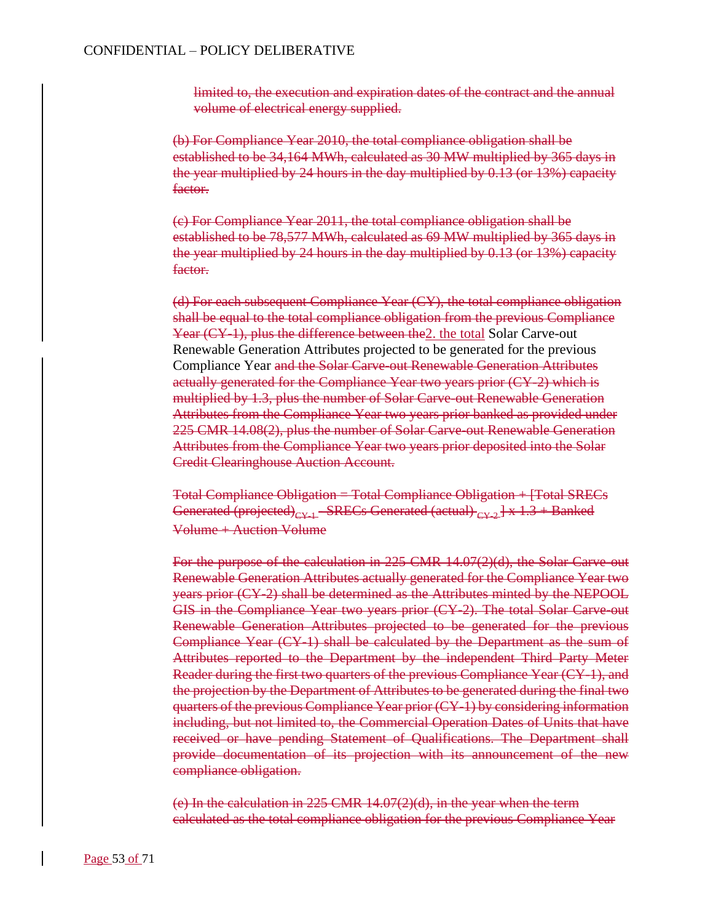limited to, the execution and expiration dates of the contract and the annual volume of electrical energy supplied.

(b) For Compliance Year 2010, the total compliance obligation shall be established to be 34,164 MWh, calculated as 30 MW multiplied by 365 days in the year multiplied by 24 hours in the day multiplied by 0.13 (or 13%) capacity factor.

(c) For Compliance Year 2011, the total compliance obligation shall be established to be 78,577 MWh, calculated as 69 MW multiplied by 365 days in the year multiplied by 24 hours in the day multiplied by 0.13 (or 13%) capacity factor.

(d) For each subsequent Compliance Year (CY), the total compliance obligation shall be equal to the total compliance obligation from the previous Compliance Year (CY-1), plus the difference between the2. the total Solar Carve-out Renewable Generation Attributes projected to be generated for the previous Compliance Year and the Solar Carve-out Renewable Generation Attributes actually generated for the Compliance Year two years prior (CY-2) which is multiplied by 1.3, plus the number of Solar Carve-out Renewable Generation Attributes from the Compliance Year two years prior banked as provided under 225 CMR 14.08(2), plus the number of Solar Carve-out Renewable Generation Attributes from the Compliance Year two years prior deposited into the Solar Credit Clearinghouse Auction Account.

Total Compliance Obligation = Total Compliance Obligation + [Total SRECs Generated (projected)<sub>CY-1</sub> - SRECs Generated (actual)  $_{CY-2}$  | x 1.3 + Banked Volume + Auction Volume

For the purpose of the calculation in 225 CMR 14.07(2)(d), the Solar Carve-out Renewable Generation Attributes actually generated for the Compliance Year two years prior (CY-2) shall be determined as the Attributes minted by the NEPOOL GIS in the Compliance Year two years prior (CY-2). The total Solar Carve-out Renewable Generation Attributes projected to be generated for the previous Compliance Year (CY-1) shall be calculated by the Department as the sum of Attributes reported to the Department by the independent Third Party Meter Reader during the first two quarters of the previous Compliance Year (CY-1), and the projection by the Department of Attributes to be generated during the final two quarters of the previous Compliance Year prior (CY-1) by considering information including, but not limited to, the Commercial Operation Dates of Units that have received or have pending Statement of Qualifications. The Department shall provide documentation of its projection with its announcement of the new compliance obligation.

(e) In the calculation in 225 CMR 14.07(2)(d), in the year when the term calculated as the total compliance obligation for the previous Compliance Year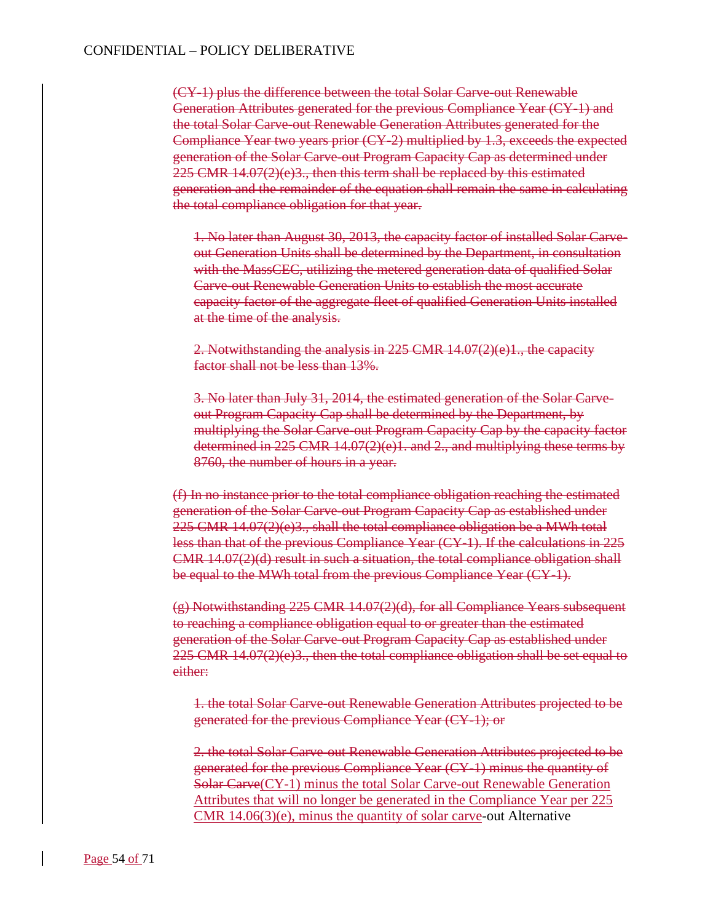(CY-1) plus the difference between the total Solar Carve-out Renewable Generation Attributes generated for the previous Compliance Year (CY-1) and the total Solar Carve-out Renewable Generation Attributes generated for the Compliance Year two years prior (CY-2) multiplied by 1.3, exceeds the expected generation of the Solar Carve-out Program Capacity Cap as determined under  $225$  CMR 14.07(2)(e)3., then this term shall be replaced by this estimated generation and the remainder of the equation shall remain the same in calculating the total compliance obligation for that year.

1. No later than August 30, 2013, the capacity factor of installed Solar Carveout Generation Units shall be determined by the Department, in consultation with the MassCEC, utilizing the metered generation data of qualified Solar Carve-out Renewable Generation Units to establish the most accurate capacity factor of the aggregate fleet of qualified Generation Units installed at the time of the analysis.

2. Notwithstanding the analysis in 225 CMR 14.07(2)(e)1., the capacity factor shall not be less than 13%.

3. No later than July 31, 2014, the estimated generation of the Solar Carveout Program Capacity Cap shall be determined by the Department, by multiplying the Solar Carve-out Program Capacity Cap by the capacity factor determined in 225 CMR 14.07(2)(e)1. and 2., and multiplying these terms by 8760, the number of hours in a year.

(f) In no instance prior to the total compliance obligation reaching the estimated generation of the Solar Carve-out Program Capacity Cap as established under  $225$  CMR  $14.07(2)(e)3$ ., shall the total compliance obligation be a MWh total less than that of the previous Compliance Year (CY-1). If the calculations in 225 CMR 14.07(2)(d) result in such a situation, the total compliance obligation shall be equal to the MWh total from the previous Compliance Year (CY-1).

 $(g)$  Notwithstanding 225 CMR 14.07(2)(d), for all Compliance Years subsequent to reaching a compliance obligation equal to or greater than the estimated generation of the Solar Carve-out Program Capacity Cap as established under  $225$  CMR 14.07(2)(e)3., then the total compliance obligation shall be set equal to either:

1. the total Solar Carve-out Renewable Generation Attributes projected to be generated for the previous Compliance Year (CY-1); or

2. the total Solar Carve-out Renewable Generation Attributes projected to be generated for the previous Compliance Year (CY-1) minus the quantity of Solar Carve(CY-1) minus the total Solar Carve-out Renewable Generation Attributes that will no longer be generated in the Compliance Year per 225 CMR 14.06(3)(e), minus the quantity of solar carve-out Alternative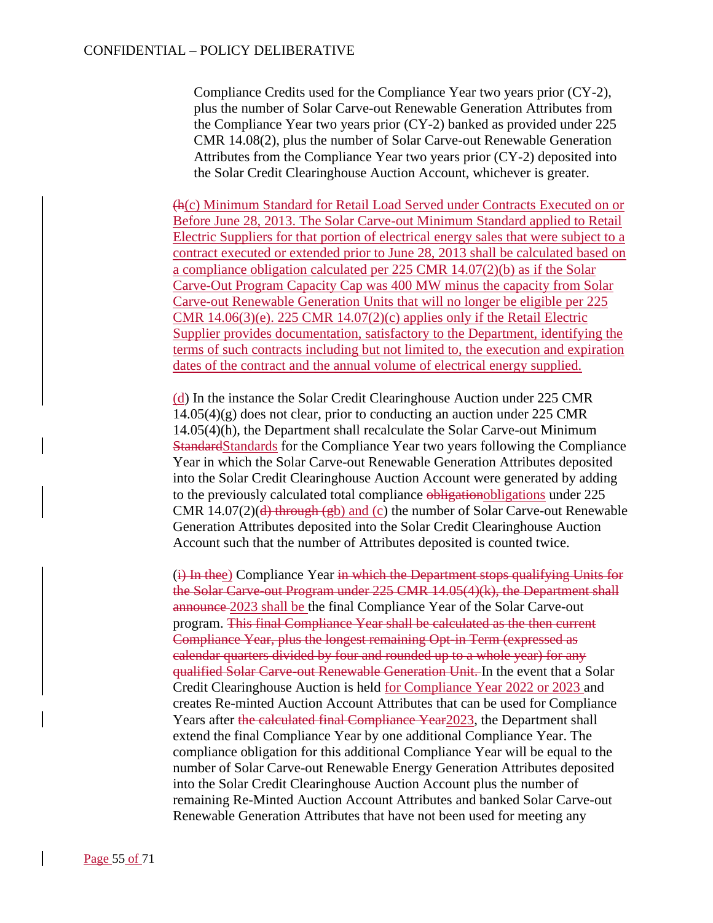Compliance Credits used for the Compliance Year two years prior (CY-2), plus the number of Solar Carve-out Renewable Generation Attributes from the Compliance Year two years prior (CY-2) banked as provided under 225 CMR 14.08(2), plus the number of Solar Carve-out Renewable Generation Attributes from the Compliance Year two years prior (CY-2) deposited into the Solar Credit Clearinghouse Auction Account, whichever is greater.

(h(c) Minimum Standard for Retail Load Served under Contracts Executed on or Before June 28, 2013. The Solar Carve-out Minimum Standard applied to Retail Electric Suppliers for that portion of electrical energy sales that were subject to a contract executed or extended prior to June 28, 2013 shall be calculated based on a compliance obligation calculated per 225 CMR 14.07(2)(b) as if the Solar Carve-Out Program Capacity Cap was 400 MW minus the capacity from Solar Carve-out Renewable Generation Units that will no longer be eligible per 225 CMR  $14.06(3)(e)$ . 225 CMR  $14.07(2)(c)$  applies only if the Retail Electric Supplier provides documentation, satisfactory to the Department, identifying the terms of such contracts including but not limited to, the execution and expiration dates of the contract and the annual volume of electrical energy supplied.

(d) In the instance the Solar Credit Clearinghouse Auction under 225 CMR  $14.05(4)(g)$  does not clear, prior to conducting an auction under 225 CMR 14.05(4)(h), the Department shall recalculate the Solar Carve-out Minimum StandardStandards for the Compliance Year two years following the Compliance Year in which the Solar Carve-out Renewable Generation Attributes deposited into the Solar Credit Clearinghouse Auction Account were generated by adding to the previously calculated total compliance obligationobligations under 225 CMR 14.07(2)( $\frac{d}{dt}$  through (gb) and (c) the number of Solar Carve-out Renewable Generation Attributes deposited into the Solar Credit Clearinghouse Auction Account such that the number of Attributes deposited is counted twice.

(i) In thee) Compliance Year in which the Department stops qualifying Units for the Solar Carve-out Program under 225 CMR 14.05(4)(k), the Department shall announce 2023 shall be the final Compliance Year of the Solar Carve-out program. This final Compliance Year shall be calculated as the then current Compliance Year, plus the longest remaining Opt-in Term (expressed as calendar quarters divided by four and rounded up to a whole year) for any qualified Solar Carve-out Renewable Generation Unit. In the event that a Solar Credit Clearinghouse Auction is held for Compliance Year 2022 or 2023 and creates Re-minted Auction Account Attributes that can be used for Compliance Years after the calculated final Compliance Year2023, the Department shall extend the final Compliance Year by one additional Compliance Year. The compliance obligation for this additional Compliance Year will be equal to the number of Solar Carve-out Renewable Energy Generation Attributes deposited into the Solar Credit Clearinghouse Auction Account plus the number of remaining Re-Minted Auction Account Attributes and banked Solar Carve-out Renewable Generation Attributes that have not been used for meeting any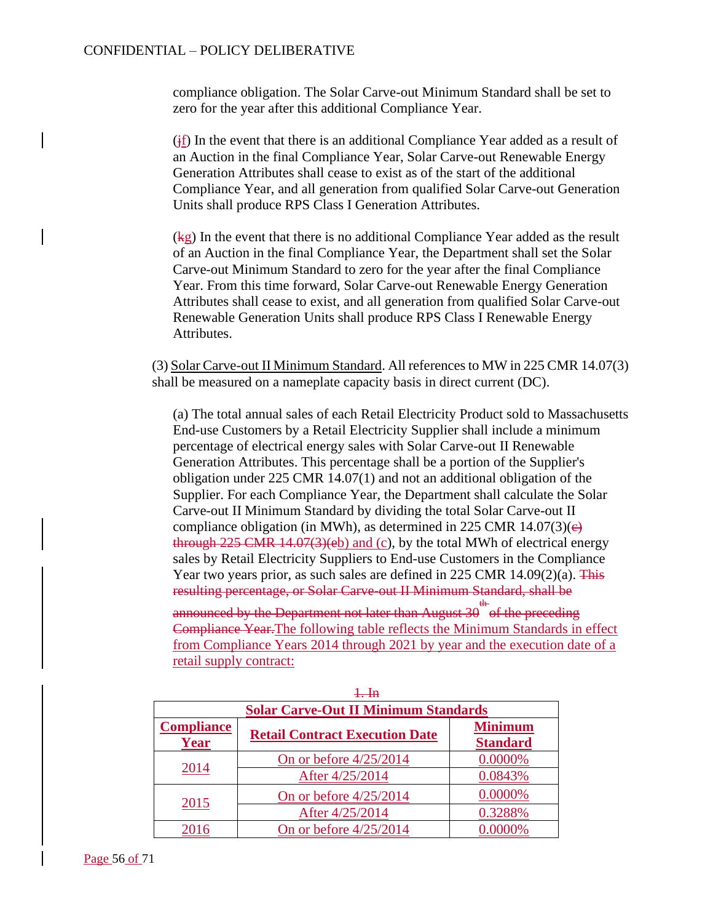compliance obligation. The Solar Carve-out Minimum Standard shall be set to zero for the year after this additional Compliance Year.

 $(i)$  In the event that there is an additional Compliance Year added as a result of an Auction in the final Compliance Year, Solar Carve-out Renewable Energy Generation Attributes shall cease to exist as of the start of the additional Compliance Year, and all generation from qualified Solar Carve-out Generation Units shall produce RPS Class I Generation Attributes.

(kg) In the event that there is no additional Compliance Year added as the result of an Auction in the final Compliance Year, the Department shall set the Solar Carve-out Minimum Standard to zero for the year after the final Compliance Year. From this time forward, Solar Carve-out Renewable Energy Generation Attributes shall cease to exist, and all generation from qualified Solar Carve-out Renewable Generation Units shall produce RPS Class I Renewable Energy Attributes.

(3) Solar Carve-out II Minimum Standard. All references to MW in 225 CMR 14.07(3) shall be measured on a nameplate capacity basis in direct current (DC).

(a) The total annual sales of each Retail Electricity Product sold to Massachusetts End-use Customers by a Retail Electricity Supplier shall include a minimum percentage of electrical energy sales with Solar Carve-out II Renewable Generation Attributes. This percentage shall be a portion of the Supplier's obligation under 225 CMR 14.07(1) and not an additional obligation of the Supplier. For each Compliance Year, the Department shall calculate the Solar Carve-out II Minimum Standard by dividing the total Solar Carve-out II compliance obligation (in MWh), as determined in 225 CMR 14.07(3)( $\epsilon$ ) through  $225$  CMR  $14.07(3)(eb)$  and (c), by the total MWh of electrical energy sales by Retail Electricity Suppliers to End-use Customers in the Compliance Year two years prior, as such sales are defined in 225 CMR  $14.09(2)(a)$ . This resulting percentage, or Solar Carve-out II Minimum Standard, shall be

announced by the Department not later than August 30  $\overline{ }^{\text{th}}$  of the preceding Compliance Year.The following table reflects the Minimum Standards in effect from Compliance Years 2014 through 2021 by year and the execution date of a retail supply contract:

| <del>1. m</del><br><b>Solar Carve-Out II Minimum Standards</b> |                                       |                                   |
|----------------------------------------------------------------|---------------------------------------|-----------------------------------|
| <b>Compliance</b><br>Year                                      | <b>Retail Contract Execution Date</b> | <b>Minimum</b><br><b>Standard</b> |
| 2014                                                           | On or before $4/25/2014$              | 0.0000%                           |
|                                                                | After 4/25/2014                       | 0.0843%                           |
| 2015                                                           | On or before $4/25/2014$              | 0.0000%                           |
|                                                                | After 4/25/2014                       | 0.3288%                           |
| 2016                                                           | On or before $4/25/2014$              | 0.0000%                           |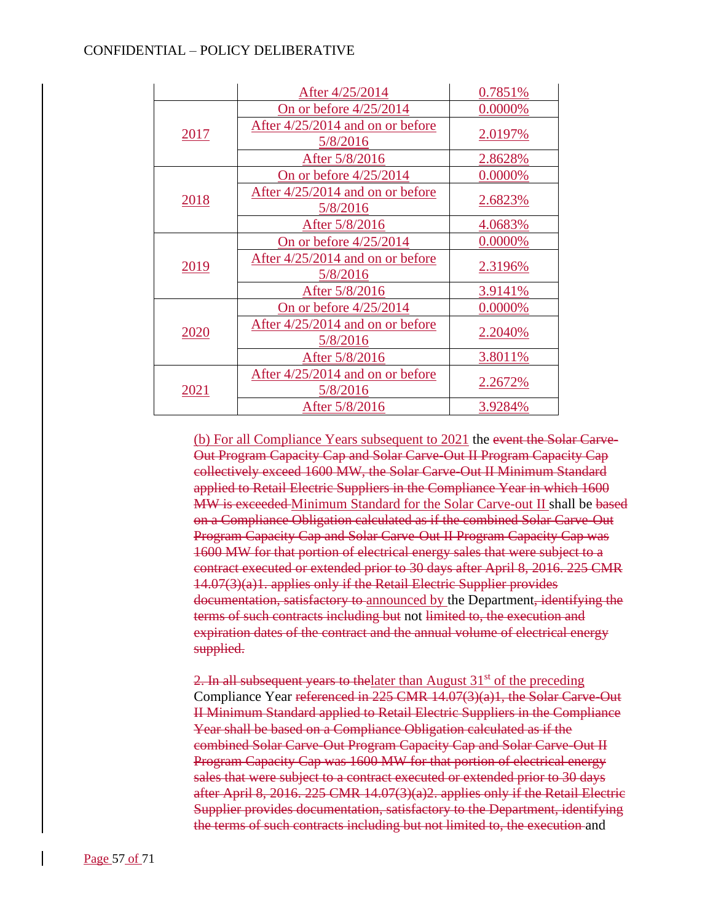|      | After 4/25/2014                                | 0.7851%        |
|------|------------------------------------------------|----------------|
|      | On or before $4/25/2014$                       | 0.0000%        |
| 2017 | After $4/25/2014$ and on or before<br>5/8/2016 | 2.0197%        |
|      | After 5/8/2016                                 | 2.8628%        |
|      | On or before $4/25/2014$                       | 0.0000%        |
| 2018 | After 4/25/2014 and on or before<br>5/8/2016   | 2.6823%        |
|      | After 5/8/2016                                 | 4.0683%        |
| 2019 | On or before $4/25/2014$                       | 0.0000%        |
|      | After 4/25/2014 and on or before<br>5/8/2016   | <u>2.3196%</u> |
|      | After 5/8/2016                                 | 3.9141%        |
|      | On or before $4/25/2014$                       | 0.0000%        |
| 2020 | After $4/25/2014$ and on or before<br>5/8/2016 | 2.2040%        |
|      | After 5/8/2016                                 | 3.8011%        |
| 2021 | After 4/25/2014 and on or before<br>5/8/2016   | 2.2672%        |
|      | After 5/8/2016                                 | 3.9284%        |

(b) For all Compliance Years subsequent to 2021 the event the Solar Carve-Out Program Capacity Cap and Solar Carve-Out II Program Capacity Cap collectively exceed 1600 MW, the Solar Carve-Out II Minimum Standard applied to Retail Electric Suppliers in the Compliance Year in which 1600 MW is exceeded Minimum Standard for the Solar Carve-out II shall be based on a Compliance Obligation calculated as if the combined Solar Carve-Out Program Capacity Cap and Solar Carve-Out II Program Capacity Cap was 1600 MW for that portion of electrical energy sales that were subject to a contract executed or extended prior to 30 days after April 8, 2016. 225 CMR 14.07(3)(a)1. applies only if the Retail Electric Supplier provides documentation, satisfactory to announced by the Department, identifying the terms of such contracts including but not limited to, the execution and expiration dates of the contract and the annual volume of electrical energy supplied.

2. In all subsequent years to the later than August  $31<sup>st</sup>$  of the preceding Compliance Year referenced in 225 CMR 14.07(3)(a)1, the Solar Carve-Out II Minimum Standard applied to Retail Electric Suppliers in the Compliance Year shall be based on a Compliance Obligation calculated as if the combined Solar Carve-Out Program Capacity Cap and Solar Carve-Out II Program Capacity Cap was 1600 MW for that portion of electrical energy sales that were subject to a contract executed or extended prior to 30 days after April 8, 2016. 225 CMR 14.07(3)(a)2. applies only if the Retail Electric Supplier provides documentation, satisfactory to the Department, identifying the terms of such contracts including but not limited to, the execution and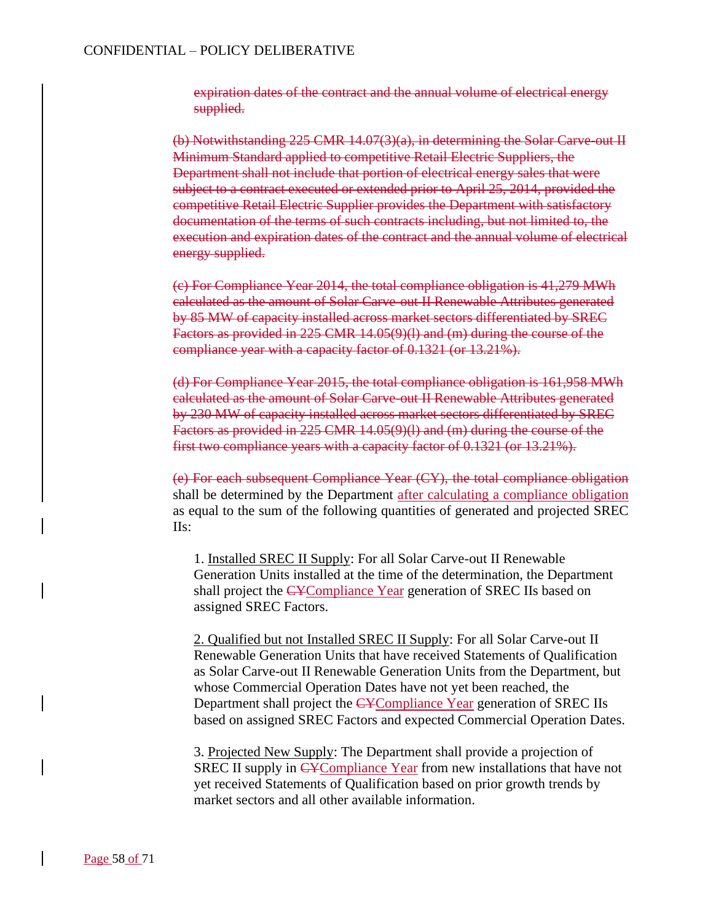expiration dates of the contract and the annual volume of electrical energy supplied.

(b) Notwithstanding 225 CMR 14.07(3)(a), in determining the Solar Carve-out II Minimum Standard applied to competitive Retail Electric Suppliers, the Department shall not include that portion of electrical energy sales that were subject to a contract executed or extended prior to April 25, 2014, provided the competitive Retail Electric Supplier provides the Department with satisfactory documentation of the terms of such contracts including, but not limited to, the execution and expiration dates of the contract and the annual volume of electrical energy supplied.

(c) For Compliance Year 2014, the total compliance obligation is 41,279 MWh calculated as the amount of Solar Carve-out II Renewable Attributes generated by 85 MW of capacity installed across market sectors differentiated by SREC Factors as provided in 225 CMR 14.05(9)(l) and (m) during the course of the compliance year with a capacity factor of 0.1321 (or 13.21%).

(d) For Compliance Year 2015, the total compliance obligation is 161,958 MWh calculated as the amount of Solar Carve-out II Renewable Attributes generated by 230 MW of capacity installed across market sectors differentiated by SREC Factors as provided in 225 CMR 14.05(9)(l) and (m) during the course of the first two compliance years with a capacity factor of 0.1321 (or 13.21%).

(e) For each subsequent Compliance Year (CY), the total compliance obligation shall be determined by the Department after calculating a compliance obligation as equal to the sum of the following quantities of generated and projected SREC IIs:

1. Installed SREC II Supply: For all Solar Carve-out II Renewable Generation Units installed at the time of the determination, the Department shall project the CYCompliance Year generation of SREC IIs based on assigned SREC Factors.

2. Qualified but not Installed SREC II Supply: For all Solar Carve-out II Renewable Generation Units that have received Statements of Qualification as Solar Carve-out II Renewable Generation Units from the Department, but whose Commercial Operation Dates have not yet been reached, the Department shall project the CYCompliance Year generation of SREC IIs based on assigned SREC Factors and expected Commercial Operation Dates.

3. Projected New Supply: The Department shall provide a projection of SREC II supply in CYCompliance Year from new installations that have not yet received Statements of Qualification based on prior growth trends by market sectors and all other available information.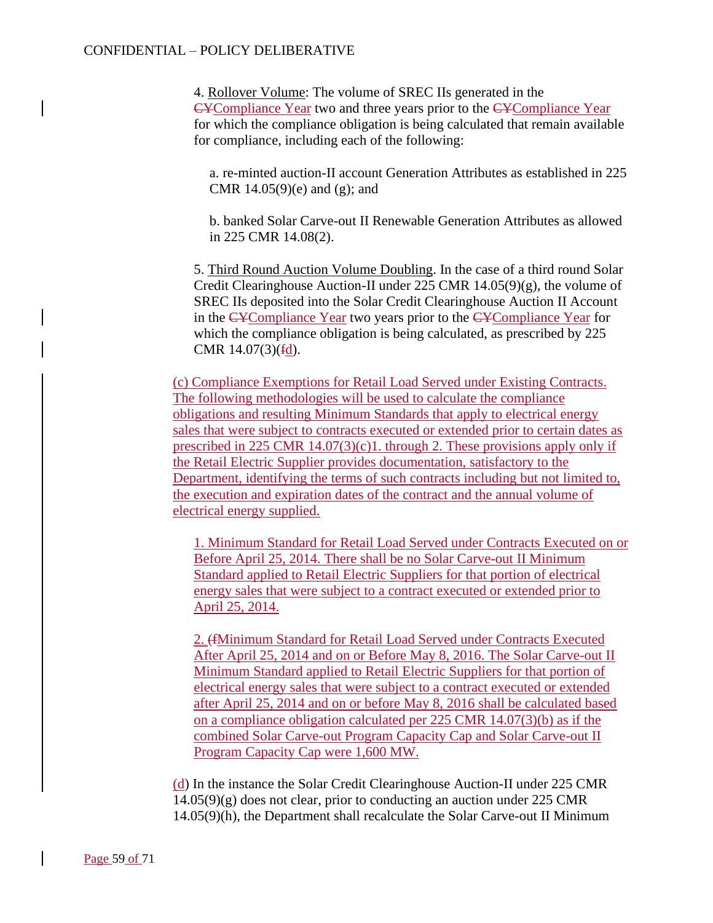4. Rollover Volume: The volume of SREC IIs generated in the CYCompliance Year two and three years prior to the CYCompliance Year for which the compliance obligation is being calculated that remain available for compliance, including each of the following:

a. re-minted auction-II account Generation Attributes as established in 225 CMR  $14.05(9)(e)$  and  $(g)$ ; and

b. banked Solar Carve-out II Renewable Generation Attributes as allowed in 225 CMR 14.08(2).

5. Third Round Auction Volume Doubling. In the case of a third round Solar Credit Clearinghouse Auction-II under 225 CMR 14.05(9)(g), the volume of SREC IIs deposited into the Solar Credit Clearinghouse Auction II Account in the CYCompliance Year two years prior to the CYCompliance Year for which the compliance obligation is being calculated, as prescribed by 225 CMR  $14.07(3)(\text{fd})$ .

(c) Compliance Exemptions for Retail Load Served under Existing Contracts. The following methodologies will be used to calculate the compliance obligations and resulting Minimum Standards that apply to electrical energy sales that were subject to contracts executed or extended prior to certain dates as prescribed in 225 CMR  $14.07(3)(c)1$ . through 2. These provisions apply only if the Retail Electric Supplier provides documentation, satisfactory to the Department, identifying the terms of such contracts including but not limited to, the execution and expiration dates of the contract and the annual volume of electrical energy supplied.

1. Minimum Standard for Retail Load Served under Contracts Executed on or Before April 25, 2014. There shall be no Solar Carve-out II Minimum Standard applied to Retail Electric Suppliers for that portion of electrical energy sales that were subject to a contract executed or extended prior to April 25, 2014.

2. (fMinimum Standard for Retail Load Served under Contracts Executed After April 25, 2014 and on or Before May 8, 2016. The Solar Carve-out II Minimum Standard applied to Retail Electric Suppliers for that portion of electrical energy sales that were subject to a contract executed or extended after April 25, 2014 and on or before May 8, 2016 shall be calculated based on a compliance obligation calculated per 225 CMR 14.07(3)(b) as if the combined Solar Carve-out Program Capacity Cap and Solar Carve-out II Program Capacity Cap were 1,600 MW.

(d) In the instance the Solar Credit Clearinghouse Auction-II under 225 CMR  $14.05(9)(g)$  does not clear, prior to conducting an auction under 225 CMR 14.05(9)(h), the Department shall recalculate the Solar Carve-out II Minimum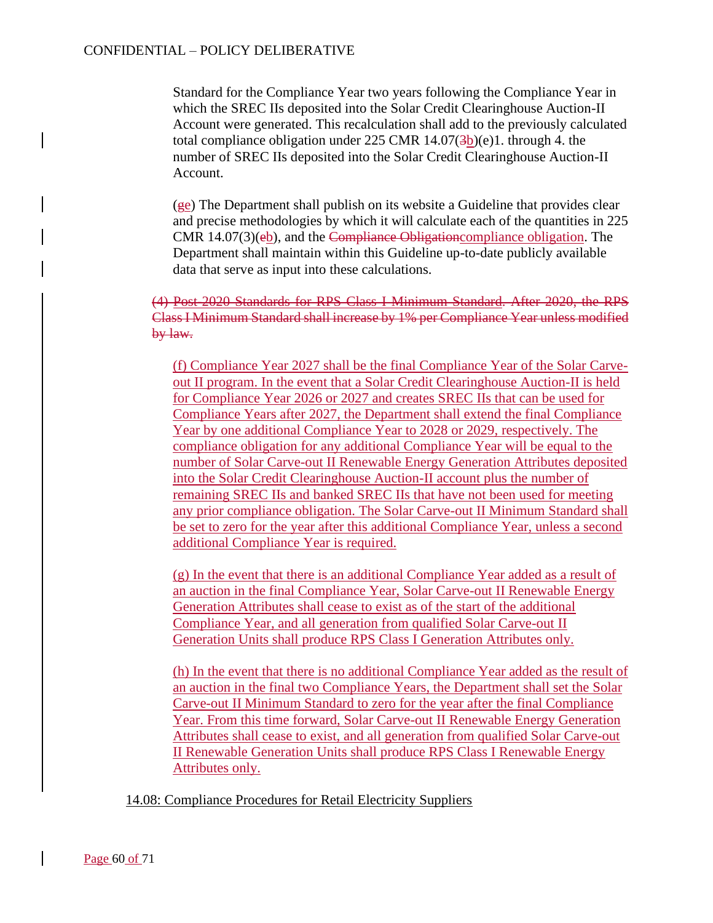Standard for the Compliance Year two years following the Compliance Year in which the SREC IIs deposited into the Solar Credit Clearinghouse Auction-II Account were generated. This recalculation shall add to the previously calculated total compliance obligation under  $225$  CMR  $14.07(3b)(e)1$ . through 4. the number of SREC IIs deposited into the Solar Credit Clearinghouse Auction-II Account.

(ge) The Department shall publish on its website a Guideline that provides clear and precise methodologies by which it will calculate each of the quantities in 225 CMR 14.07(3)(eb), and the Compliance Obligationcompliance obligation. The Department shall maintain within this Guideline up-to-date publicly available data that serve as input into these calculations.

(4) Post-2020 Standards for RPS Class I Minimum Standard. After 2020, the RPS Class I Minimum Standard shall increase by 1% per Compliance Year unless modified by law.

(f) Compliance Year 2027 shall be the final Compliance Year of the Solar Carveout II program. In the event that a Solar Credit Clearinghouse Auction-II is held for Compliance Year 2026 or 2027 and creates SREC IIs that can be used for Compliance Years after 2027, the Department shall extend the final Compliance Year by one additional Compliance Year to 2028 or 2029, respectively. The compliance obligation for any additional Compliance Year will be equal to the number of Solar Carve-out II Renewable Energy Generation Attributes deposited into the Solar Credit Clearinghouse Auction-II account plus the number of remaining SREC IIs and banked SREC IIs that have not been used for meeting any prior compliance obligation. The Solar Carve-out II Minimum Standard shall be set to zero for the year after this additional Compliance Year, unless a second additional Compliance Year is required.

(g) In the event that there is an additional Compliance Year added as a result of an auction in the final Compliance Year, Solar Carve-out II Renewable Energy Generation Attributes shall cease to exist as of the start of the additional Compliance Year, and all generation from qualified Solar Carve-out II Generation Units shall produce RPS Class I Generation Attributes only.

(h) In the event that there is no additional Compliance Year added as the result of an auction in the final two Compliance Years, the Department shall set the Solar Carve-out II Minimum Standard to zero for the year after the final Compliance Year. From this time forward, Solar Carve-out II Renewable Energy Generation Attributes shall cease to exist, and all generation from qualified Solar Carve-out II Renewable Generation Units shall produce RPS Class I Renewable Energy Attributes only.

14.08: Compliance Procedures for Retail Electricity Suppliers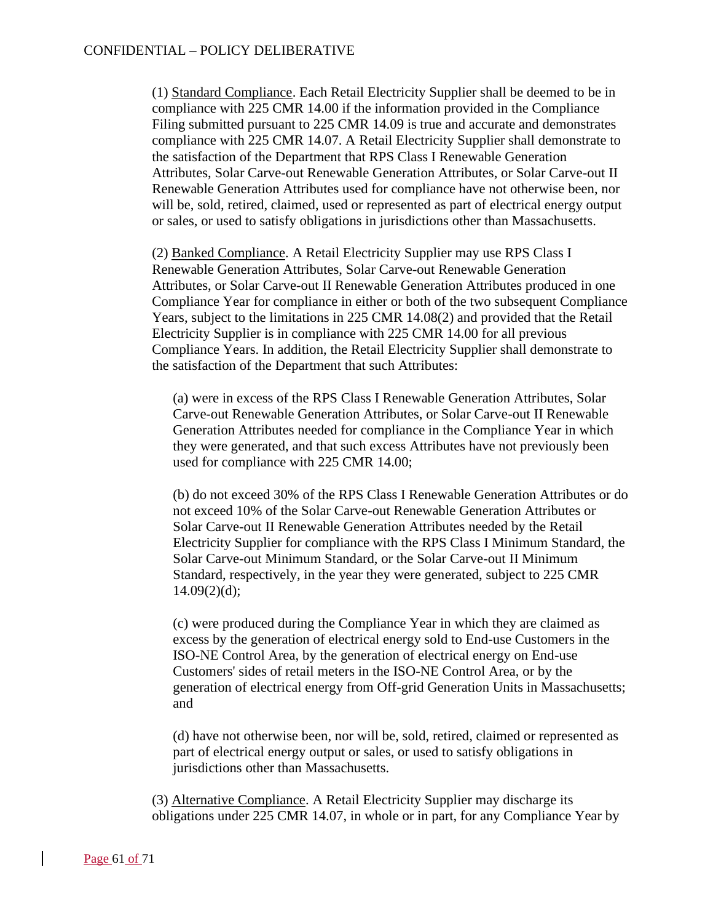(1) Standard Compliance. Each Retail Electricity Supplier shall be deemed to be in compliance with 225 CMR 14.00 if the information provided in the Compliance Filing submitted pursuant to 225 CMR 14.09 is true and accurate and demonstrates compliance with 225 CMR 14.07. A Retail Electricity Supplier shall demonstrate to the satisfaction of the Department that RPS Class I Renewable Generation Attributes, Solar Carve-out Renewable Generation Attributes, or Solar Carve-out II Renewable Generation Attributes used for compliance have not otherwise been, nor will be, sold, retired, claimed, used or represented as part of electrical energy output or sales, or used to satisfy obligations in jurisdictions other than Massachusetts.

(2) Banked Compliance. A Retail Electricity Supplier may use RPS Class I Renewable Generation Attributes, Solar Carve-out Renewable Generation Attributes, or Solar Carve-out II Renewable Generation Attributes produced in one Compliance Year for compliance in either or both of the two subsequent Compliance Years, subject to the limitations in 225 CMR 14.08(2) and provided that the Retail Electricity Supplier is in compliance with 225 CMR 14.00 for all previous Compliance Years. In addition, the Retail Electricity Supplier shall demonstrate to the satisfaction of the Department that such Attributes:

(a) were in excess of the RPS Class I Renewable Generation Attributes, Solar Carve-out Renewable Generation Attributes, or Solar Carve-out II Renewable Generation Attributes needed for compliance in the Compliance Year in which they were generated, and that such excess Attributes have not previously been used for compliance with 225 CMR 14.00;

(b) do not exceed 30% of the RPS Class I Renewable Generation Attributes or do not exceed 10% of the Solar Carve-out Renewable Generation Attributes or Solar Carve-out II Renewable Generation Attributes needed by the Retail Electricity Supplier for compliance with the RPS Class I Minimum Standard, the Solar Carve-out Minimum Standard, or the Solar Carve-out II Minimum Standard, respectively, in the year they were generated, subject to 225 CMR  $14.09(2)(d);$ 

(c) were produced during the Compliance Year in which they are claimed as excess by the generation of electrical energy sold to End-use Customers in the ISO-NE Control Area, by the generation of electrical energy on End-use Customers' sides of retail meters in the ISO-NE Control Area, or by the generation of electrical energy from Off-grid Generation Units in Massachusetts; and

(d) have not otherwise been, nor will be, sold, retired, claimed or represented as part of electrical energy output or sales, or used to satisfy obligations in jurisdictions other than Massachusetts.

(3) Alternative Compliance. A Retail Electricity Supplier may discharge its obligations under 225 CMR 14.07, in whole or in part, for any Compliance Year by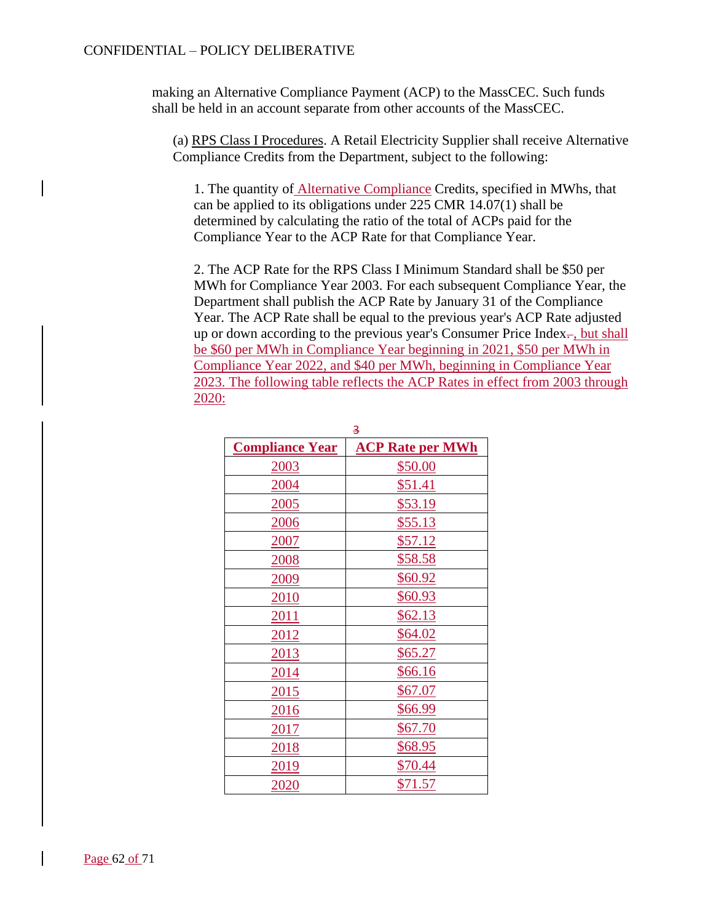making an Alternative Compliance Payment (ACP) to the MassCEC. Such funds shall be held in an account separate from other accounts of the MassCEC.

(a) RPS Class I Procedures. A Retail Electricity Supplier shall receive Alternative Compliance Credits from the Department, subject to the following:

1. The quantity of Alternative Compliance Credits, specified in MWhs, that can be applied to its obligations under 225 CMR 14.07(1) shall be determined by calculating the ratio of the total of ACPs paid for the Compliance Year to the ACP Rate for that Compliance Year.

2. The ACP Rate for the RPS Class I Minimum Standard shall be \$50 per MWh for Compliance Year 2003. For each subsequent Compliance Year, the Department shall publish the ACP Rate by January 31 of the Compliance Year. The ACP Rate shall be equal to the previous year's ACP Rate adjusted up or down according to the previous year's Consumer Price Index-, but shall be \$60 per MWh in Compliance Year beginning in 2021, \$50 per MWh in Compliance Year 2022, and \$40 per MWh, beginning in Compliance Year 2023. The following table reflects the ACP Rates in effect from 2003 through 2020:

| g,                     |                         |  |
|------------------------|-------------------------|--|
| <b>Compliance Year</b> | <b>ACP Rate per MWh</b> |  |
| 2003                   | \$50.00                 |  |
| 2004                   | \$51.41                 |  |
| 2005                   | \$53.19                 |  |
| 2006                   | \$55.13                 |  |
| 2007                   | \$57.12                 |  |
| 2008                   | \$58.58                 |  |
| 2009                   | \$60.92                 |  |
| 2010                   | \$60.93                 |  |
| <u>2011</u>            | \$62.13                 |  |
| 2012                   | \$64.02                 |  |
| 2013                   | \$65.27                 |  |
| 2014                   | \$66.16                 |  |
| 2015                   | \$67.07                 |  |
| 2016                   | \$66.99                 |  |
| 2017                   | \$67.70                 |  |
| 2018                   | \$68.95                 |  |
| 2019                   | \$70.44                 |  |
| <u> 2020</u>           | \$71.57                 |  |

 $\overline{2}$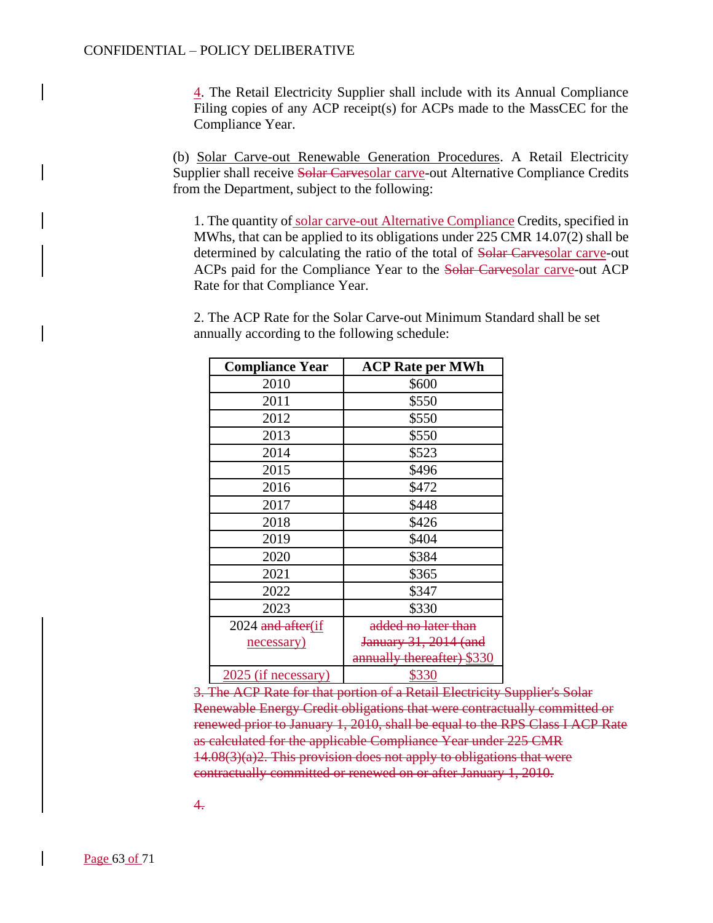4. The Retail Electricity Supplier shall include with its Annual Compliance Filing copies of any ACP receipt(s) for ACPs made to the MassCEC for the Compliance Year.

(b) Solar Carve-out Renewable Generation Procedures. A Retail Electricity Supplier shall receive Solar Carvesolar carve-out Alternative Compliance Credits from the Department, subject to the following:

1. The quantity of solar carve-out Alternative Compliance Credits, specified in MWhs, that can be applied to its obligations under 225 CMR 14.07(2) shall be determined by calculating the ratio of the total of Solar Carvesolar carve-out ACPs paid for the Compliance Year to the Solar Carvesolar carve-out ACP Rate for that Compliance Year.

2. The ACP Rate for the Solar Carve-out Minimum Standard shall be set annually according to the following schedule:

| <b>Compliance Year</b> | <b>ACP Rate per MWh</b>    |
|------------------------|----------------------------|
| 2010                   | \$600                      |
| 2011                   | \$550                      |
| 2012                   | \$550                      |
| 2013                   | \$550                      |
| 2014                   | \$523                      |
| 2015                   | \$496                      |
| 2016                   | \$472                      |
| 2017                   | \$448                      |
| 2018                   | \$426                      |
| 2019                   | \$404                      |
| 2020                   | \$384                      |
| 2021                   | \$365                      |
| 2022                   | \$347                      |
| 2023                   | \$330                      |
| 2024 and after(if      | added no later than        |
| necessary)             | January 31, 2014 (and      |
|                        | annually thereafter) \$330 |
| 2025 (if necessary)    | \$330                      |

3. The ACP Rate for that portion of a Retail Electricity Supplier's Solar Renewable Energy Credit obligations that were contractually committed or renewed prior to January 1, 2010, shall be equal to the RPS Class I ACP Rate as calculated for the applicable Compliance Year under 225 CMR  $14.08(3)(a)$ <sup>2</sup>. This provision does not apply to obligations that were contractually committed or renewed on or after January 1, 2010.

4.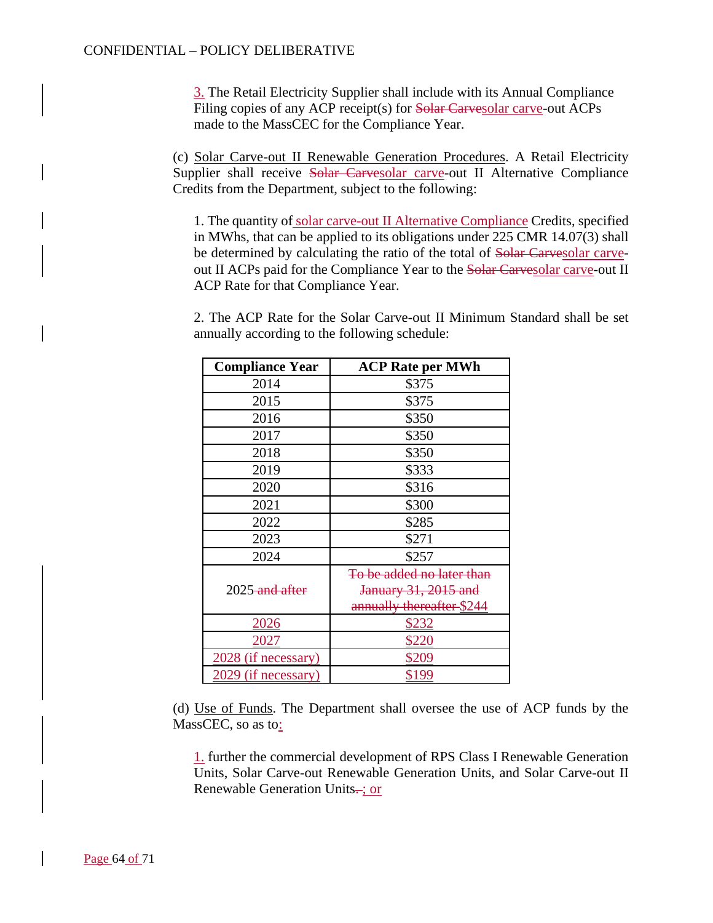3. The Retail Electricity Supplier shall include with its Annual Compliance Filing copies of any ACP receipt(s) for Solar Carvesolar carve-out ACPs made to the MassCEC for the Compliance Year.

(c) Solar Carve-out II Renewable Generation Procedures. A Retail Electricity Supplier shall receive Solar Carvesolar carve-out II Alternative Compliance Credits from the Department, subject to the following:

1. The quantity of solar carve-out II Alternative Compliance Credits, specified in MWhs, that can be applied to its obligations under 225 CMR 14.07(3) shall be determined by calculating the ratio of the total of Solar Carvesolar carveout II ACPs paid for the Compliance Year to the Solar Carvesolar carve-out II ACP Rate for that Compliance Year.

2. The ACP Rate for the Solar Carve-out II Minimum Standard shall be set annually according to the following schedule:

| <b>Compliance Year</b> | <b>ACP Rate per MWh</b>   |
|------------------------|---------------------------|
| 2014                   | \$375                     |
| 2015                   | \$375                     |
| 2016                   | \$350                     |
| 2017                   | \$350                     |
| 2018                   | \$350                     |
| 2019                   | \$333                     |
| 2020                   | \$316                     |
| 2021                   | \$300                     |
| 2022                   | \$285                     |
| 2023                   | \$271                     |
| 2024                   | \$257                     |
|                        | To be added no later than |
| 2025-and after         | January 31, 2015 and      |
|                        | annually thereafter \$244 |
| 2026                   | <u>\$232</u>              |
| 2027                   | \$220                     |
| 2028 (if necessary)    | \$209                     |
| 29 (if necessary)      | \$199                     |

(d) Use of Funds. The Department shall oversee the use of ACP funds by the MassCEC, so as to:

1. further the commercial development of RPS Class I Renewable Generation Units, Solar Carve-out Renewable Generation Units, and Solar Carve-out II Renewable Generation Units...; or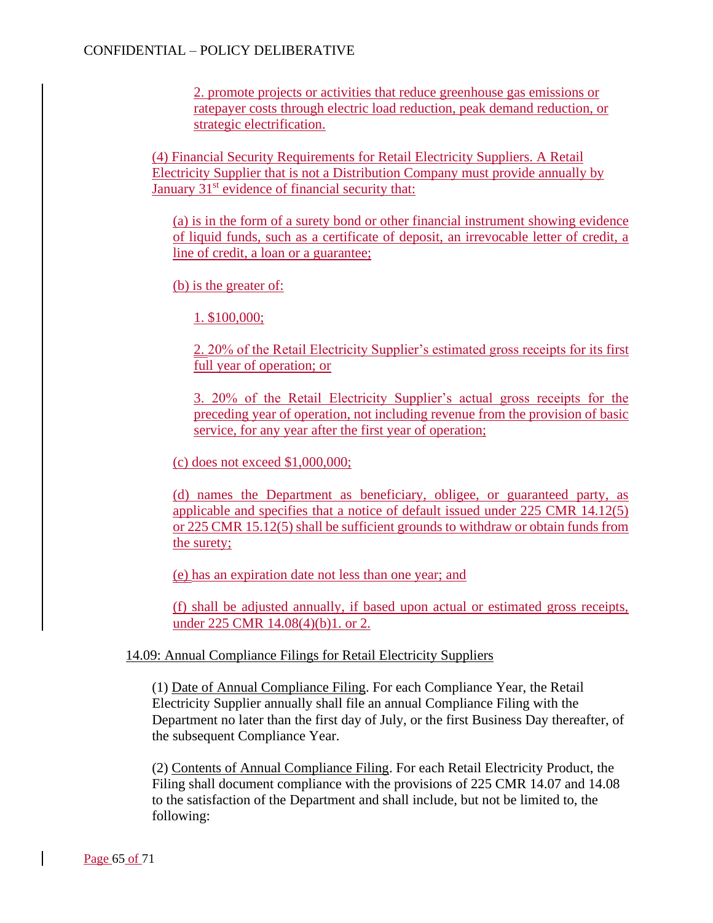2. promote projects or activities that reduce greenhouse gas emissions or ratepayer costs through electric load reduction, peak demand reduction, or strategic electrification.

(4) Financial Security Requirements for Retail Electricity Suppliers. A Retail Electricity Supplier that is not a Distribution Company must provide annually by January  $31<sup>st</sup>$  evidence of financial security that:

(a) is in the form of a surety bond or other financial instrument showing evidence of liquid funds, such as a certificate of deposit, an irrevocable letter of credit, a line of credit, a loan or a guarantee;

(b) is the greater of:

1. \$100,000;

2. 20% of the Retail Electricity Supplier's estimated gross receipts for its first full year of operation; or

3. 20% of the Retail Electricity Supplier's actual gross receipts for the preceding year of operation, not including revenue from the provision of basic service, for any year after the first year of operation;

(c) does not exceed \$1,000,000;

(d) names the Department as beneficiary, obligee, or guaranteed party, as applicable and specifies that a notice of default issued under 225 CMR 14.12(5) or 225 CMR 15.12(5) shall be sufficient grounds to withdraw or obtain funds from the surety;

(e) has an expiration date not less than one year; and

(f) shall be adjusted annually, if based upon actual or estimated gross receipts, under 225 CMR 14.08(4)(b)1. or 2.

### 14.09: Annual Compliance Filings for Retail Electricity Suppliers

(1) Date of Annual Compliance Filing. For each Compliance Year, the Retail Electricity Supplier annually shall file an annual Compliance Filing with the Department no later than the first day of July, or the first Business Day thereafter, of the subsequent Compliance Year.

(2) Contents of Annual Compliance Filing. For each Retail Electricity Product, the Filing shall document compliance with the provisions of 225 CMR 14.07 and 14.08 to the satisfaction of the Department and shall include, but not be limited to, the following: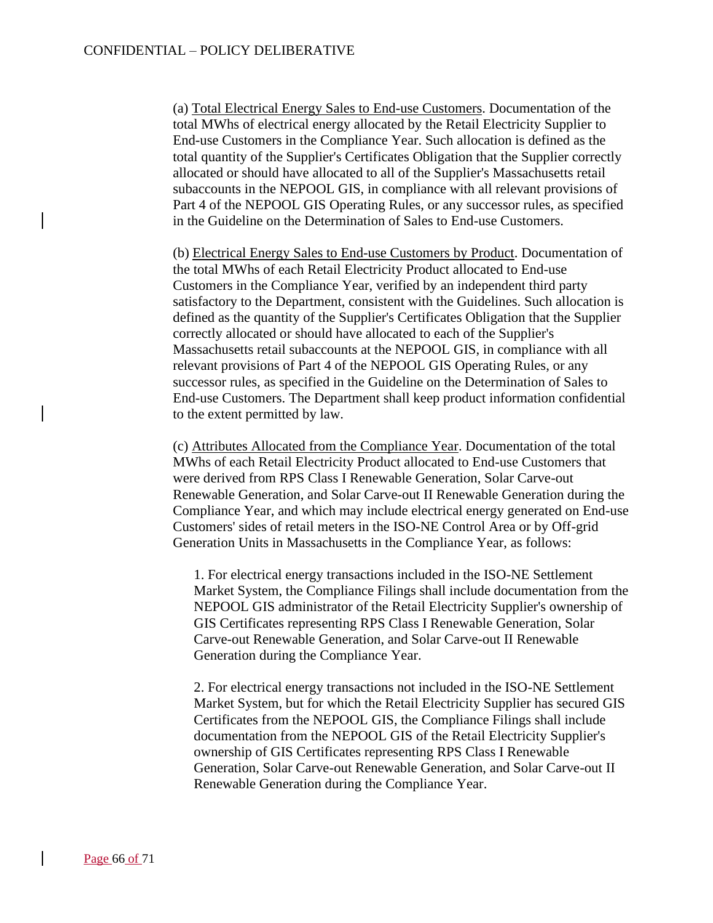(a) Total Electrical Energy Sales to End-use Customers. Documentation of the total MWhs of electrical energy allocated by the Retail Electricity Supplier to End-use Customers in the Compliance Year. Such allocation is defined as the total quantity of the Supplier's Certificates Obligation that the Supplier correctly allocated or should have allocated to all of the Supplier's Massachusetts retail subaccounts in the NEPOOL GIS, in compliance with all relevant provisions of Part 4 of the NEPOOL GIS Operating Rules, or any successor rules, as specified in the Guideline on the Determination of Sales to End-use Customers.

(b) Electrical Energy Sales to End-use Customers by Product. Documentation of the total MWhs of each Retail Electricity Product allocated to End-use Customers in the Compliance Year, verified by an independent third party satisfactory to the Department, consistent with the Guidelines. Such allocation is defined as the quantity of the Supplier's Certificates Obligation that the Supplier correctly allocated or should have allocated to each of the Supplier's Massachusetts retail subaccounts at the NEPOOL GIS, in compliance with all relevant provisions of Part 4 of the NEPOOL GIS Operating Rules, or any successor rules, as specified in the Guideline on the Determination of Sales to End-use Customers. The Department shall keep product information confidential to the extent permitted by law.

(c) Attributes Allocated from the Compliance Year. Documentation of the total MWhs of each Retail Electricity Product allocated to End-use Customers that were derived from RPS Class I Renewable Generation, Solar Carve-out Renewable Generation, and Solar Carve-out II Renewable Generation during the Compliance Year, and which may include electrical energy generated on End-use Customers' sides of retail meters in the ISO-NE Control Area or by Off-grid Generation Units in Massachusetts in the Compliance Year, as follows:

1. For electrical energy transactions included in the ISO-NE Settlement Market System, the Compliance Filings shall include documentation from the NEPOOL GIS administrator of the Retail Electricity Supplier's ownership of GIS Certificates representing RPS Class I Renewable Generation, Solar Carve-out Renewable Generation, and Solar Carve-out II Renewable Generation during the Compliance Year.

2. For electrical energy transactions not included in the ISO-NE Settlement Market System, but for which the Retail Electricity Supplier has secured GIS Certificates from the NEPOOL GIS, the Compliance Filings shall include documentation from the NEPOOL GIS of the Retail Electricity Supplier's ownership of GIS Certificates representing RPS Class I Renewable Generation, Solar Carve-out Renewable Generation, and Solar Carve-out II Renewable Generation during the Compliance Year.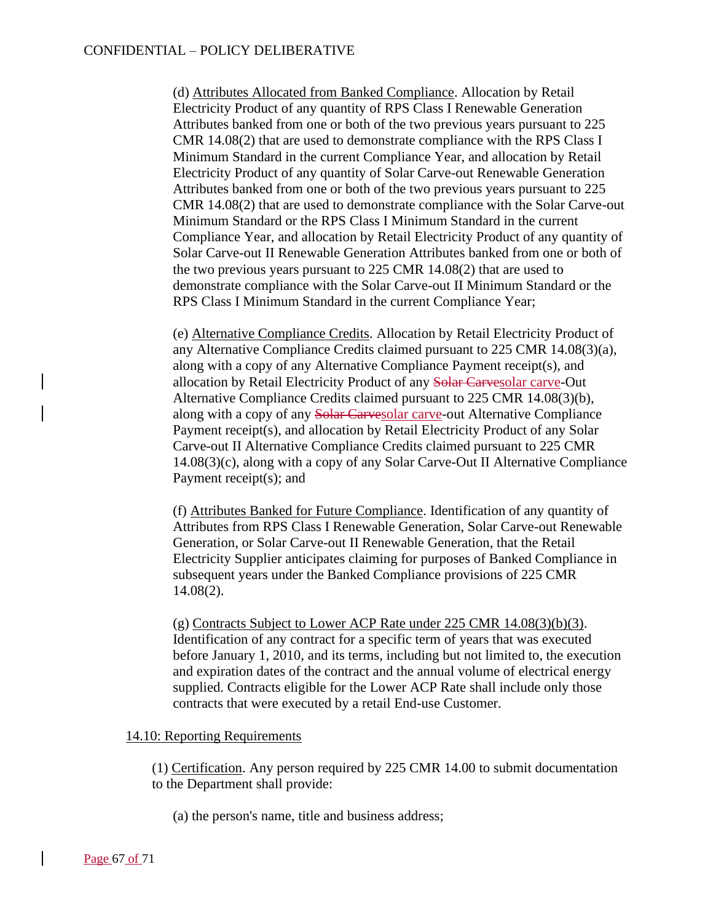(d) Attributes Allocated from Banked Compliance. Allocation by Retail Electricity Product of any quantity of RPS Class I Renewable Generation Attributes banked from one or both of the two previous years pursuant to 225 CMR 14.08(2) that are used to demonstrate compliance with the RPS Class I Minimum Standard in the current Compliance Year, and allocation by Retail Electricity Product of any quantity of Solar Carve-out Renewable Generation Attributes banked from one or both of the two previous years pursuant to 225 CMR 14.08(2) that are used to demonstrate compliance with the Solar Carve-out Minimum Standard or the RPS Class I Minimum Standard in the current Compliance Year, and allocation by Retail Electricity Product of any quantity of Solar Carve-out II Renewable Generation Attributes banked from one or both of the two previous years pursuant to 225 CMR 14.08(2) that are used to demonstrate compliance with the Solar Carve-out II Minimum Standard or the RPS Class I Minimum Standard in the current Compliance Year;

(e) Alternative Compliance Credits. Allocation by Retail Electricity Product of any Alternative Compliance Credits claimed pursuant to 225 CMR 14.08(3)(a), along with a copy of any Alternative Compliance Payment receipt(s), and allocation by Retail Electricity Product of any Solar Carvesolar carve-Out Alternative Compliance Credits claimed pursuant to 225 CMR 14.08(3)(b), along with a copy of any Solar Carvesolar carve-out Alternative Compliance Payment receipt(s), and allocation by Retail Electricity Product of any Solar Carve-out II Alternative Compliance Credits claimed pursuant to 225 CMR 14.08(3)(c), along with a copy of any Solar Carve-Out II Alternative Compliance Payment receipt(s); and

(f) Attributes Banked for Future Compliance. Identification of any quantity of Attributes from RPS Class I Renewable Generation, Solar Carve-out Renewable Generation, or Solar Carve-out II Renewable Generation, that the Retail Electricity Supplier anticipates claiming for purposes of Banked Compliance in subsequent years under the Banked Compliance provisions of 225 CMR 14.08(2).

(g) Contracts Subject to Lower ACP Rate under 225 CMR 14.08(3)(b)(3). Identification of any contract for a specific term of years that was executed before January 1, 2010, and its terms, including but not limited to, the execution and expiration dates of the contract and the annual volume of electrical energy supplied. Contracts eligible for the Lower ACP Rate shall include only those contracts that were executed by a retail End-use Customer.

### 14.10: Reporting Requirements

(1) Certification. Any person required by 225 CMR 14.00 to submit documentation to the Department shall provide:

(a) the person's name, title and business address;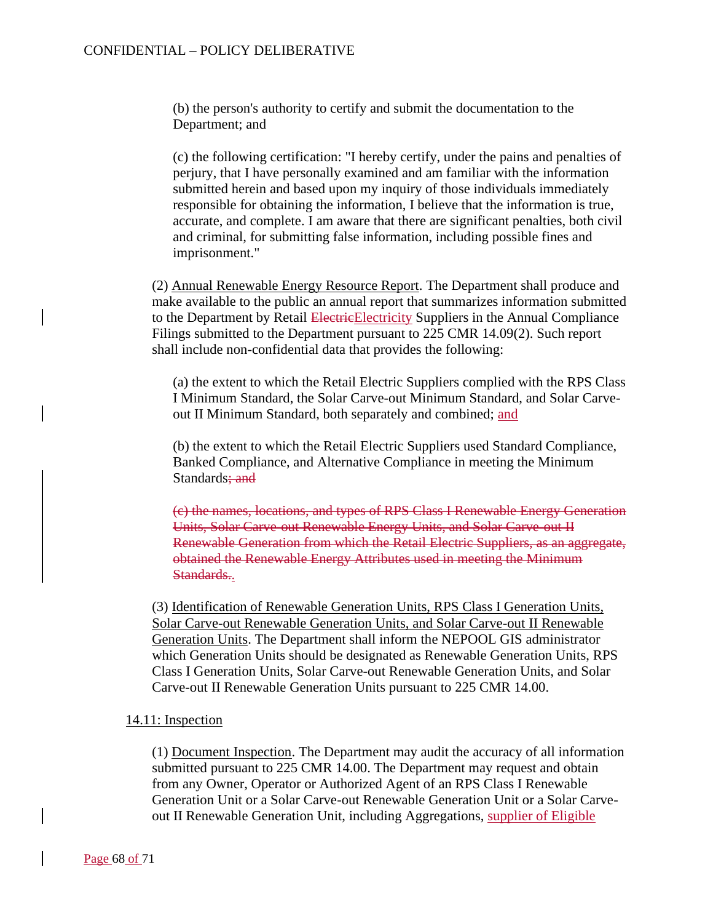(b) the person's authority to certify and submit the documentation to the Department; and

(c) the following certification: "I hereby certify, under the pains and penalties of perjury, that I have personally examined and am familiar with the information submitted herein and based upon my inquiry of those individuals immediately responsible for obtaining the information, I believe that the information is true, accurate, and complete. I am aware that there are significant penalties, both civil and criminal, for submitting false information, including possible fines and imprisonment."

(2) Annual Renewable Energy Resource Report. The Department shall produce and make available to the public an annual report that summarizes information submitted to the Department by Retail Electrice Electricity Suppliers in the Annual Compliance Filings submitted to the Department pursuant to 225 CMR 14.09(2). Such report shall include non-confidential data that provides the following:

(a) the extent to which the Retail Electric Suppliers complied with the RPS Class I Minimum Standard, the Solar Carve-out Minimum Standard, and Solar Carveout II Minimum Standard, both separately and combined; and

(b) the extent to which the Retail Electric Suppliers used Standard Compliance, Banked Compliance, and Alternative Compliance in meeting the Minimum Standards; and

(c) the names, locations, and types of RPS Class I Renewable Energy Generation Units, Solar Carve-out Renewable Energy Units, and Solar Carve-out II Renewable Generation from which the Retail Electric Suppliers, as an aggregate, obtained the Renewable Energy Attributes used in meeting the Minimum Standards..

(3) Identification of Renewable Generation Units, RPS Class I Generation Units, Solar Carve-out Renewable Generation Units, and Solar Carve-out II Renewable Generation Units. The Department shall inform the NEPOOL GIS administrator which Generation Units should be designated as Renewable Generation Units, RPS Class I Generation Units, Solar Carve-out Renewable Generation Units, and Solar Carve-out II Renewable Generation Units pursuant to 225 CMR 14.00.

### 14.11: Inspection

(1) Document Inspection. The Department may audit the accuracy of all information submitted pursuant to 225 CMR 14.00. The Department may request and obtain from any Owner, Operator or Authorized Agent of an RPS Class I Renewable Generation Unit or a Solar Carve-out Renewable Generation Unit or a Solar Carveout II Renewable Generation Unit, including Aggregations, supplier of Eligible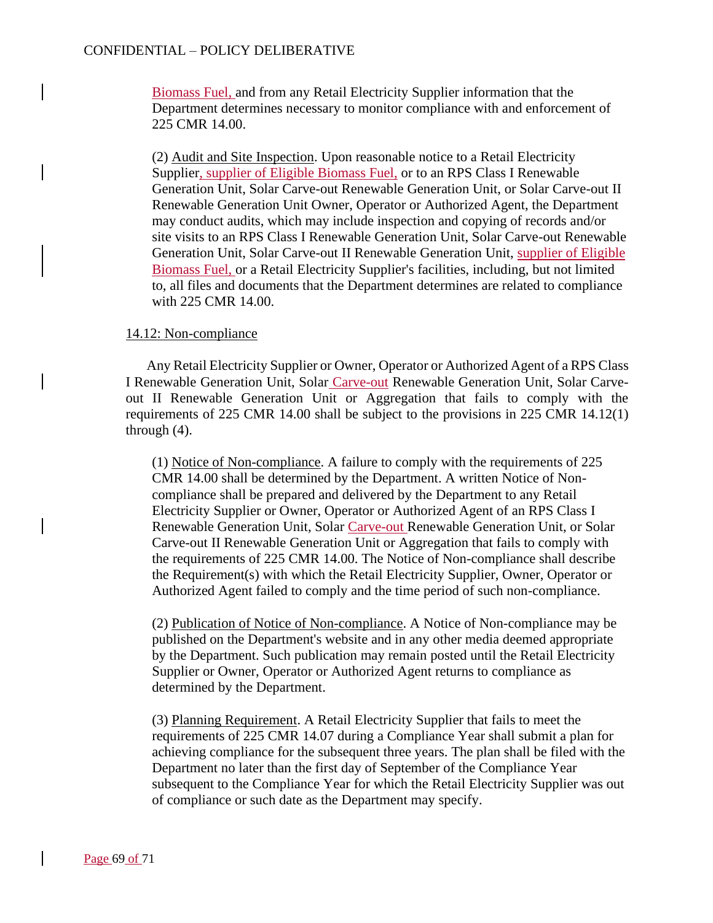Biomass Fuel, and from any Retail Electricity Supplier information that the Department determines necessary to monitor compliance with and enforcement of 225 CMR 14.00.

(2) Audit and Site Inspection. Upon reasonable notice to a Retail Electricity Supplier, supplier of Eligible Biomass Fuel, or to an RPS Class I Renewable Generation Unit, Solar Carve-out Renewable Generation Unit, or Solar Carve-out II Renewable Generation Unit Owner, Operator or Authorized Agent, the Department may conduct audits, which may include inspection and copying of records and/or site visits to an RPS Class I Renewable Generation Unit, Solar Carve-out Renewable Generation Unit, Solar Carve-out II Renewable Generation Unit, supplier of Eligible Biomass Fuel, or a Retail Electricity Supplier's facilities, including, but not limited to, all files and documents that the Department determines are related to compliance with 225 CMR 14.00.

### 14.12: Non-compliance

Any Retail Electricity Supplier or Owner, Operator or Authorized Agent of a RPS Class I Renewable Generation Unit, Solar Carve-out Renewable Generation Unit, Solar Carveout II Renewable Generation Unit or Aggregation that fails to comply with the requirements of 225 CMR 14.00 shall be subject to the provisions in 225 CMR 14.12(1) through (4).

(1) Notice of Non-compliance. A failure to comply with the requirements of 225 CMR 14.00 shall be determined by the Department. A written Notice of Noncompliance shall be prepared and delivered by the Department to any Retail Electricity Supplier or Owner, Operator or Authorized Agent of an RPS Class I Renewable Generation Unit, Solar Carve-out Renewable Generation Unit, or Solar Carve-out II Renewable Generation Unit or Aggregation that fails to comply with the requirements of 225 CMR 14.00. The Notice of Non-compliance shall describe the Requirement(s) with which the Retail Electricity Supplier, Owner, Operator or Authorized Agent failed to comply and the time period of such non-compliance.

(2) Publication of Notice of Non-compliance. A Notice of Non-compliance may be published on the Department's website and in any other media deemed appropriate by the Department. Such publication may remain posted until the Retail Electricity Supplier or Owner, Operator or Authorized Agent returns to compliance as determined by the Department.

(3) Planning Requirement. A Retail Electricity Supplier that fails to meet the requirements of 225 CMR 14.07 during a Compliance Year shall submit a plan for achieving compliance for the subsequent three years. The plan shall be filed with the Department no later than the first day of September of the Compliance Year subsequent to the Compliance Year for which the Retail Electricity Supplier was out of compliance or such date as the Department may specify.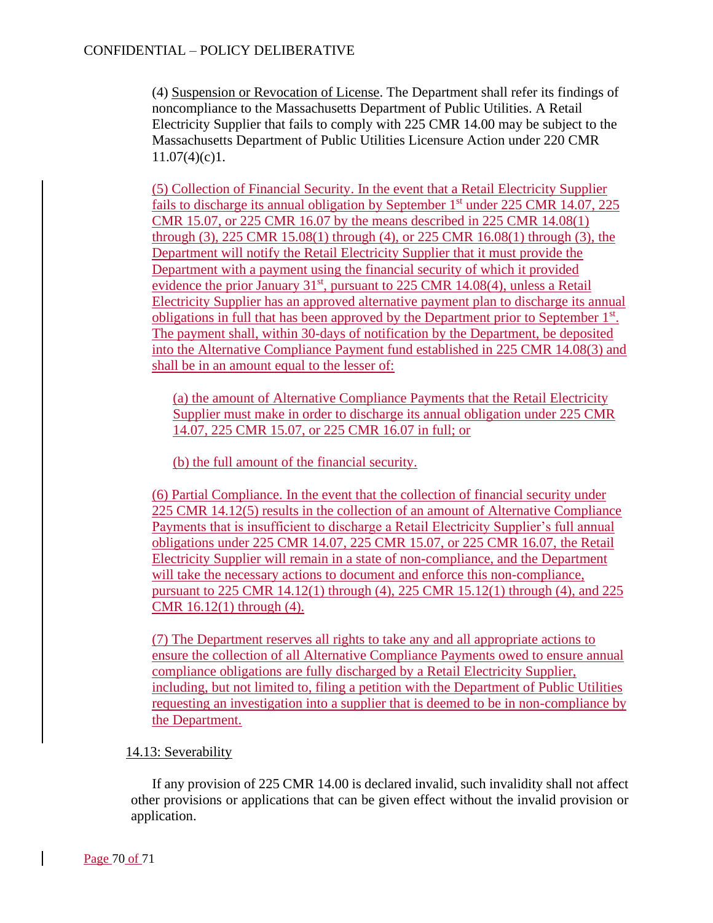(4) Suspension or Revocation of License. The Department shall refer its findings of noncompliance to the Massachusetts Department of Public Utilities. A Retail Electricity Supplier that fails to comply with 225 CMR 14.00 may be subject to the Massachusetts Department of Public Utilities Licensure Action under 220 CMR  $11.07(4)(c)1$ .

(5) Collection of Financial Security. In the event that a Retail Electricity Supplier fails to discharge its annual obligation by September  $1<sup>st</sup>$  under 225 CMR 14.07, 225 CMR 15.07, or 225 CMR 16.07 by the means described in 225 CMR 14.08(1) through (3), 225 CMR 15.08(1) through (4), or 225 CMR 16.08(1) through (3), the Department will notify the Retail Electricity Supplier that it must provide the Department with a payment using the financial security of which it provided evidence the prior January  $31<sup>st</sup>$ , pursuant to 225 CMR 14.08(4), unless a Retail Electricity Supplier has an approved alternative payment plan to discharge its annual obligations in full that has been approved by the Department prior to September 1<sup>st</sup>. The payment shall, within 30-days of notification by the Department, be deposited into the Alternative Compliance Payment fund established in 225 CMR 14.08(3) and shall be in an amount equal to the lesser of:

(a) the amount of Alternative Compliance Payments that the Retail Electricity Supplier must make in order to discharge its annual obligation under 225 CMR 14.07, 225 CMR 15.07, or 225 CMR 16.07 in full; or

(b) the full amount of the financial security.

(6) Partial Compliance. In the event that the collection of financial security under 225 CMR 14.12(5) results in the collection of an amount of Alternative Compliance Payments that is insufficient to discharge a Retail Electricity Supplier's full annual obligations under 225 CMR 14.07, 225 CMR 15.07, or 225 CMR 16.07, the Retail Electricity Supplier will remain in a state of non-compliance, and the Department will take the necessary actions to document and enforce this non-compliance, pursuant to 225 CMR 14.12(1) through (4), 225 CMR 15.12(1) through (4), and 225 CMR 16.12(1) through (4).

(7) The Department reserves all rights to take any and all appropriate actions to ensure the collection of all Alternative Compliance Payments owed to ensure annual compliance obligations are fully discharged by a Retail Electricity Supplier, including, but not limited to, filing a petition with the Department of Public Utilities requesting an investigation into a supplier that is deemed to be in non-compliance by the Department.

### 14.13: Severability

If any provision of 225 CMR 14.00 is declared invalid, such invalidity shall not affect other provisions or applications that can be given effect without the invalid provision or application.